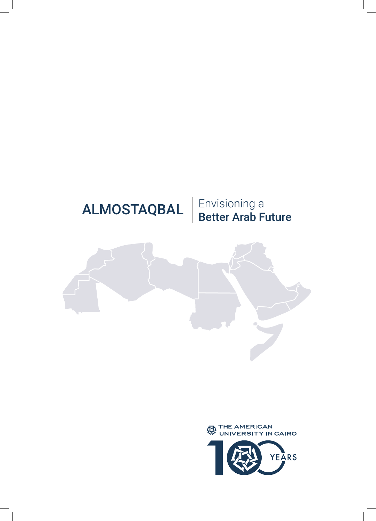



# ALMOSTAQBAL

Envisioning a<br>Better Arab Future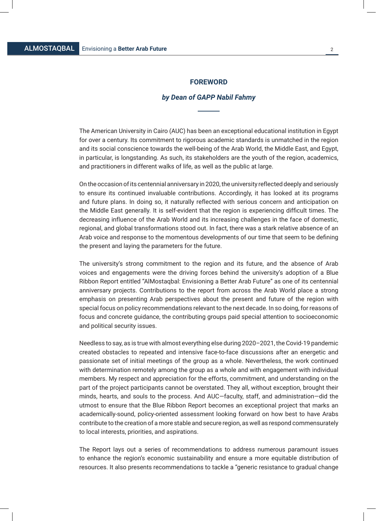#### **FOREWORD**

#### *by Dean of GAPP Nabil Fahmy*

The American University in Cairo (AUC) has been an exceptional educational institution in Egypt for over a century. Its commitment to rigorous academic standards is unmatched in the region and its social conscience towards the well-being of the Arab World, the Middle East, and Egypt, in particular, is longstanding. As such, its stakeholders are the youth of the region, academics, and practitioners in different walks of life, as well as the public at large.

On the occasion of its centennial anniversary in 2020, the university reflected deeply and seriously to ensure its continued invaluable contributions. Accordingly, it has looked at its programs and future plans. In doing so, it naturally reflected with serious concern and anticipation on the Middle East generally. It is self-evident that the region is experiencing difficult times. The decreasing influence of the Arab World and its increasing challenges in the face of domestic, regional, and global transformations stood out. In fact, there was a stark relative absence of an Arab voice and response to the momentous developments of our time that seem to be defining the present and laying the parameters for the future.

The university's strong commitment to the region and its future, and the absence of Arab voices and engagements were the driving forces behind the university's adoption of a Blue Ribbon Report entitled "AlMostaqbal: Envisioning a Better Arab Future" as one of its centennial anniversary projects. Contributions to the report from across the Arab World place a strong emphasis on presenting Arab perspectives about the present and future of the region with special focus on policy recommendations relevant to the next decade. In so doing, for reasons of focus and concrete guidance, the contributing groups paid special attention to socioeconomic and political security issues.

Needless to say, as is true with almost everything else during 2020–2021, the Covid-19 pandemic created obstacles to repeated and intensive face-to-face discussions after an energetic and passionate set of initial meetings of the group as a whole. Nevertheless, the work continued with determination remotely among the group as a whole and with engagement with individual members. My respect and appreciation for the efforts, commitment, and understanding on the part of the project participants cannot be overstated. They all, without exception, brought their minds, hearts, and souls to the process. And AUC—faculty, staff, and administration—did the utmost to ensure that the Blue Ribbon Report becomes an exceptional project that marks an academically-sound, policy-oriented assessment looking forward on how best to have Arabs contribute to the creation of a more stable and secure region, as well as respond commensurately to local interests, priorities, and aspirations.

The Report lays out a series of recommendations to address numerous paramount issues to enhance the region's economic sustainability and ensure a more equitable distribution of resources. It also presents recommendations to tackle a "generic resistance to gradual change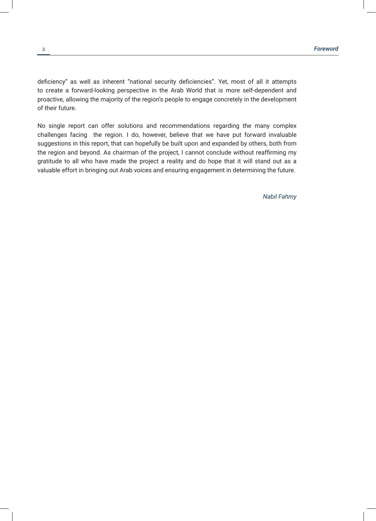deficiency" as well as inherent "national security deficiencies". Yet, most of all it attempts to create a forward-looking perspective in the Arab World that is more self-dependent and proactive, allowing the majority of the region's people to engage concretely in the development of their future.

No single report can offer solutions and recommendations regarding the many complex challenges facing the region. I do, however, believe that we have put forward invaluable suggestions in this report, that can hopefully be built upon and expanded by others, both from the region and beyond. As chairman of the project, I cannot conclude without reaffirming my gratitude to all who have made the project a reality and do hope that it will stand out as a valuable effort in bringing out Arab voices and ensuring engagement in determining the future.

*Nabil Fahmy*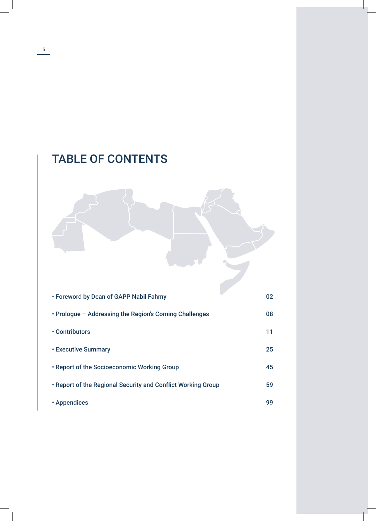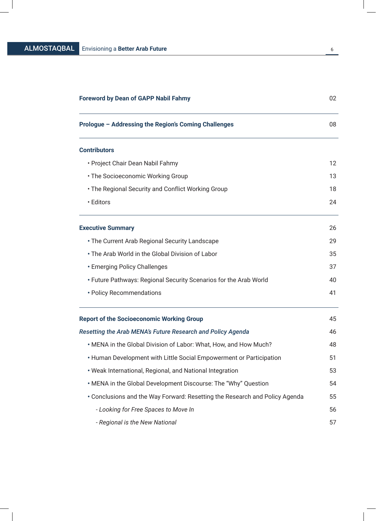| <b>Foreword by Dean of GAPP Nabil Fahmy</b>                                 | 02 |
|-----------------------------------------------------------------------------|----|
| Prologue - Addressing the Region's Coming Challenges                        | 08 |
| <b>Contributors</b>                                                         |    |
| • Project Chair Dean Nabil Fahmy                                            | 12 |
| • The Socioeconomic Working Group                                           | 13 |
| . The Regional Security and Conflict Working Group                          | 18 |
| • Editors                                                                   | 24 |
| <b>Executive Summary</b>                                                    | 26 |
| • The Current Arab Regional Security Landscape                              | 29 |
| • The Arab World in the Global Division of Labor                            | 35 |
| • Emerging Policy Challenges                                                | 37 |
| • Future Pathways: Regional Security Scenarios for the Arab World           | 40 |
| • Policy Recommendations                                                    | 41 |
| <b>Report of the Socioeconomic Working Group</b>                            | 45 |
| Resetting the Arab MENA's Future Research and Policy Agenda                 | 46 |
| . MENA in the Global Division of Labor: What, How, and How Much?            | 48 |
| • Human Development with Little Social Empowerment or Participation         | 51 |
| . Weak International, Regional, and National Integration                    | 53 |
| . MENA in the Global Development Discourse: The "Why" Question              | 54 |
| • Conclusions and the Way Forward: Resetting the Research and Policy Agenda | 55 |
| - Looking for Free Spaces to Move In                                        | 56 |
| - Regional is the New National                                              | 57 |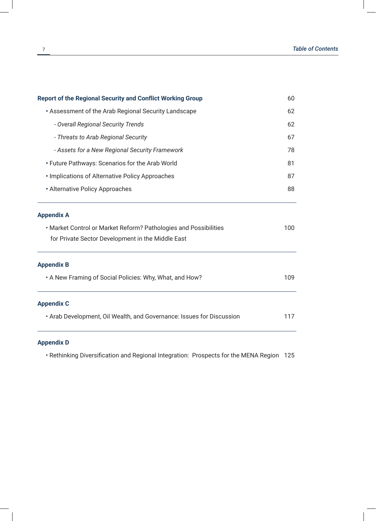| <b>Report of the Regional Security and Conflict Working Group</b><br>• Assessment of the Arab Regional Security Landscape<br>- Overall Regional Security Trends<br>- Threats to Arab Regional Security<br>- Assets for a New Regional Security Framework<br>• Future Pathways: Scenarios for the Arab World<br>• Implications of Alternative Policy Approaches<br>• Alternative Policy Approaches | 60<br>62<br>62<br>67<br>78<br>81<br>87<br>88 |                                                                       |     |
|---------------------------------------------------------------------------------------------------------------------------------------------------------------------------------------------------------------------------------------------------------------------------------------------------------------------------------------------------------------------------------------------------|----------------------------------------------|-----------------------------------------------------------------------|-----|
|                                                                                                                                                                                                                                                                                                                                                                                                   |                                              | <b>Appendix A</b>                                                     |     |
|                                                                                                                                                                                                                                                                                                                                                                                                   |                                              | . Market Control or Market Reform? Pathologies and Possibilities      | 100 |
|                                                                                                                                                                                                                                                                                                                                                                                                   |                                              | for Private Sector Development in the Middle East                     |     |
|                                                                                                                                                                                                                                                                                                                                                                                                   |                                              | <b>Appendix B</b>                                                     |     |
|                                                                                                                                                                                                                                                                                                                                                                                                   |                                              | . A New Framing of Social Policies: Why, What, and How?               | 109 |
|                                                                                                                                                                                                                                                                                                                                                                                                   |                                              | <b>Appendix C</b>                                                     |     |
|                                                                                                                                                                                                                                                                                                                                                                                                   |                                              | . Arab Development, Oil Wealth, and Governance: Issues for Discussion | 117 |
|                                                                                                                                                                                                                                                                                                                                                                                                   |                                              |                                                                       |     |

### **Appendix D**

• Rethinking Diversification and Regional Integration: Prospects for the MENA Region 125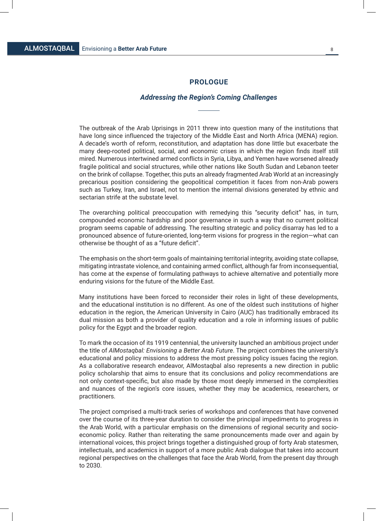#### **PROLOGUE**

#### *Addressing the Region's Coming Challenges*

The outbreak of the Arab Uprisings in 2011 threw into question many of the institutions that have long since influenced the trajectory of the Middle East and North Africa (MENA) region. A decade's worth of reform, reconstitution, and adaptation has done little but exacerbate the many deep-rooted political, social, and economic crises in which the region finds itself still mired. Numerous intertwined armed conflicts in Syria, Libya, and Yemen have worsened already fragile political and social structures, while other nations like South Sudan and Lebanon teeter on the brink of collapse. Together, this puts an already fragmented Arab World at an increasingly precarious position considering the geopolitical competition it faces from non-Arab powers such as Turkey, Iran, and Israel, not to mention the internal divisions generated by ethnic and sectarian strife at the substate level.

The overarching political preoccupation with remedying this "security deficit" has, in turn, compounded economic hardship and poor governance in such a way that no current political program seems capable of addressing. The resulting strategic and policy disarray has led to a pronounced absence of future-oriented, long-term visions for progress in the region—what can otherwise be thought of as a "future deficit".

The emphasis on the short-term goals of maintaining territorial integrity, avoiding state collapse, mitigating intrastate violence, and containing armed conflict, although far from inconsequential, has come at the expense of formulating pathways to achieve alternative and potentially more enduring visions for the future of the Middle East.

Many institutions have been forced to reconsider their roles in light of these developments, and the educational institution is no different. As one of the oldest such institutions of higher education in the region, the American University in Cairo (AUC) has traditionally embraced its dual mission as both a provider of quality education and a role in informing issues of public policy for the Egypt and the broader region.

To mark the occasion of its 1919 centennial, the university launched an ambitious project under the title of *AlMostaqbal: Envisioning a Better Arab Future*. The project combines the university's educational and policy missions to address the most pressing policy issues facing the region. As a collaborative research endeavor, AlMostaqbal also represents a new direction in public policy scholarship that aims to ensure that its conclusions and policy recommendations are not only context-specific, but also made by those most deeply immersed in the complexities and nuances of the region's core issues, whether they may be academics, researchers, or practitioners.

The project comprised a multi-track series of workshops and conferences that have convened over the course of its three-year duration to consider the principal impediments to progress in the Arab World, with a particular emphasis on the dimensions of regional security and socioeconomic policy. Rather than reiterating the same pronouncements made over and again by international voices, this project brings together a distinguished group of forty Arab statesmen, intellectuals, and academics in support of a more public Arab dialogue that takes into account regional perspectives on the challenges that face the Arab World, from the present day through to 2030.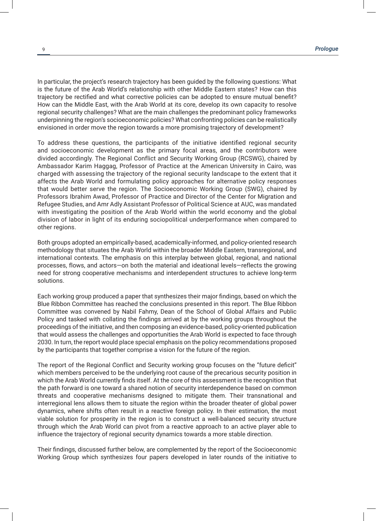In particular, the project's research trajectory has been guided by the following questions: What is the future of the Arab World's relationship with other Middle Eastern states? How can this trajectory be rectified and what corrective policies can be adopted to ensure mutual benefit? How can the Middle East, with the Arab World at its core, develop its own capacity to resolve regional security challenges? What are the main challenges the predominant policy frameworks underpinning the region's socioeconomic policies? What confronting policies can be realistically envisioned in order move the region towards a more promising trajectory of development?

To address these questions, the participants of the initiative identified regional security and socioeconomic development as the primary focal areas, and the contributors were divided accordingly. The Regional Conflict and Security Working Group (RCSWG), chaired by Ambassador Karim Haggag, Professor of Practice at the American University in Cairo, was charged with assessing the trajectory of the regional security landscape to the extent that it affects the Arab World and formulating policy approaches for alternative policy responses that would better serve the region. The Socioeconomic Working Group (SWG), chaired by Professors Ibrahim Awad, Professor of Practice and Director of the Center for Migration and Refugee Studies, and Amr Adly Assistant Professor of Political Science at AUC, was mandated with investigating the position of the Arab World within the world economy and the global division of labor in light of its enduring sociopolitical underperformance when compared to other regions.

Both groups adopted an empirically-based, academically-informed, and policy-oriented research methodology that situates the Arab World within the broader Middle Eastern, transregional, and international contexts. The emphasis on this interplay between global, regional, and national processes, flows, and actors—on both the material and ideational levels—reflects the growing need for strong cooperative mechanisms and interdependent structures to achieve long-term solutions.

Each working group produced a paper that synthesizes their major findings, based on which the Blue Ribbon Committee has reached the conclusions presented in this report. The Blue Ribbon Committee was convened by Nabil Fahmy, Dean of the School of Global Affairs and Public Policy and tasked with collating the findings arrived at by the working groups throughout the proceedings of the initiative, and then composing an evidence-based, policy-oriented publication that would assess the challenges and opportunities the Arab World is expected to face through 2030. In turn, the report would place special emphasis on the policy recommendations proposed by the participants that together comprise a vision for the future of the region.

The report of the Regional Conflict and Security working group focuses on the "future deficit" which members perceived to be the underlying root cause of the precarious security position in which the Arab World currently finds itself. At the core of this assessment is the recognition that the path forward is one toward a shared notion of security interdependence based on common threats and cooperative mechanisms designed to mitigate them. Their transnational and interregional lens allows them to situate the region within the broader theater of global power dynamics, where shifts often result in a reactive foreign policy. In their estimation, the most viable solution for prosperity in the region is to construct a well-balanced security structure through which the Arab World can pivot from a reactive approach to an active player able to influence the trajectory of regional security dynamics towards a more stable direction.

Their findings, discussed further below, are complemented by the report of the Socioeconomic Working Group which synthesizes four papers developed in later rounds of the initiative to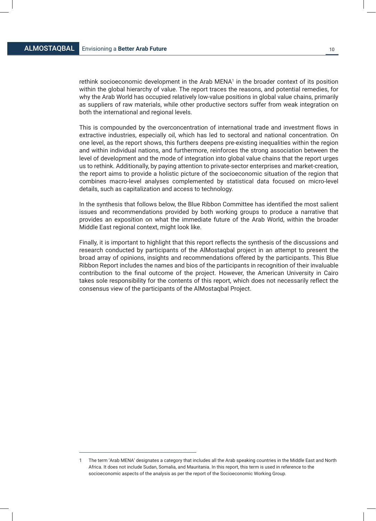rethink socioeconomic development in the Arab MENA<sup>1</sup> in the broader context of its position within the global hierarchy of value. The report traces the reasons, and potential remedies, for why the Arab World has occupied relatively low-value positions in global value chains, primarily as suppliers of raw materials, while other productive sectors suffer from weak integration on both the international and regional levels.

This is compounded by the overconcentration of international trade and investment flows in extractive industries, especially oil, which has led to sectoral and national concentration. On one level, as the report shows, this furthers deepens pre-existing inequalities within the region and within individual nations, and furthermore, reinforces the strong association between the level of development and the mode of integration into global value chains that the report urges us to rethink. Additionally, by paying attention to private-sector enterprises and market-creation, the report aims to provide a holistic picture of the socioeconomic situation of the region that combines macro-level analyses complemented by statistical data focused on micro-level details, such as capitalization and access to technology.

In the synthesis that follows below, the Blue Ribbon Committee has identified the most salient issues and recommendations provided by both working groups to produce a narrative that provides an exposition on what the immediate future of the Arab World, within the broader Middle East regional context, might look like.

Finally, it is important to highlight that this report reflects the synthesis of the discussions and research conducted by participants of the AlMostaqbal project in an attempt to present the broad array of opinions, insights and recommendations offered by the participants. This Blue Ribbon Report includes the names and bios of the participants in recognition of their invaluable contribution to the final outcome of the project. However, the American University in Cairo takes sole responsibility for the contents of this report, which does not necessarily reflect the consensus view of the participants of the AlMostaqbal Project.

<sup>1</sup> The term 'Arab MENA' designates a category that includes all the Arab speaking countries in the Middle East and North Africa. It does not include Sudan, Somalia, and Mauritania. In this report, this term is used in reference to the socioeconomic aspects of the analysis as per the report of the Socioeconomic Working Group.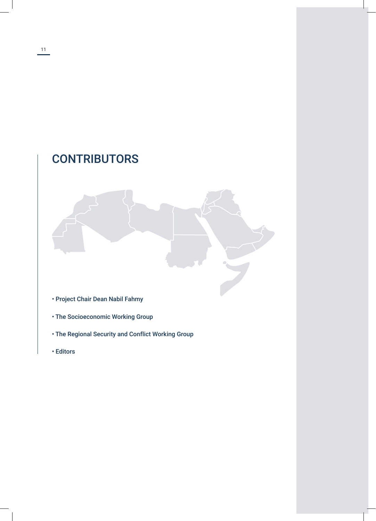# **CONTRIBUTORS**

- Project Chair Dean Nabil Fahmy
- The Socioeconomic Working Group
- The Regional Security and Conflict Working Group
- Editors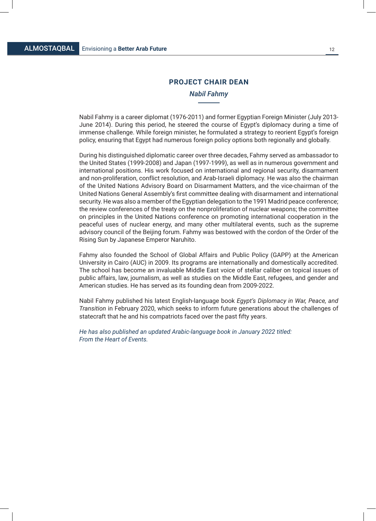#### **PROJECT CHAIR DEAN**

#### *Nabil Fahmy*

Nabil Fahmy is a career diplomat (1976-2011) and former Egyptian Foreign Minister (July 2013- June 2014). During this period, he steered the course of Egypt's diplomacy during a time of immense challenge. While foreign minister, he formulated a strategy to reorient Egypt's foreign policy, ensuring that Egypt had numerous foreign policy options both regionally and globally.

During his distinguished diplomatic career over three decades, Fahmy served as ambassador to the United States (1999-2008) and Japan (1997-1999), as well as in numerous government and international positions. His work focused on international and regional security, disarmament and non-proliferation, conflict resolution, and Arab-Israeli diplomacy. He was also the chairman of the United Nations Advisory Board on Disarmament Matters, and the vice-chairman of the United Nations General Assembly's first committee dealing with disarmament and international security. He was also a member of the Egyptian delegation to the 1991 Madrid peace conference; the review conferences of the treaty on the nonproliferation of nuclear weapons; the committee on principles in the United Nations conference on promoting international cooperation in the peaceful uses of nuclear energy, and many other multilateral events, such as the supreme advisory council of the Beijing forum. Fahmy was bestowed with the cordon of the Order of the Rising Sun by Japanese Emperor Naruhito.

Fahmy also founded the School of Global Affairs and Public Policy (GAPP) at the American University in Cairo (AUC) in 2009. Its programs are internationally and domestically accredited. The school has become an invaluable Middle East voice of stellar caliber on topical issues of public affairs, law, journalism, as well as studies on the Middle East, refugees, and gender and American studies. He has served as its founding dean from 2009-2022.

Nabil Fahmy published his latest English-language book *Egypt's Diplomacy in War, Peace, and Transition* in February 2020, which seeks to inform future generations about the challenges of statecraft that he and his compatriots faced over the past fifty years.

*He has also published an updated Arabic-language book in January 2022 titled: From the Heart of Events.*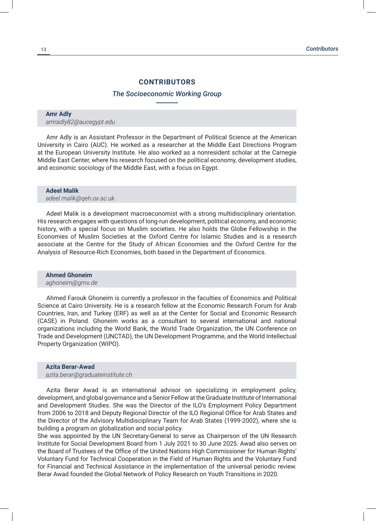#### **CONTRIBUTORS**

#### *The Socioeconomic Working Group*

## **Amr Adly**

*amradly82@aucegypt.edu*

Amr Adly is an Assistant Professor in the Department of Political Science at the American University in Cairo (AUC). He worked as a researcher at the Middle East Directions Program at the European University Institute. He also worked as a nonresident scholar at the Carnegie Middle East Center, where his research focused on the political economy, development studies, and economic sociology of the Middle East, with a focus on Egypt.

#### **Adeel Malik**

*adeel.malik@qeh.ox.ac.uk*

Adeel Malik is a development macroeconomist with a strong multidisciplinary orientation. His research engages with questions of long-run development, political economy, and economic history, with a special focus on Muslim societies. He also holds the Globe Fellowship in the Economies of Muslim Societies at the Oxford Centre for Islamic Studies and is a research associate at the Centre for the Study of African Economies and the Oxford Centre for the Analysis of Resource-Rich Economies, both based in the Department of Economics.

#### **Ahmed Ghoneim**

#### *aghoneim@gmx.de*

Ahmed Farouk Ghoneim is currently a professor in the faculties of Economics and Political Science at Cairo University. He is a research fellow at the Economic Research Forum for Arab Countries, Iran, and Turkey (ERF) as well as at the Center for Social and Economic Research (CASE) in Poland. Ghoneim works as a consultant to several international and national organizations including the World Bank, the World Trade Organization, the UN Conference on Trade and Development (UNCTAD), the UN Development Programme, and the World Intellectual Property Organization (WIPO).

#### **Azita Berar-Awad**

*azita.berar@graduateinstitute.ch*

Azita Berar Awad is an international advisor on specializing in employment policy, development, and global governance and a Senior Fellow at the Graduate Institute of International and Development Studies. She was the Director of the ILO's Employment Policy Department from 2006 to 2018 and Deputy Regional Director of the ILO Regional Office for Arab States and the Director of the Advisory Multidisciplinary Team for Arab States (1999-2002), where she is building a program on globalization and social policy.

She was appointed by the UN Secretary-General to serve as Chairperson of the UN Research Institute for Social Development Board from 1 July 2021 to 30 June 2025. Awad also serves on the Board of Trustees of the Office of the United Nations High Commissioner for Human Rights' Voluntary Fund for Technical Cooperation in the Field of Human Rights and the Voluntary Fund for Financial and Technical Assistance in the implementation of the universal periodic review. Berar Awad founded the Global Network of Policy Research on Youth Transitions in 2020.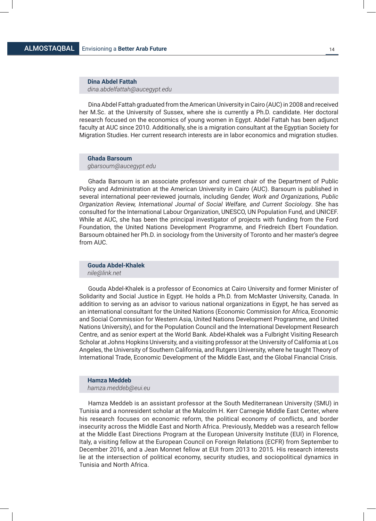**Dina Abdel Fattah**  *dina.abdelfattah@aucegypt.edu*

Dina Abdel Fattah graduated from the American University in Cairo (AUC) in 2008 and received her M.Sc. at the University of Sussex, where she is currently a Ph.D. candidate. Her doctoral research focused on the economics of young women in Egypt. Abdel Fattah has been adjunct faculty at AUC since 2010. Additionally, she is a migration consultant at the Egyptian Society for Migration Studies. Her current research interests are in labor economics and migration studies.

#### **Ghada Barsoum**

*gbarsoum@aucegypt.edu*

Ghada Barsoum is an associate professor and current chair of the Department of Public Policy and Administration at the American University in Cairo (AUC). Barsoum is published in several international peer-reviewed journals, including *Gender, Work and Organizations, Public Organization Review, International Journal of Social Welfare, and Current Sociology*. She has consulted for the International Labour Organization, UNESCO, UN Population Fund, and UNICEF. While at AUC, she has been the principal investigator of projects with funding from the Ford Foundation, the United Nations Development Programme, and Friedreich Ebert Foundation. Barsoum obtained her Ph.D. in sociology from the University of Toronto and her master's degree from AUC.

**Gouda Abdel-Khalek**  *nile@link.net*

Gouda Abdel-Khalek is a professor of Economics at Cairo University and former Minister of Solidarity and Social Justice in Egypt. He holds a Ph.D. from McMaster University, Canada. In addition to serving as an advisor to various national organizations in Egypt, he has served as an international consultant for the United Nations (Economic Commission for Africa, Economic and Social Commission for Western Asia, United Nations Development Programme, and United Nations University), and for the Population Council and the International Development Research Centre, and as senior expert at the World Bank. Abdel-Khalek was a Fulbright Visiting Research Scholar at Johns Hopkins University, and a visiting professor at the University of California at Los Angeles, the University of Southern California, and Rutgers University, where he taught Theory of International Trade, Economic Development of the Middle East, and the Global Financial Crisis.

#### **Hamza Meddeb**

*hamza.meddeb@eui.eu*

Hamza Meddeb is an assistant professor at the South Mediterranean University (SMU) in Tunisia and a nonresident scholar at the Malcolm H. Kerr Carnegie Middle East Center, where his research focuses on economic reform, the political economy of conflicts, and border insecurity across the Middle East and North Africa. Previously, Meddeb was a research fellow at the Middle East Directions Program at the European University Institute (EUI) in Florence, Italy, a visiting fellow at the European Council on Foreign Relations (ECFR) from September to December 2016, and a Jean Monnet fellow at EUI from 2013 to 2015. His research interests lie at the intersection of political economy, security studies, and sociopolitical dynamics in Tunisia and North Africa.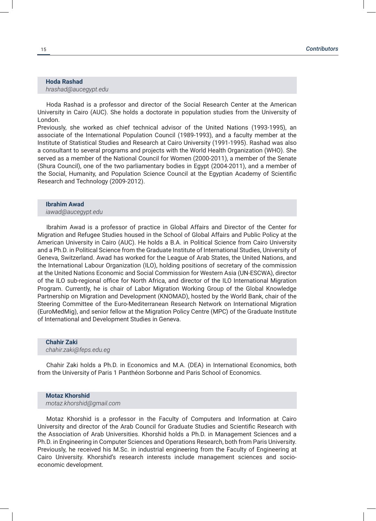#### **Hoda Rashad** *hrashad@aucegypt.edu*

Hoda Rashad is a professor and director of the Social Research Center at the American University in Cairo (AUC). She holds a doctorate in population studies from the University of London.

Previously, she worked as chief technical advisor of the United Nations (1993-1995), an associate of the International Population Council (1989-1993), and a faculty member at the Institute of Statistical Studies and Research at Cairo University (1991-1995). Rashad was also a consultant to several programs and projects with the World Health Organization (WHO). She served as a member of the National Council for Women (2000-2011), a member of the Senate (Shura Council), one of the two parliamentary bodies in Egypt (2004-2011), and a member of the Social, Humanity, and Population Science Council at the Egyptian Academy of Scientific Research and Technology (2009-2012).

#### **Ibrahim Awad**

#### *iawad@aucegypt.edu*

Ibrahim Awad is a professor of practice in Global Affairs and Director of the Center for Migration and Refugee Studies housed in the School of Global Affairs and Public Policy at the American University in Cairo (AUC). He holds a B.A. in Political Science from Cairo University and a Ph.D. in Political Science from the Graduate Institute of International Studies, University of Geneva, Switzerland. Awad has worked for the League of Arab States, the United Nations, and the International Labour Organization (ILO), holding positions of secretary of the commission at the United Nations Economic and Social Commission for Western Asia (UN-ESCWA), director of the ILO sub-regional office for North Africa, and director of the ILO International Migration Program. Currently, he is chair of Labor Migration Working Group of the Global Knowledge Partnership on Migration and Development (KNOMAD), hosted by the World Bank, chair of the Steering Committee of the Euro-Mediterranean Research Network on International Migration (EuroMedMig), and senior fellow at the Migration Policy Centre (MPC) of the Graduate Institute of International and Development Studies in Geneva.

#### **Chahir Zaki**  *chahir.zaki@feps.edu.eg*

Chahir Zaki holds a Ph.D. in Economics and M.A. (DEA) in International Economics, both from the University of Paris 1 Panthéon Sorbonne and Paris School of Economics.

#### **Motaz Khorshid**  *motaz.khorshid@gmail.com*

Motaz Khorshid is a professor in the Faculty of Computers and Information at Cairo University and director of the Arab Council for Graduate Studies and Scientific Research with the Association of Arab Universities. Khorshid holds a Ph.D. in Management Sciences and a Ph.D. in Engineering in Computer Sciences and Operations Research, both from Paris University. Previously, he received his M.Sc. in industrial engineering from the Faculty of Engineering at Cairo University. Khorshid's research interests include management sciences and socioeconomic development.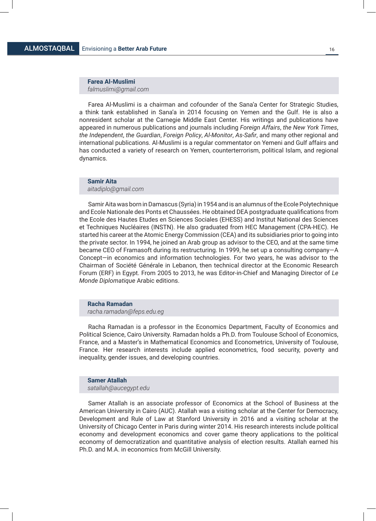#### **Farea Al-Muslimi**  *falmuslimi@gmail.com*

Farea Al-Muslimi is a chairman and cofounder of the Sana'a Center for Strategic Studies, a think tank established in Sana'a in 2014 focusing on Yemen and the Gulf. He is also a nonresident scholar at the Carnegie Middle East Center. His writings and publications have appeared in numerous publications and journals including *Foreign Affairs*, *the New York Times*, *the Independent*, *the Guardian*, *Foreign Policy*, *Al-Monitor*, *As-Safir*, and many other regional and international publications. Al-Muslimi is a regular commentator on Yemeni and Gulf affairs and has conducted a variety of research on Yemen, counterterrorism, political Islam, and regional dynamics.

#### **Samir Aita**

#### *aitadiplo@gmail.com*

Samir Aita was born in Damascus (Syria) in 1954 and is an alumnus of the Ecole Polytechnique and Ecole Nationale des Ponts et Chaussées. He obtained DEA postgraduate qualifications from the Ecole des Hautes Etudes en Sciences Sociales (EHESS) and Institut National des Sciences et Techniques Nucléaires (INSTN). He also graduated from HEC Management (CPA-HEC). He started his career at the Atomic Energy Commission (CEA) and its subsidiaries prior to going into the private sector. In 1994, he joined an Arab group as advisor to the CEO, and at the same time became CEO of Framasoft during its restructuring. In 1999, he set up a consulting company—A Concept—in economics and information technologies. For two years, he was advisor to the Chairman of Société Générale in Lebanon, then technical director at the Economic Research Forum (ERF) in Egypt. From 2005 to 2013, he was Editor-in-Chief and Managing Director of *Le Monde Diplomatique* Arabic editions.

#### **Racha Ramadan**

#### *racha.ramadan@feps.edu.eg*

Racha Ramadan is a professor in the Economics Department, Faculty of Economics and Political Science, Cairo University. Ramadan holds a Ph.D. from Toulouse School of Economics, France, and a Master's in Mathematical Economics and Econometrics, University of Toulouse, France. Her research interests include applied econometrics, food security, poverty and inequality, gender issues, and developing countries.

#### **Samer Atallah**

#### *satallah@aucegypt.edu*

Samer Atallah is an associate professor of Economics at the School of Business at the American University in Cairo (AUC). Atallah was a visiting scholar at the Center for Democracy, Development and Rule of Law at Stanford University in 2016 and a visiting scholar at the University of Chicago Center in Paris during winter 2014. His research interests include political economy and development economics and cover game theory applications to the political economy of democratization and quantitative analysis of election results. Atallah earned his Ph.D. and M.A. in economics from McGill University.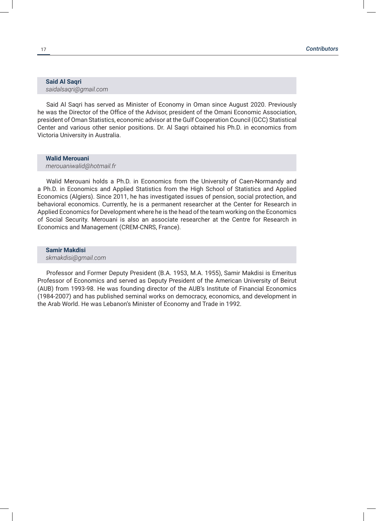#### **Said Al Saqri**  *saidalsaqri@gmail.com*

Said Al Saqri has served as Minister of Economy in Oman since August 2020. Previously he was the Director of the Office of the Advisor, president of the Omani Economic Association, president of Oman Statistics, economic advisor at the Gulf Cooperation Council (GCC) Statistical Center and various other senior positions. Dr. Al Saqri obtained his Ph.D. in economics from Victoria University in Australia.

#### **Walid Merouani**

*merouaniwalid@hotmail.fr*

Walid Merouani holds a Ph.D. in Economics from the University of Caen-Normandy and a Ph.D. in Economics and Applied Statistics from the High School of Statistics and Applied Economics (Algiers). Since 2011, he has investigated issues of pension, social protection, and behavioral economics. Currently, he is a permanent researcher at the Center for Research in Applied Economics for Development where he is the head of the team working on the Economics of Social Security. Merouani is also an associate researcher at the Centre for Research in Economics and Management (CREM-CNRS, France).

**Samir Makdisi**  *skmakdisi@gmail.com*

Professor and Former Deputy President (B.A. 1953, M.A. 1955), Samir Makdisi is Emeritus Professor of Economics and served as Deputy President of the American University of Beirut (AUB) from 1993-98. He was founding director of the AUB's Institute of Financial Economics (1984-2007) and has published seminal works on democracy, economics, and development in the Arab World. He was Lebanon's Minister of Economy and Trade in 1992.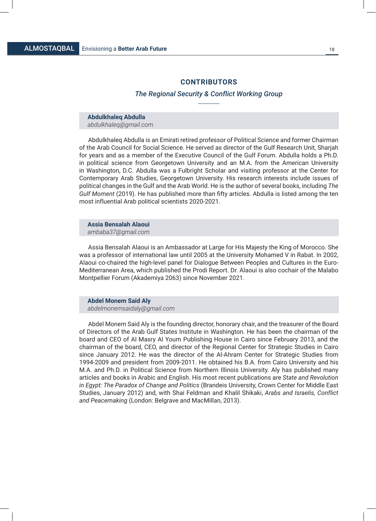#### **CONTRIBUTORS**

#### *The Regional Security & Conflict Working Group*

#### **Abdulkhaleq Abdulla**  *abdulkhaleq@gmail.com*

Abdulkhaleq Abdulla is an Emirati retired professor of Political Science and former Chairman of the Arab Council for Social Science. He served as director of the Gulf Research Unit, Sharjah for years and as a member of the Executive Council of the Gulf Forum. Abdulla holds a Ph.D. in political science from Georgetown University and an M.A. from the American University in Washington, D.C. Abdulla was a Fulbright Scholar and visiting professor at the Center for Contemporary Arab Studies, Georgetown University. His research interests include issues of political changes in the Gulf and the Arab World. He is the author of several books, including *The Gulf Moment* (2019). He has published more than fifty articles. Abdulla is listed among the ten most influential Arab political scientists 2020-2021.

**Assia Bensalah Alaoui**  *ambaba37@gmail.com*

Assia Bensalah Alaoui is an Ambassador at Large for His Majesty the King of Morocco. She was a professor of international law until 2005 at the University Mohamed V in Rabat. In 2002, Alaoui co-chaired the high-level panel for Dialogue Between Peoples and Cultures in the Euro-Mediterranean Area, which published the Prodi Report. Dr. Alaoui is also cochair of the Malabo Montpellier Forum (Akademiya 2063) since November 2021.

**Abdel Monem Said Aly**  *abdelmonemsaidaly@gmail.com*

Abdel Monem Said Aly is the founding director, honorary chair, and the treasurer of the Board of Directors of the Arab Gulf States Institute in Washington. He has been the chairman of the board and CEO of Al Masry Al Youm Publishing House in Cairo since February 2013, and the chairman of the board, CEO, and director of the Regional Center for Strategic Studies in Cairo since January 2012. He was the director of the Al-Ahram Center for Strategic Studies from 1994-2009 and president from 2009-2011. He obtained his B.A. from Cairo University and his M.A. and Ph.D. in Political Science from Northern Illinois University. Aly has published many articles and books in Arabic and English. His most recent publications are *State and Revolution in Egypt: The Paradox of Change and Politics* (Brandeis University, Crown Center for Middle East Studies, January 2012) and, with Shai Feldman and Khalil Shikaki, *Arabs and Israelis, Conflict and Peacemaking* (London: Belgrave and MacMillan, 2013).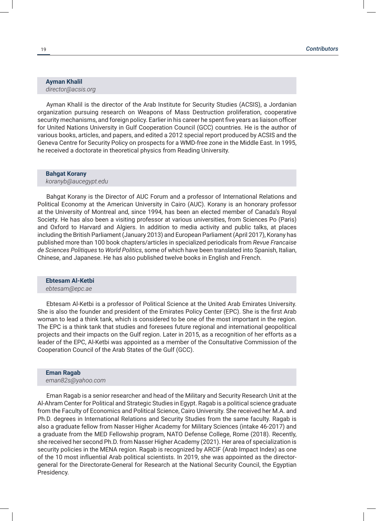#### **Ayman Khalil**  *director@acsis.org*

Ayman Khalil is the director of the Arab Institute for Security Studies (ACSIS), a Jordanian organization pursuing research on Weapons of Mass Destruction proliferation, cooperative security mechanisms, and foreign policy. Earlier in his career he spent five years as liaison officer for United Nations University in Gulf Cooperation Council (GCC) countries. He is the author of various books, articles, and papers, and edited a 2012 special report produced by ACSIS and the Geneva Centre for Security Policy on prospects for a WMD-free zone in the Middle East. In 1995, he received a doctorate in theoretical physics from Reading University.

#### **Bahgat Korany**  *koranyb@aucegypt.edu*

Bahgat Korany is the Director of AUC Forum and a professor of International Relations and Political Economy at the American University in Cairo (AUC). Korany is an honorary professor at the University of Montreal and, since 1994, has been an elected member of Canada's Royal Society. He has also been a visiting professor at various universities, from Sciences Po (Paris) and Oxford to Harvard and Algiers. In addition to media activity and public talks, at places including the British Parliament (January 2013) and European Parliament (April 2017), Korany has published more than 100 book chapters/articles in specialized periodicals from *Revue Francaise de Sciences Politiques* to *World Politics*, some of which have been translated into Spanish, Italian, Chinese, and Japanese. He has also published twelve books in English and French.

#### **Ebtesam Al-Ketbi**  *ebtesam@epc.ae*

Ebtesam Al-Ketbi is a professor of Political Science at the United Arab Emirates University. She is also the founder and president of the Emirates Policy Center (EPC). She is the first Arab woman to lead a think tank, which is considered to be one of the most important in the region. The EPC is a think tank that studies and foresees future regional and international geopolitical projects and their impacts on the Gulf region. Later in 2015, as a recognition of her efforts as a leader of the EPC, Al-Ketbi was appointed as a member of the Consultative Commission of the Cooperation Council of the Arab States of the Gulf (GCC).

#### **Eman Ragab** *eman82s@yahoo.com*

Eman Ragab is a senior researcher and head of the Military and Security Research Unit at the Al-Ahram Center for Political and Strategic Studies in Egypt. Ragab is a political science graduate from the Faculty of Economics and Political Science, Cairo University. She received her M.A. and Ph.D. degrees in International Relations and Security Studies from the same faculty. Ragab is also a graduate fellow from Nasser Higher Academy for Military Sciences (intake 46-2017) and a graduate from the MED Fellowship program, NATO Defense College, Rome (2018). Recently, she received her second Ph.D. from Nasser Higher Academy (2021). Her area of specialization is security policies in the MENA region. Ragab is recognized by ARCIF (Arab Impact Index) as one of the 10 most influential Arab political scientists. In 2019, she was appointed as the directorgeneral for the Directorate-General for Research at the National Security Council, the Egyptian Presidency.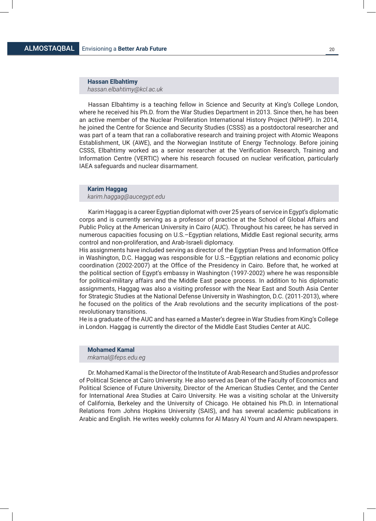**Hassan Elbahtimy** *hassan.elbahtimy@kcl.ac.uk*

Hassan Elbahtimy is a teaching fellow in Science and Security at King's College London, where he received his Ph.D. from the War Studies Department in 2013. Since then, he has been an active member of the Nuclear Proliferation International History Project (NPIHP). In 2014, he joined the Centre for Science and Security Studies (CSSS) as a postdoctoral researcher and was part of a team that ran a collaborative research and training project with Atomic Weapons Establishment, UK (AWE), and the Norwegian Institute of Energy Technology. Before joining CSSS, Elbahtimy worked as a senior researcher at the Verification Research, Training and Information Centre (VERTIC) where his research focused on nuclear verification, particularly IAEA safeguards and nuclear disarmament.

#### **Karim Haggag**

*karim.haggag@aucegypt.edu*

Karim Haggag is a career Egyptian diplomat with over 25 years of service in Egypt's diplomatic corps and is currently serving as a professor of practice at the School of Global Affairs and Public Policy at the American University in Cairo (AUC). Throughout his career, he has served in numerous capacities focusing on U.S.–Egyptian relations, Middle East regional security, arms control and non-proliferation, and Arab-Israeli diplomacy.

His assignments have included serving as director of the Egyptian Press and Information Office in Washington, D.C. Haggag was responsible for U.S.–Egyptian relations and economic policy coordination (2002-2007) at the Office of the Presidency in Cairo. Before that, he worked at the political section of Egypt's embassy in Washington (1997-2002) where he was responsible for political-military affairs and the Middle East peace process. In addition to his diplomatic assignments, Haggag was also a visiting professor with the Near East and South Asia Center for Strategic Studies at the National Defense University in Washington, D.C. (2011-2013), where he focused on the politics of the Arab revolutions and the security implications of the postrevolutionary transitions.

He is a graduate of the AUC and has earned a Master's degree in War Studies from King's College in London. Haggag is currently the director of the Middle East Studies Center at AUC.

### **Mohamed Kamal**

*mkamal@feps.edu.eg*

Dr. Mohamed Kamal is the Director of the Institute of Arab Research and Studies and professor of Political Science at Cairo University. He also served as Dean of the Faculty of Economics and Political Science of Future University, Director of the American Studies Center, and the Center for International Area Studies at Cairo University. He was a visiting scholar at the University of California, Berkeley and the University of Chicago. He obtained his Ph.D. in International Relations from Johns Hopkins University (SAIS), and has several academic publications in Arabic and English. He writes weekly columns for Al Masry Al Youm and Al Ahram newspapers.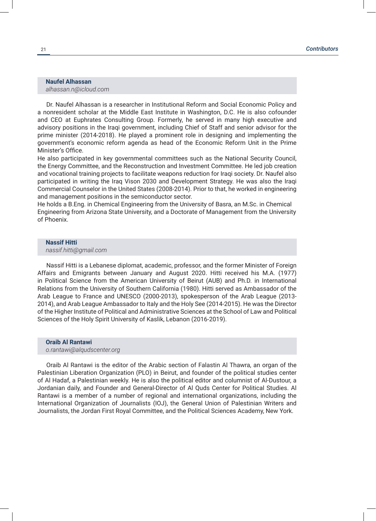#### **Naufel Alhassan**  *alhassan.n@icloud.com*

Dr. Naufel Alhassan is a researcher in Institutional Reform and Social Economic Policy and a nonresident scholar at the Middle East Institute in Washington, D.C. He is also cofounder and CEO at Euphrates Consulting Group. Formerly, he served in many high executive and advisory positions in the Iraqi government, including Chief of Staff and senior advisor for the prime minister (2014-2018). He played a prominent role in designing and implementing the government's economic reform agenda as head of the Economic Reform Unit in the Prime Minister's Office.

He also participated in key governmental committees such as the National Security Council, the Energy Committee, and the Reconstruction and Investment Committee. He led job creation and vocational training projects to facilitate weapons reduction for Iraqi society. Dr. Naufel also participated in writing the Iraq Vison 2030 and Development Strategy. He was also the Iraqi Commercial Counselor in the United States (2008-2014). Prior to that, he worked in engineering and management positions in the semiconductor sector.

He holds a B.Eng. in Chemical Engineering from the University of Basra, an M.Sc. in Chemical Engineering from Arizona State University, and a Doctorate of Management from the University of Phoenix.

#### **Nassif Hitti**

*nassif.hitti@gmail.com*

Nassif Hitti is a Lebanese diplomat, academic, professor, and the former Minister of Foreign Affairs and Emigrants between January and August 2020. Hitti received his M.A. (1977) in Political Science from the American University of Beirut (AUB) and Ph.D. in International Relations from the University of Southern California (1980). Hitti served as Ambassador of the Arab League to France and UNESCO (2000-2013), spokesperson of the Arab League (2013- 2014), and Arab League Ambassador to Italy and the Holy See (2014-2015). He was the Director of the Higher Institute of Political and Administrative Sciences at the School of Law and Political Sciences of the Holy Spirit University of Kaslik, Lebanon (2016-2019).

#### **Oraib Al Rantawi**  *o.rantawi@alqudscenter.org*

Oraib Al Rantawi is the editor of the Arabic section of Falastin Al Thawra, an organ of the Palestinian Liberation Organization (PLO) in Beirut, and founder of the political studies center of Al Hadaf, a Palestinian weekly. He is also the political editor and columnist of Al-Dustour, a Jordanian daily, and Founder and General-Director of Al Quds Center for Political Studies. Al Rantawi is a member of a number of regional and international organizations, including the International Organization of Journalists (IOJ), the General Union of Palestinian Writers and Journalists, the Jordan First Royal Committee, and the Political Sciences Academy, New York.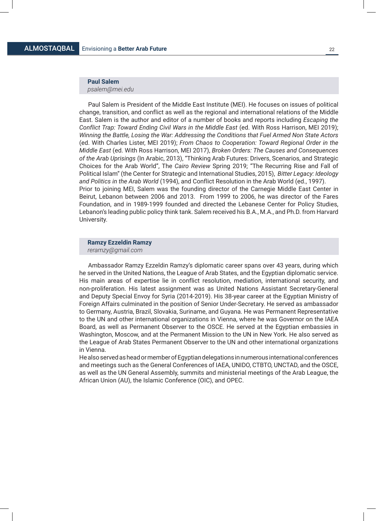#### **Paul Salem**

*psalem@mei.edu*

Paul Salem is President of the Middle East Institute (MEI). He focuses on issues of political change, transition, and conflict as well as the regional and international relations of the Middle East. Salem is the author and editor of a number of books and reports including *Escaping the Conflict Trap: Toward Ending Civil Wars in the Middle East* (ed. With Ross Harrison, MEI 2019); *Winning the Battle, Losing the War: Addressing the Conditions that Fuel Armed Non State Actors*  (ed. With Charles Lister, MEI 2019); *From Chaos to Cooperation: Toward Regional Order in the Middle East* (ed. With Ross Harrison, MEI 2017), *Broken Orders: The Causes and Consequences of the Arab Uprisings* (In Arabic, 2013), "Thinking Arab Futures: Drivers, Scenarios, and Strategic Choices for the Arab World", The *Cairo Review* Spring 2019; "The Recurring Rise and Fall of Political Islam" (the Center for Strategic and International Studies, 2015), *Bitter Legacy: Ideology and Politics in the Arab World* (1994), and Conflict Resolution in the Arab World (ed., 1997). Prior to joining MEI, Salem was the founding director of the Carnegie Middle East Center in Beirut, Lebanon between 2006 and 2013. From 1999 to 2006, he was director of the Fares Foundation, and in 1989-1999 founded and directed the Lebanese Center for Policy Studies, Lebanon's leading public policy think tank. Salem received his B.A., M.A., and Ph.D. from Harvard University.

# **Ramzy Ezzeldin Ramzy**

*reramzy@gmail.com*

Ambassador Ramzy Ezzeldin Ramzy's diplomatic career spans over 43 years, during which he served in the United Nations, the League of Arab States, and the Egyptian diplomatic service. His main areas of expertise lie in conflict resolution, mediation, international security, and non-proliferation. His latest assignment was as United Nations Assistant Secretary-General and Deputy Special Envoy for Syria (2014-2019). His 38-year career at the Egyptian Ministry of Foreign Affairs culminated in the position of Senior Under-Secretary. He served as ambassador to Germany, Austria, Brazil, Slovakia, Suriname, and Guyana. He was Permanent Representative to the UN and other international organizations in Vienna, where he was Governor on the IAEA Board, as well as Permanent Observer to the OSCE. He served at the Egyptian embassies in Washington, Moscow, and at the Permanent Mission to the UN in New York. He also served as the League of Arab States Permanent Observer to the UN and other international organizations in Vienna.

He also served as head or member of Egyptian delegations in numerous international conferences and meetings such as the General Conferences of IAEA, UNIDO, CTBTO, UNCTAD, and the OSCE, as well as the UN General Assembly, summits and ministerial meetings of the Arab League, the African Union (AU), the Islamic Conference (OIC), and OPEC.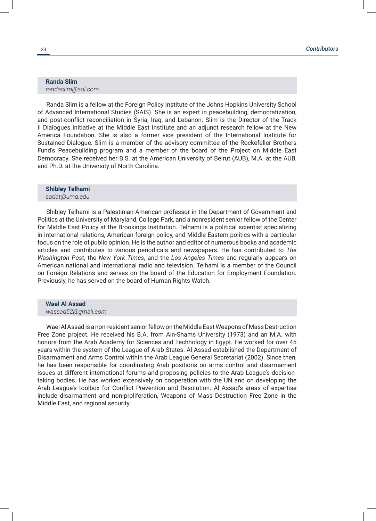#### **Randa Slim**  *randaslim@aol.com*

Randa Slim is a fellow at the Foreign Policy Institute of the Johns Hopkins University School of Advanced International Studies (SAIS). She is an expert in peacebuilding, democratization, and post-conflict reconciliation in Syria, Iraq, and Lebanon. Slim is the Director of the Track II Dialogues initiative at the Middle East Institute and an adjunct research fellow at the New America Foundation. She is also a former vice president of the International Institute for Sustained Dialogue. Slim is a member of the advisory committee of the Rockefeller Brothers Fund's Peacebuilding program and a member of the board of the Project on Middle East Democracy. She received her B.S. at the American University of Beirut (AUB), M.A. at the AUB, and Ph.D. at the University of North Carolina.

#### **Shibley Telhami**  *sadat@umd.edu*

Shibley Telhami is a Palestinian-American professor in the Department of Government and Politics at the University of Maryland, College Park, and a nonresident senior fellow of the Center for Middle East Policy at the Brookings Institution. Telhami is a political scientist specializing in international relations, American foreign policy, and Middle Eastern politics with a particular focus on the role of public opinion. He is the author and editor of numerous books and academic articles and contributes to various periodicals and newspapers. He has contributed to *The Washington Post*, the *New York Times*, and the *Los Angeles Times* and regularly appears on American national and international radio and television. Telhami is a member of the Council on Foreign Relations and serves on the board of the Education for Employment Foundation. Previously, he has served on the board of Human Rights Watch.

# **Wael Al Assad**

#### *wassad52@gmail.com*

Wael Al Assad is a non-resident senior fellow on the Middle East Weapons of Mass Destruction Free Zone project. He received his B.A. from Ain-Shams University (1973) and an M.A. with honors from the Arab Academy for Sciences and Technology in Egypt. He worked for over 45 years within the system of the League of Arab States. Al Assad established the Department of Disarmament and Arms Control within the Arab League General Secretariat (2002). Since then, he has been responsible for coordinating Arab positions on arms control and disarmament issues at different international forums and proposing policies to the Arab League's decisiontaking bodies. He has worked extensively on cooperation with the UN and on developing the Arab League's toolbox for Conflict Prevention and Resolution. Al Assad's areas of expertise include disarmament and non-proliferation, Weapons of Mass Destruction Free Zone in the Middle East, and regional security.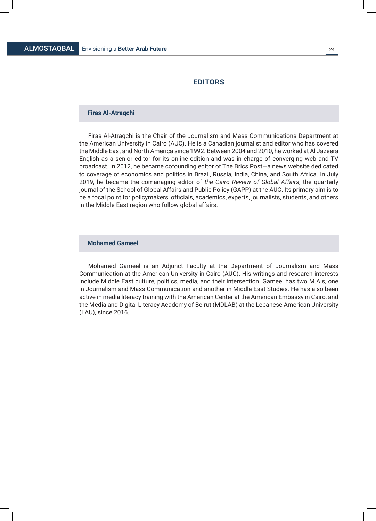#### **EDITORS**

#### **Firas Al-Atraqchi**

Firas Al-Atraqchi is the Chair of the Journalism and Mass Communications Department at the American University in Cairo (AUC). He is a Canadian journalist and editor who has covered the Middle East and North America since 1992. Between 2004 and 2010, he worked at Al Jazeera English as a senior editor for its online edition and was in charge of converging web and TV broadcast. In 2012, he became cofounding editor of The Brics Post—a news website dedicated to coverage of economics and politics in Brazil, Russia, India, China, and South Africa. In July 2019, he became the comanaging editor of *the Cairo Review of Global Affairs*, the quarterly journal of the School of Global Affairs and Public Policy (GAPP) at the AUC. Its primary aim is to be a focal point for policymakers, officials, academics, experts, journalists, students, and others in the Middle East region who follow global affairs.

#### **Mohamed Gameel**

Mohamed Gameel is an Adjunct Faculty at the Department of Journalism and Mass Communication at the American University in Cairo (AUC). His writings and research interests include Middle East culture, politics, media, and their intersection. Gameel has two M.A.s, one in Journalism and Mass Communication and another in Middle East Studies. He has also been active in media literacy training with the American Center at the American Embassy in Cairo, and the Media and Digital Literacy Academy of Beirut (MDLAB) at the Lebanese American University (LAU), since 2016.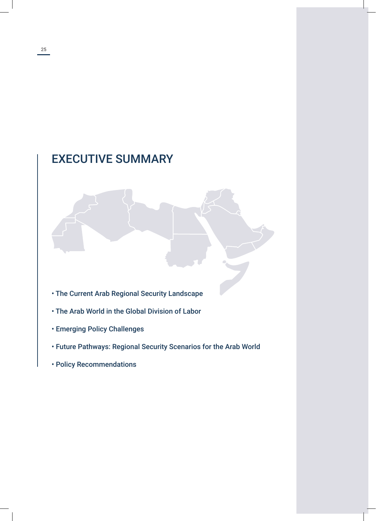# EXECUTIVE SUMMARY

- The Current Arab Regional Security Landscape
- The Arab World in the Global Division of Labor
- Emerging Policy Challenges
- Future Pathways: Regional Security Scenarios for the Arab World
- Policy Recommendations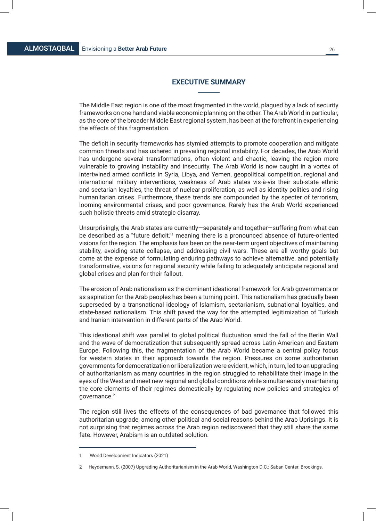#### **EXECUTIVE SUMMARY**

The Middle East region is one of the most fragmented in the world, plagued by a lack of security frameworks on one hand and viable economic planning on the other. The Arab World in particular, as the core of the broader Middle East regional system, has been at the forefront in experiencing the effects of this fragmentation.

The deficit in security frameworks has stymied attempts to promote cooperation and mitigate common threats and has ushered in prevailing regional instability. For decades, the Arab World has undergone several transformations, often violent and chaotic, leaving the region more vulnerable to growing instability and insecurity. The Arab World is now caught in a vortex of intertwined armed conflicts in Syria, Libya, and Yemen, geopolitical competition, regional and international military interventions, weakness of Arab states vis-à-vis their sub-state ethnic and sectarian loyalties, the threat of nuclear proliferation, as well as identity politics and rising humanitarian crises. Furthermore, these trends are compounded by the specter of terrorism, looming environmental crises, and poor governance. Rarely has the Arab World experienced such holistic threats amid strategic disarray.

Unsurprisingly, the Arab states are currently—separately and together—suffering from what can be described as a "future deficit,"<sup>1</sup> meaning there is a pronounced absence of future-oriented visions for the region. The emphasis has been on the near-term urgent objectives of maintaining stability, avoiding state collapse, and addressing civil wars. These are all worthy goals but come at the expense of formulating enduring pathways to achieve alternative, and potentially transformative, visions for regional security while failing to adequately anticipate regional and global crises and plan for their fallout.

The erosion of Arab nationalism as the dominant ideational framework for Arab governments or as aspiration for the Arab peoples has been a turning point. This nationalism has gradually been superseded by a transnational ideology of Islamism, sectarianism, subnational loyalties, and state-based nationalism. This shift paved the way for the attempted legitimization of Turkish and Iranian intervention in different parts of the Arab World.

This ideational shift was parallel to global political fluctuation amid the fall of the Berlin Wall and the wave of democratization that subsequently spread across Latin American and Eastern Europe. Following this, the fragmentation of the Arab World became a central policy focus for western states in their approach towards the region. Pressures on some authoritarian governments for democratization or liberalization were evident, which, in turn, led to an upgrading of authoritarianism as many countries in the region struggled to rehabilitate their image in the eyes of the West and meet new regional and global conditions while simultaneously maintaining the core elements of their regimes domestically by regulating new policies and strategies of governance.2

The region still lives the effects of the consequences of bad governance that followed this authoritarian upgrade, among other political and social reasons behind the Arab Uprisings. It is not surprising that regimes across the Arab region rediscovered that they still share the same fate. However, Arabism is an outdated solution.

<sup>1</sup> World Development Indicators (2021)

<sup>2</sup> Heydemann, S. (2007) Upgrading Authoritarianism in the Arab World, Washington D.C.: Saban Center, Brookings.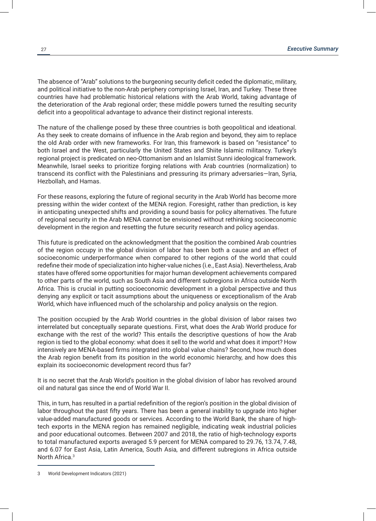The absence of "Arab" solutions to the burgeoning security deficit ceded the diplomatic, military, and political initiative to the non-Arab periphery comprising Israel, Iran, and Turkey. These three countries have had problematic historical relations with the Arab World, taking advantage of the deterioration of the Arab regional order; these middle powers turned the resulting security deficit into a geopolitical advantage to advance their distinct regional interests.

The nature of the challenge posed by these three countries is both geopolitical and ideational. As they seek to create domains of influence in the Arab region and beyond, they aim to replace the old Arab order with new frameworks. For Iran, this framework is based on "resistance" to both Israel and the West, particularly the United States and Shiite Islamic militancy. Turkey's regional project is predicated on neo-Ottomanism and an Islamist Sunni ideological framework. Meanwhile, Israel seeks to prioritize forging relations with Arab countries (normalization) to transcend its conflict with the Palestinians and pressuring its primary adversaries—Iran, Syria, Hezbollah, and Hamas.

For these reasons, exploring the future of regional security in the Arab World has become more pressing within the wider context of the MENA region. Foresight, rather than prediction, is key in anticipating unexpected shifts and providing a sound basis for policy alternatives. The future of regional security in the Arab MENA cannot be envisioned without rethinking socioeconomic development in the region and resetting the future security research and policy agendas.

This future is predicated on the acknowledgment that the position the combined Arab countries of the region occupy in the global division of labor has been both a cause and an effect of socioeconomic underperformance when compared to other regions of the world that could redefine their mode of specialization into higher-value niches (i.e., East Asia). Nevertheless, Arab states have offered some opportunities for major human development achievements compared to other parts of the world, such as South Asia and different subregions in Africa outside North Africa. This is crucial in putting socioeconomic development in a global perspective and thus denying any explicit or tacit assumptions about the uniqueness or exceptionalism of the Arab World, which have influenced much of the scholarship and policy analysis on the region.

The position occupied by the Arab World countries in the global division of labor raises two interrelated but conceptually separate questions. First, what does the Arab World produce for exchange with the rest of the world? This entails the descriptive questions of how the Arab region is tied to the global economy: what does it sell to the world and what does it import? How intensively are MENA-based firms integrated into global value chains? Second, how much does the Arab region benefit from its position in the world economic hierarchy, and how does this explain its socioeconomic development record thus far?

It is no secret that the Arab World's position in the global division of labor has revolved around oil and natural gas since the end of World War II.

This, in turn, has resulted in a partial redefinition of the region's position in the global division of labor throughout the past fifty years. There has been a general inability to upgrade into higher value-added manufactured goods or services. According to the World Bank, the share of hightech exports in the MENA region has remained negligible, indicating weak industrial policies and poor educational outcomes. Between 2007 and 2018, the ratio of high-technology exports to total manufactured exports averaged 5.9 percent for MENA compared to 29.76, 13.74, 7.48, and 6.07 for East Asia, Latin America, South Asia, and different subregions in Africa outside North Africa.3

<sup>3</sup> World Development Indicators (2021)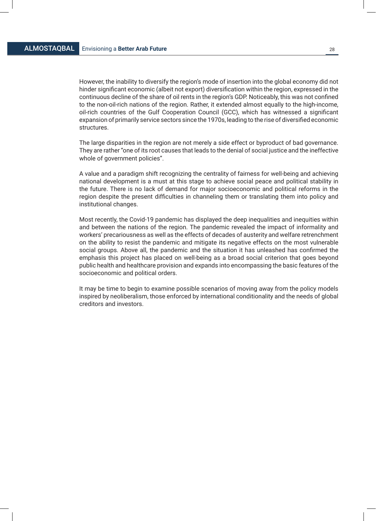However, the inability to diversify the region's mode of insertion into the global economy did not hinder significant economic (albeit not export) diversification within the region, expressed in the continuous decline of the share of oil rents in the region's GDP. Noticeably, this was not confined to the non-oil-rich nations of the region. Rather, it extended almost equally to the high-income, oil-rich countries of the Gulf Cooperation Council (GCC), which has witnessed a significant expansion of primarily service sectors since the 1970s, leading to the rise of diversified economic structures.

The large disparities in the region are not merely a side effect or byproduct of bad governance. They are rather "one of its root causes that leads to the denial of social justice and the ineffective whole of government policies".

A value and a paradigm shift recognizing the centrality of fairness for well-being and achieving national development is a must at this stage to achieve social peace and political stability in the future. There is no lack of demand for major socioeconomic and political reforms in the region despite the present difficulties in channeling them or translating them into policy and institutional changes.

Most recently, the Covid-19 pandemic has displayed the deep inequalities and inequities within and between the nations of the region. The pandemic revealed the impact of informality and workers' precariousness as well as the effects of decades of austerity and welfare retrenchment on the ability to resist the pandemic and mitigate its negative effects on the most vulnerable social groups. Above all, the pandemic and the situation it has unleashed has confirmed the emphasis this project has placed on well-being as a broad social criterion that goes beyond public health and healthcare provision and expands into encompassing the basic features of the socioeconomic and political orders.

It may be time to begin to examine possible scenarios of moving away from the policy models inspired by neoliberalism, those enforced by international conditionality and the needs of global creditors and investors.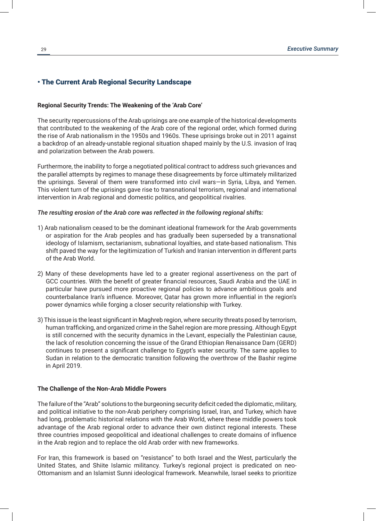#### • The Current Arab Regional Security Landscape

#### **Regional Security Trends: The Weakening of the 'Arab Core'**

The security repercussions of the Arab uprisings are one example of the historical developments that contributed to the weakening of the Arab core of the regional order, which formed during the rise of Arab nationalism in the 1950s and 1960s. These uprisings broke out in 2011 against a backdrop of an already-unstable regional situation shaped mainly by the U.S. invasion of Iraq and polarization between the Arab powers.

Furthermore, the inability to forge a negotiated political contract to address such grievances and the parallel attempts by regimes to manage these disagreements by force ultimately militarized the uprisings. Several of them were transformed into civil wars—in Syria, Libya, and Yemen. This violent turn of the uprisings gave rise to transnational terrorism, regional and international intervention in Arab regional and domestic politics, and geopolitical rivalries.

#### *The resulting erosion of the Arab core was reflected in the following regional shifts:*

- 1) Arab nationalism ceased to be the dominant ideational framework for the Arab governments or aspiration for the Arab peoples and has gradually been superseded by a transnational ideology of Islamism, sectarianism, subnational loyalties, and state-based nationalism. This shift paved the way for the legitimization of Turkish and Iranian intervention in different parts of the Arab World.
- 2) Many of these developments have led to a greater regional assertiveness on the part of GCC countries. With the benefit of greater financial resources, Saudi Arabia and the UAE in particular have pursued more proactive regional policies to advance ambitious goals and counterbalance Iran's influence. Moreover, Qatar has grown more influential in the region's power dynamics while forging a closer security relationship with Turkey.
- 3) This issue is the least significant in Maghreb region, where security threats posed by terrorism, human trafficking, and organized crime in the Sahel region are more pressing. Although Egypt is still concerned with the security dynamics in the Levant, especially the Palestinian cause, the lack of resolution concerning the issue of the Grand Ethiopian Renaissance Dam (GERD) continues to present a significant challenge to Egypt's water security. The same applies to Sudan in relation to the democratic transition following the overthrow of the Bashir regime in April 2019.

#### **The Challenge of the Non-Arab Middle Powers**

The failure of the "Arab" solutions to the burgeoning security deficit ceded the diplomatic, military, and political initiative to the non-Arab periphery comprising Israel, Iran, and Turkey, which have had long, problematic historical relations with the Arab World, where these middle powers took advantage of the Arab regional order to advance their own distinct regional interests. These three countries imposed geopolitical and ideational challenges to create domains of influence in the Arab region and to replace the old Arab order with new frameworks.

For Iran, this framework is based on "resistance" to both Israel and the West, particularly the United States, and Shiite Islamic militancy. Turkey's regional project is predicated on neo-Ottomanism and an Islamist Sunni ideological framework. Meanwhile, Israel seeks to prioritize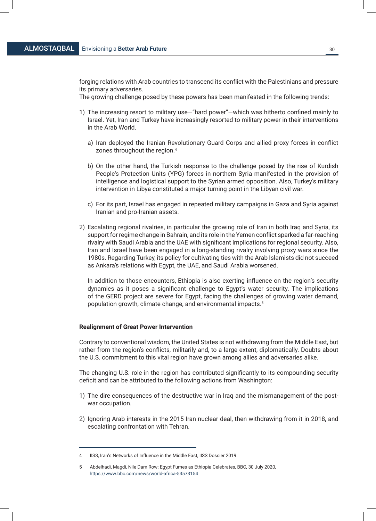forging relations with Arab countries to transcend its conflict with the Palestinians and pressure its primary adversaries.

The growing challenge posed by these powers has been manifested in the following trends:

- 1) The increasing resort to military use—"hard power"—which was hitherto confined mainly to Israel. Yet, Iran and Turkey have increasingly resorted to military power in their interventions in the Arab World.
	- a) Iran deployed the Iranian Revolutionary Guard Corps and allied proxy forces in conflict zones throughout the region.4
	- b) On the other hand, the Turkish response to the challenge posed by the rise of Kurdish People's Protection Units (YPG) forces in northern Syria manifested in the provision of intelligence and logistical support to the Syrian armed opposition. Also, Turkey's military intervention in Libya constituted a major turning point in the Libyan civil war.
	- c) For its part, Israel has engaged in repeated military campaigns in Gaza and Syria against Iranian and pro-Iranian assets.
- 2) Escalating regional rivalries, in particular the growing role of Iran in both Iraq and Syria, its support for regime change in Bahrain, and its role in the Yemen conflict sparked a far-reaching rivalry with Saudi Arabia and the UAE with significant implications for regional security. Also, Iran and Israel have been engaged in a long-standing rivalry involving proxy wars since the 1980s. Regarding Turkey, its policy for cultivating ties with the Arab Islamists did not succeed as Ankara's relations with Egypt, the UAE, and Saudi Arabia worsened.

In addition to those encounters, Ethiopia is also exerting influence on the region's security dynamics as it poses a significant challenge to Egypt's water security. The implications of the GERD project are severe for Egypt, facing the challenges of growing water demand, population growth, climate change, and environmental impacts.<sup>5</sup>

#### **Realignment of Great Power Intervention**

Contrary to conventional wisdom, the United States is not withdrawing from the Middle East, but rather from the region's conflicts, militarily and, to a large extent, diplomatically. Doubts about the U.S. commitment to this vital region have grown among allies and adversaries alike.

The changing U.S. role in the region has contributed significantly to its compounding security deficit and can be attributed to the following actions from Washington:

- 1) The dire consequences of the destructive war in Iraq and the mismanagement of the postwar occupation.
- 2) Ignoring Arab interests in the 2015 Iran nuclear deal, then withdrawing from it in 2018, and escalating confrontation with Tehran.

<sup>4</sup> IISS, Iran's Networks of Influence in the Middle East, IISS Dossier 2019.

<sup>5</sup> Abdelhadi, Magdi, Nile Dam Row: Egypt Fumes as Ethiopia Celebrates, BBC, 30 July 2020, https://www.bbc.com/news/world-africa-53573154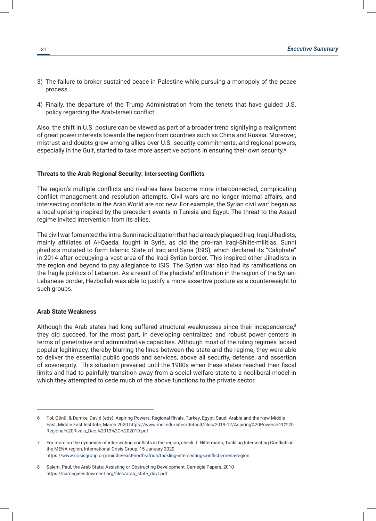- 3) The failure to broker sustained peace in Palestine while pursuing a monopoly of the peace process.
- 4) Finally, the departure of the Trump Administration from the tenets that have guided U.S. policy regarding the Arab-Israeli conflict.

Also, the shift in U.S. posture can be viewed as part of a broader trend signifying a realignment of great power interests towards the region from countries such as China and Russia. Moreover, mistrust and doubts grew among allies over U.S. security commitments, and regional powers, especially in the Gulf, started to take more assertive actions in ensuring their own security.<sup>6</sup>

#### **Threats to the Arab Regional Security: Intersecting Conflicts**

The region's multiple conflicts and rivalries have become more interconnected, complicating conflict management and resolution attempts. Civil wars are no longer internal affairs, and intersecting conflicts in the Arab World are not new. For example, the Syrian civil war $^7$  began as a local uprising inspired by the precedent events in Tunisia and Egypt. The threat to the Assad regime invited intervention from its allies.

The civil war fomented the intra-Sunni radicalization that had already plagued Iraq. Iraqi Jihadists, mainly affiliates of Al-Qaeda, fought in Syria, as did the pro-Iran Iraqi-Shiite-militias. Sunni jihadists mutated to form Islamic State of Iraq and Syria (ISIS), which declared its "Caliphate" in 2014 after occupying a vast area of the Iraqi-Syrian border. This inspired other Jihadists in the region and beyond to pay allegiance to ISIS. The Syrian war also had its ramifications on the fragile politics of Lebanon. As a result of the jihadists' infiltration in the region of the Syrian-Lebanese border, Hezbollah was able to justify a more assertive posture as a counterweight to such groups.

#### **Arab State Weakness**

Although the Arab states had long suffered structural weaknesses since their independence,<sup>8</sup> they did succeed, for the most part, in developing centralized and robust power centers in terms of penetrative and administrative capacities. Although most of the ruling regimes lacked popular legitimacy, thereby blurring the lines between the state and the regime, they were able to deliver the essential public goods and services, above all security, defense, and assertion of sovereignty. This situation prevailed until the 1980s when these states reached their fiscal limits and had to painfully transition away from a social welfare state to a neoliberal model in which they attempted to cede much of the above functions to the private sector.

<sup>6</sup> Tol, Gönül & Dumke, David (eds), Aspiring Powers, Regional Rivals, Turkey, Egypt, Saudi Arabia and the New Middle East, Middle East Institute, March 2020 https://www.mei.edu/sites/default/files/2019-12/Aspiring%20Powers%2C%20 Regional%20Rivals\_Dec.%2013%2C%202019.pdf

<sup>7</sup> For more on the dynamics of intersecting conflicts in the region, check J. Hiltermann, Tackling Intersecting Conflicts in the MENA region, International Crisis Group, 15 January 2020 https://www.crisisgroup.org/middle-east-north-africa/tackling-intersecting-conflicts-mena-region

<sup>8</sup> Salem, Paul, the Arab State: Assisting or Obstructing Development, Carnegie Papers, 2010 https://carnegieendowment.org/files/arab\_state\_devt.pdf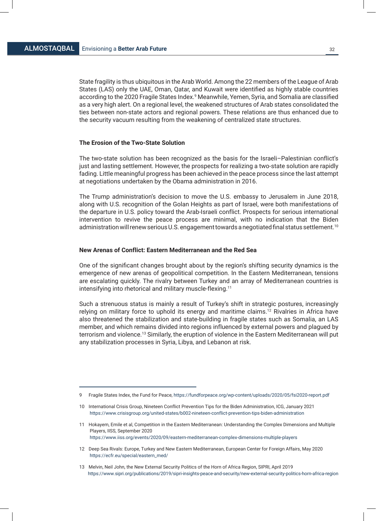State fragility is thus ubiquitous in the Arab World. Among the 22 members of the League of Arab States (LAS) only the UAE, Oman, Qatar, and Kuwait were identified as highly stable countries according to the 2020 Fragile States Index.<sup>9</sup> Meanwhile, Yemen, Syria, and Somalia are classified as a very high alert. On a regional level, the weakened structures of Arab states consolidated the ties between non-state actors and regional powers. These relations are thus enhanced due to the security vacuum resulting from the weakening of centralized state structures.

#### **The Erosion of the Two-State Solution**

The two-state solution has been recognized as the basis for the Israeli–Palestinian conflict's just and lasting settlement. However, the prospects for realizing a two-state solution are rapidly fading. Little meaningful progress has been achieved in the peace process since the last attempt at negotiations undertaken by the Obama administration in 2016.

The Trump administration's decision to move the U.S. embassy to Jerusalem in June 2018, along with U.S. recognition of the Golan Heights as part of Israel, were both manifestations of the departure in U.S. policy toward the Arab-Israeli conflict. Prospects for serious international intervention to revive the peace process are minimal, with no indication that the Biden administration will renew serious U.S. engagement towards a negotiated final status settlement.<sup>10</sup>

#### **New Arenas of Conflict: Eastern Mediterranean and the Red Sea**

One of the significant changes brought about by the region's shifting security dynamics is the emergence of new arenas of geopolitical competition. In the Eastern Mediterranean, tensions are escalating quickly. The rivalry between Turkey and an array of Mediterranean countries is intensifying into rhetorical and military muscle-flexing.11

Such a strenuous status is mainly a result of Turkey's shift in strategic postures, increasingly relying on military force to uphold its energy and maritime claims.<sup>12</sup> Rivalries in Africa have also threatened the stabilization and state-building in fragile states such as Somalia, an LAS member, and which remains divided into regions influenced by external powers and plagued by terrorism and violence.<sup>13</sup> Similarly, the eruption of violence in the Eastern Mediterranean will put any stabilization processes in Syria, Libya, and Lebanon at risk.

- 12 Deep Sea Rivals: Europe, Turkey and New Eastern Mediterranean, European Center for Foreign Affairs, May 2020 https://ecfr.eu/special/eastern\_med/
- 13 Melvin, Neil John, the New External Security Politics of the Horn of Africa Region, SIPRI, April 2019 https://www.sipri.org/publications/2019/sipri-insights-peace-and-security/new-external-security-politics-horn-africa-region

<sup>9</sup> Fragile States Index, the Fund for Peace, https://fundforpeace.org/wp-content/uploads/2020/05/fsi2020-report.pdf

<sup>10</sup> International Crisis Group, Nineteen Conflict Prevention Tips for the Biden Administration, ICG, January 2021 https://www.crisisgroup.org/united-states/b002-nineteen-conflict-prevention-tips-biden-administration

<sup>11</sup> Hokayem, Emile et al, Competition in the Eastern Mediterranean: Understanding the Complex Dimensions and Multiple Players, IISS, September 2020 https://www.iiss.org/events/2020/09/eastern-mediterranean-complex-dimensions-multiple-players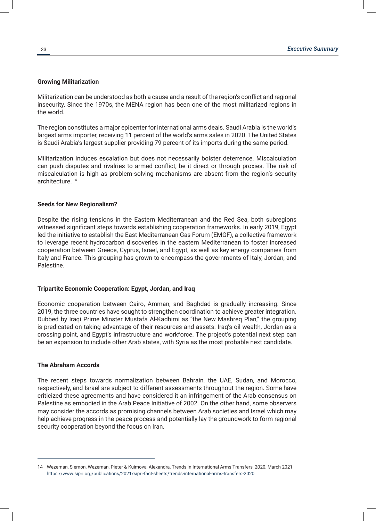#### **Growing Militarization**

Militarization can be understood as both a cause and a result of the region's conflict and regional insecurity. Since the 1970s, the MENA region has been one of the most militarized regions in the world.

The region constitutes a major epicenter for international arms deals. Saudi Arabia is the world's largest arms importer, receiving 11 percent of the world's arms sales in 2020. The United States is Saudi Arabia's largest supplier providing 79 percent of its imports during the same period.

Militarization induces escalation but does not necessarily bolster deterrence. Miscalculation can push disputes and rivalries to armed conflict, be it direct or through proxies. The risk of miscalculation is high as problem-solving mechanisms are absent from the region's security architecture. <sup>14</sup>

#### **Seeds for New Regionalism?**

Despite the rising tensions in the Eastern Mediterranean and the Red Sea, both subregions witnessed significant steps towards establishing cooperation frameworks. In early 2019, Egypt led the initiative to establish the East Mediterranean Gas Forum (EMGF), a collective framework to leverage recent hydrocarbon discoveries in the eastern Mediterranean to foster increased cooperation between Greece, Cyprus, Israel, and Egypt, as well as key energy companies from Italy and France. This grouping has grown to encompass the governments of Italy, Jordan, and Palestine.

#### **Tripartite Economic Cooperation: Egypt, Jordan, and Iraq**

Economic cooperation between Cairo, Amman, and Baghdad is gradually increasing. Since 2019, the three countries have sought to strengthen coordination to achieve greater integration. Dubbed by Iraqi Prime Minster Mustafa Al-Kadhimi as "the New Mashreq Plan," the grouping is predicated on taking advantage of their resources and assets: Iraq's oil wealth, Jordan as a crossing point, and Egypt's infrastructure and workforce. The project's potential next step can be an expansion to include other Arab states, with Syria as the most probable next candidate.

#### **The Abraham Accords**

The recent steps towards normalization between Bahrain, the UAE, Sudan, and Morocco, respectively, and Israel are subject to different assessments throughout the region. Some have criticized these agreements and have considered it an infringement of the Arab consensus on Palestine as embodied in the Arab Peace Initiative of 2002. On the other hand, some observers may consider the accords as promising channels between Arab societies and Israel which may help achieve progress in the peace process and potentially lay the groundwork to form regional security cooperation beyond the focus on Iran.

<sup>14</sup> Wezeman, Siemon, Wezeman, Pieter & Kuimova, Alexandra, Trends in International Arms Transfers, 2020, March 2021 https://www.sipri.org/publications/2021/sipri-fact-sheets/trends-international-arms-transfers-2020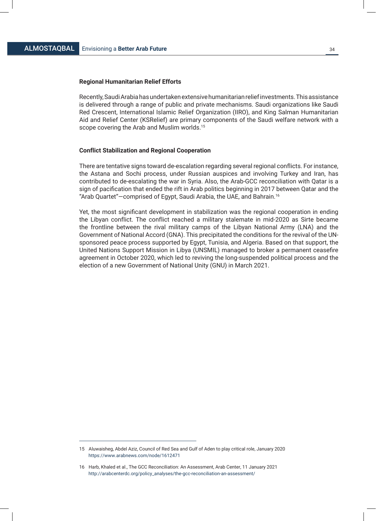#### **Regional Humanitarian Relief Efforts**

Recently, Saudi Arabia has undertaken extensive humanitarian relief investments. This assistance is delivered through a range of public and private mechanisms. Saudi organizations like Saudi Red Crescent, International Islamic Relief Organization (IIRO), and King Salman Humanitarian Aid and Relief Center (KSRelief) are primary components of the Saudi welfare network with a scope covering the Arab and Muslim worlds.<sup>15</sup>

#### **Conflict Stabilization and Regional Cooperation**

There are tentative signs toward de-escalation regarding several regional conflicts. For instance, the Astana and Sochi process, under Russian auspices and involving Turkey and Iran, has contributed to de-escalating the war in Syria. Also, the Arab-GCC reconciliation with Qatar is a sign of pacification that ended the rift in Arab politics beginning in 2017 between Qatar and the "Arab Quartet"—comprised of Egypt, Saudi Arabia, the UAE, and Bahrain.16

Yet, the most significant development in stabilization was the regional cooperation in ending the Libyan conflict. The conflict reached a military stalemate in mid-2020 as Sirte became the frontline between the rival military camps of the Libyan National Army (LNA) and the Government of National Accord (GNA). This precipitated the conditions for the revival of the UNsponsored peace process supported by Egypt, Tunisia, and Algeria. Based on that support, the United Nations Support Mission in Libya (UNSMIL) managed to broker a permanent ceasefire agreement in October 2020, which led to reviving the long-suspended political process and the election of a new Government of National Unity (GNU) in March 2021.

<sup>15</sup> Aluwaisheg, Abdel Aziz, Council of Red Sea and Gulf of Aden to play critical role, January 2020 https://www.arabnews.com/node/1612471

<sup>16</sup> Harb, Khaled et al., The GCC Reconciliation: An Assessment, Arab Center, 11 January 2021 http://arabcenterdc.org/policy\_analyses/the-gcc-reconciliation-an-assessment/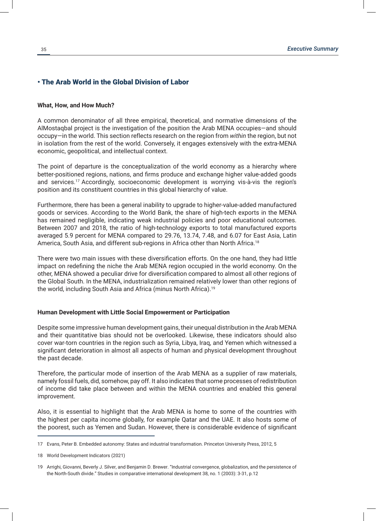#### • The Arab World in the Global Division of Labor

#### **What, How, and How Much?**

A common denominator of all three empirical, theoretical, and normative dimensions of the AlMostaqbal project is the investigation of the position the Arab MENA occupies—and should occupy—in the world. This section reflects research on the region from *within* the region, but not in isolation from the rest of the world. Conversely, it engages extensively with the extra-MENA economic, geopolitical, and intellectual context.

The point of departure is the conceptualization of the world economy as a hierarchy where better-positioned regions, nations, and firms produce and exchange higher value-added goods and services.17 Accordingly, socioeconomic development is worrying vis-à-vis the region's position and its constituent countries in this global hierarchy of value.

Furthermore, there has been a general inability to upgrade to higher-value-added manufactured goods or services. According to the World Bank, the share of high-tech exports in the MENA has remained negligible, indicating weak industrial policies and poor educational outcomes. Between 2007 and 2018, the ratio of high-technology exports to total manufactured exports averaged 5.9 percent for MENA compared to 29.76, 13.74, 7.48, and 6.07 for East Asia, Latin America, South Asia, and different sub-regions in Africa other than North Africa.<sup>18</sup>

There were two main issues with these diversification efforts. On the one hand, they had little impact on redefining the niche the Arab MENA region occupied in the world economy. On the other, MENA showed a peculiar drive for diversification compared to almost all other regions of the Global South. In the MENA, industrialization remained relatively lower than other regions of the world, including South Asia and Africa (minus North Africa).<sup>19</sup>

#### **Human Development with Little Social Empowerment or Participation**

Despite some impressive human development gains, their unequal distribution in the Arab MENA and their quantitative bias should not be overlooked. Likewise, these indicators should also cover war-torn countries in the region such as Syria, Libya, Iraq, and Yemen which witnessed a significant deterioration in almost all aspects of human and physical development throughout the past decade.

Therefore, the particular mode of insertion of the Arab MENA as a supplier of raw materials, namely fossil fuels, did, somehow, pay off. It also indicates that some processes of redistribution of income did take place between and within the MENA countries and enabled this general improvement.

Also, it is essential to highlight that the Arab MENA is home to some of the countries with the highest per capita income globally, for example Qatar and the UAE. It also hosts some of the poorest, such as Yemen and Sudan. However, there is considerable evidence of significant

<sup>17</sup> Evans, Peter B. Embedded autonomy: States and industrial transformation. Princeton University Press, 2012, 5

<sup>18</sup> World Development Indicators (2021)

<sup>19</sup> Arrighi, Giovanni, Beverly J. Silver, and Benjamin D. Brewer. "Industrial convergence, globalization, and the persistence of the North-South divide." Studies in comparative international development 38, no. 1 (2003): 3-31, p.12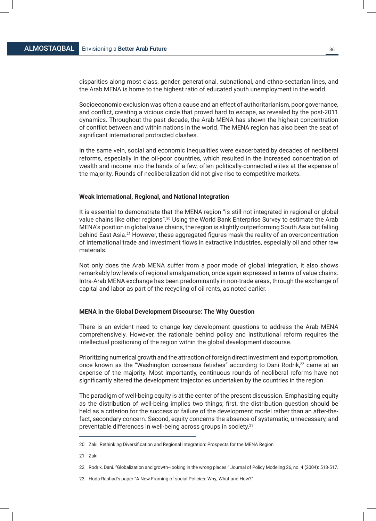disparities along most class, gender, generational, subnational, and ethno-sectarian lines, and the Arab MENA is home to the highest ratio of educated youth unemployment in the world.

Socioeconomic exclusion was often a cause and an effect of authoritarianism, poor governance, and conflict, creating a vicious circle that proved hard to escape, as revealed by the post-2011 dynamics. Throughout the past decade, the Arab MENA has shown the highest concentration of conflict between and within nations in the world. The MENA region has also been the seat of significant international protracted clashes.

In the same vein, social and economic inequalities were exacerbated by decades of neoliberal reforms, especially in the oil-poor countries, which resulted in the increased concentration of wealth and income into the hands of a few, often politically-connected elites at the expense of the majority. Rounds of neoliberalization did not give rise to competitive markets.

#### **Weak International, Regional, and National Integration**

It is essential to demonstrate that the MENA region "is still not integrated in regional or global value chains like other regions".<sup>20</sup> Using the World Bank Enterprise Survey to estimate the Arab MENA's position in global value chains, the region is slightly outperforming South Asia but falling behind East Asia.<sup>21</sup> However, these aggregated figures mask the reality of an overconcentration of international trade and investment flows in extractive industries, especially oil and other raw materials.

Not only does the Arab MENA suffer from a poor mode of global integration, it also shows remarkably low levels of regional amalgamation, once again expressed in terms of value chains. Intra-Arab MENA exchange has been predominantly in non-trade areas, through the exchange of capital and labor as part of the recycling of oil rents, as noted earlier.

#### **MENA in the Global Development Discourse: The Why Question**

There is an evident need to change key development questions to address the Arab MENA comprehensively. However, the rationale behind policy and institutional reform requires the intellectual positioning of the region within the global development discourse.

Prioritizing numerical growth and the attraction of foreign direct investment and export promotion, once known as the "Washington consensus fetishes" according to Dani Rodrik,<sup>22</sup> came at an expense of the majority. Most importantly, continuous rounds of neoliberal reforms have not significantly altered the development trajectories undertaken by the countries in the region.

The paradigm of well-being equity is at the center of the present discussion. Emphasizing equity as the distribution of well-being implies two things; first, the distribution question should be held as a criterion for the success or failure of the development model rather than an after-thefact, secondary concern. Second, equity concerns the absence of systematic, unnecessary, and preventable differences in well-being across groups in society.23

<sup>20</sup> Zaki, Rethinking Diversification and Regional Integration: Prospects for the MENA Region

<sup>21</sup> Zaki

<sup>22</sup> Rodrik, Dani. "Globalization and growth--looking in the wrong places." Journal of Policy Modeling 26, no. 4 (2004): 513-517.

<sup>23</sup> Hoda Rashad's paper "A New Framing of social Policies: Why, What and How?"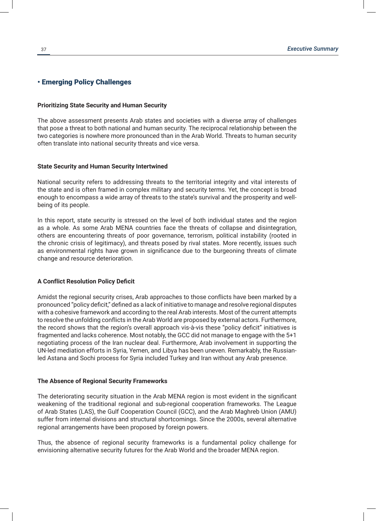# • Emerging Policy Challenges

# **Prioritizing State Security and Human Security**

The above assessment presents Arab states and societies with a diverse array of challenges that pose a threat to both national and human security. The reciprocal relationship between the two categories is nowhere more pronounced than in the Arab World. Threats to human security often translate into national security threats and vice versa.

# **State Security and Human Security Intertwined**

National security refers to addressing threats to the territorial integrity and vital interests of the state and is often framed in complex military and security terms. Yet, the concept is broad enough to encompass a wide array of threats to the state's survival and the prosperity and wellbeing of its people.

In this report, state security is stressed on the level of both individual states and the region as a whole. As some Arab MENA countries face the threats of collapse and disintegration, others are encountering threats of poor governance, terrorism, political instability (rooted in the chronic crisis of legitimacy), and threats posed by rival states. More recently, issues such as environmental rights have grown in significance due to the burgeoning threats of climate change and resource deterioration.

# **A Conflict Resolution Policy Deficit**

Amidst the regional security crises, Arab approaches to those conflicts have been marked by a pronounced "policy deficit," defined as a lack of initiative to manage and resolve regional disputes with a cohesive framework and according to the real Arab interests. Most of the current attempts to resolve the unfolding conflicts in the Arab World are proposed by external actors. Furthermore, the record shows that the region's overall approach vis-à-vis these "policy deficit" initiatives is fragmented and lacks coherence. Most notably, the GCC did not manage to engage with the 5+1 negotiating process of the Iran nuclear deal. Furthermore, Arab involvement in supporting the UN-led mediation efforts in Syria, Yemen, and Libya has been uneven. Remarkably, the Russianled Astana and Sochi process for Syria included Turkey and Iran without any Arab presence.

# **The Absence of Regional Security Frameworks**

The deteriorating security situation in the Arab MENA region is most evident in the significant weakening of the traditional regional and sub-regional cooperation frameworks. The League of Arab States (LAS), the Gulf Cooperation Council (GCC), and the Arab Maghreb Union (AMU) suffer from internal divisions and structural shortcomings. Since the 2000s, several alternative regional arrangements have been proposed by foreign powers.

Thus, the absence of regional security frameworks is a fundamental policy challenge for envisioning alternative security futures for the Arab World and the broader MENA region.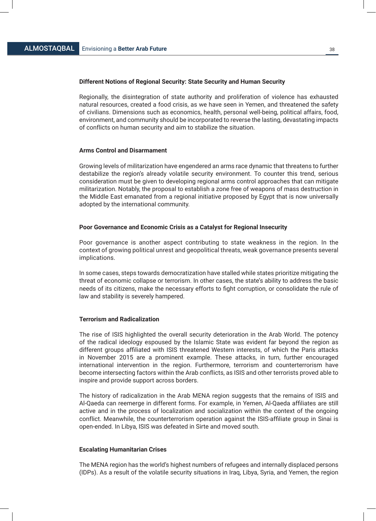# **Different Notions of Regional Security: State Security and Human Security**

Regionally, the disintegration of state authority and proliferation of violence has exhausted natural resources, created a food crisis, as we have seen in Yemen, and threatened the safety of civilians. Dimensions such as economics, health, personal well-being, political affairs, food, environment, and community should be incorporated to reverse the lasting, devastating impacts of conflicts on human security and aim to stabilize the situation.

#### **Arms Control and Disarmament**

Growing levels of militarization have engendered an arms race dynamic that threatens to further destabilize the region's already volatile security environment. To counter this trend, serious consideration must be given to developing regional arms control approaches that can mitigate militarization. Notably, the proposal to establish a zone free of weapons of mass destruction in the Middle East emanated from a regional initiative proposed by Egypt that is now universally adopted by the international community.

# **Poor Governance and Economic Crisis as a Catalyst for Regional Insecurity**

Poor governance is another aspect contributing to state weakness in the region. In the context of growing political unrest and geopolitical threats, weak governance presents several implications.

In some cases, steps towards democratization have stalled while states prioritize mitigating the threat of economic collapse or terrorism. In other cases, the state's ability to address the basic needs of its citizens, make the necessary efforts to fight corruption, or consolidate the rule of law and stability is severely hampered.

#### **Terrorism and Radicalization**

The rise of ISIS highlighted the overall security deterioration in the Arab World. The potency of the radical ideology espoused by the Islamic State was evident far beyond the region as different groups affiliated with ISIS threatened Western interests, of which the Paris attacks in November 2015 are a prominent example. These attacks, in turn, further encouraged international intervention in the region. Furthermore, terrorism and counterterrorism have become intersecting factors within the Arab conflicts, as ISIS and other terrorists proved able to inspire and provide support across borders.

The history of radicalization in the Arab MENA region suggests that the remains of ISIS and Al-Qaeda can reemerge in different forms. For example, in Yemen, Al-Qaeda affiliates are still active and in the process of localization and socialization within the context of the ongoing conflict. Meanwhile, the counterterrorism operation against the ISIS-affiliate group in Sinai is open-ended. In Libya, ISIS was defeated in Sirte and moved south.

# **Escalating Humanitarian Crises**

The MENA region has the world's highest numbers of refugees and internally displaced persons (IDPs). As a result of the volatile security situations in Iraq, Libya, Syria, and Yemen, the region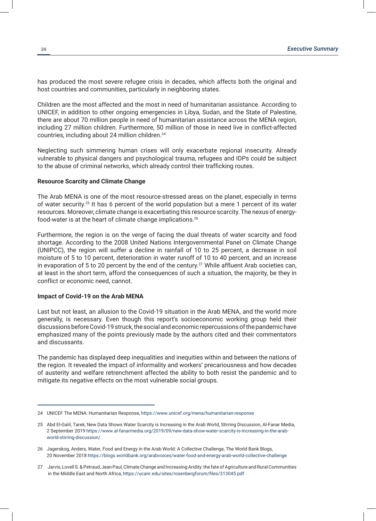has produced the most severe refugee crisis in decades, which affects both the original and host countries and communities, particularly in neighboring states.

Children are the most affected and the most in need of humanitarian assistance. According to UNICEF, in addition to other ongoing emergencies in Libya, Sudan, and the State of Palestine, there are about 70 million people in need of humanitarian assistance across the MENA region, including 27 million children. Furthermore, 50 million of those in need live in conflict-affected countries, including about 24 million children.<sup>24</sup>

Neglecting such simmering human crises will only exacerbate regional insecurity. Already vulnerable to physical dangers and psychological trauma, refugees and IDPs could be subject to the abuse of criminal networks, which already control their trafficking routes.

# **Resource Scarcity and Climate Change**

The Arab MENA is one of the most resource-stressed areas on the planet, especially in terms of water security.<sup>25</sup> It has 6 percent of the world population but a mere 1 percent of its water resources. Moreover, climate change is exacerbating this resource scarcity. The nexus of energyfood-water is at the heart of climate change implications.<sup>26</sup>

Furthermore, the region is on the verge of facing the dual threats of water scarcity and food shortage. According to the 2008 United Nations Intergovernmental Panel on Climate Change (UNIPCC), the region will suffer a decline in rainfall of 10 to 25 percent, a decrease in soil moisture of 5 to 10 percent, deterioration in water runoff of 10 to 40 percent, and an increase in evaporation of 5 to 20 percent by the end of the century.<sup>27</sup> While affluent Arab societies can, at least in the short term, afford the consequences of such a situation, the majority, be they in conflict or economic need, cannot.

# **Impact of Covid-19 on the Arab MENA**

Last but not least, an allusion to the Covid-19 situation in the Arab MENA, and the world more generally, is necessary. Even though this report's socioeconomic working group held their discussions before Covid-19 struck, the social and economic repercussions of the pandemic have emphasized many of the points previously made by the authors cited and their commentators and discussants.

The pandemic has displayed deep inequalities and inequities within and between the nations of the region. It revealed the impact of informality and workers' precariousness and how decades of austerity and welfare retrenchment affected the ability to both resist the pandemic and to mitigate its negative effects on the most vulnerable social groups.

<sup>24</sup> UNICEF The MENA: Humanitarian Response, https://www.unicef.org/mena/humanitarian-response

<sup>25</sup> Abd El-Galil, Tarek, New Data Shows Water Scarcity is Increasing in the Arab World, Stirring Discussion, Al-Fanar Media, 2 September 2019 https://www.al-fanarmedia.org/2019/09/new-data-show-water-scarcity-is-increasing-in-the-arab world-stirring-discussion/

<sup>26</sup> Jagerskog, Anders, Water, Food and Energy in the Arab World: A Collective Challenge, The World Bank Blogs, 20 November 2018 https://blogs.worldbank.org/arabvoices/water-food-and-energy-arab-world-collective-challenge

<sup>27</sup> Jarvis, Lovell S. & Petraud, Jean Paul, Climate Change and Increasing Aridity: the fate of Agriculture and Rural Communities in the Middle East and North Africa, https://ucanr.edu/sites/rosenbergforum/files/313045.pdf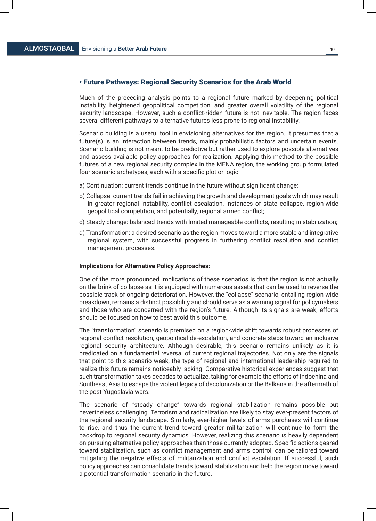# • Future Pathways: Regional Security Scenarios for the Arab World

Much of the preceding analysis points to a regional future marked by deepening political instability, heightened geopolitical competition, and greater overall volatility of the regional security landscape. However, such a conflict-ridden future is not inevitable. The region faces several different pathways to alternative futures less prone to regional instability.

Scenario building is a useful tool in envisioning alternatives for the region. It presumes that a future(s) is an interaction between trends, mainly probabilistic factors and uncertain events. Scenario building is not meant to be predictive but rather used to explore possible alternatives and assess available policy approaches for realization. Applying this method to the possible futures of a new regional security complex in the MENA region, the working group formulated four scenario archetypes, each with a specific plot or logic:

- a) Continuation: current trends continue in the future without significant change;
- b) Collapse: current trends fail in achieving the growth and development goals which may result in greater regional instability, conflict escalation, instances of state collapse, region-wide geopolitical competition, and potentially, regional armed conflict;
- c) Steady change: balanced trends with limited manageable conflicts, resulting in stabilization;
- d) Transformation: a desired scenario as the region moves toward a more stable and integrative regional system, with successful progress in furthering conflict resolution and conflict management processes.

# **Implications for Alternative Policy Approaches:**

One of the more pronounced implications of these scenarios is that the region is not actually on the brink of collapse as it is equipped with numerous assets that can be used to reverse the possible track of ongoing deterioration. However, the "collapse" scenario, entailing region-wide breakdown, remains a distinct possibility and should serve as a warning signal for policymakers and those who are concerned with the region's future. Although its signals are weak, efforts should be focused on how to best avoid this outcome.

The "transformation" scenario is premised on a region-wide shift towards robust processes of regional conflict resolution, geopolitical de-escalation, and concrete steps toward an inclusive regional security architecture. Although desirable, this scenario remains unlikely as it is predicated on a fundamental reversal of current regional trajectories. Not only are the signals that point to this scenario weak, the type of regional and international leadership required to realize this future remains noticeably lacking. Comparative historical experiences suggest that such transformation takes decades to actualize, taking for example the efforts of Indochina and Southeast Asia to escape the violent legacy of decolonization or the Balkans in the aftermath of the post-Yugoslavia wars.

The scenario of "steady change" towards regional stabilization remains possible but nevertheless challenging. Terrorism and radicalization are likely to stay ever-present factors of the regional security landscape. Similarly, ever-higher levels of arms purchases will continue to rise, and thus the current trend toward greater militarization will continue to form the backdrop to regional security dynamics. However, realizing this scenario is heavily dependent on pursuing alternative policy approaches than those currently adopted. Specific actions geared toward stabilization, such as conflict management and arms control, can be tailored toward mitigating the negative effects of militarization and conflict escalation. If successful, such policy approaches can consolidate trends toward stabilization and help the region move toward a potential transformation scenario in the future.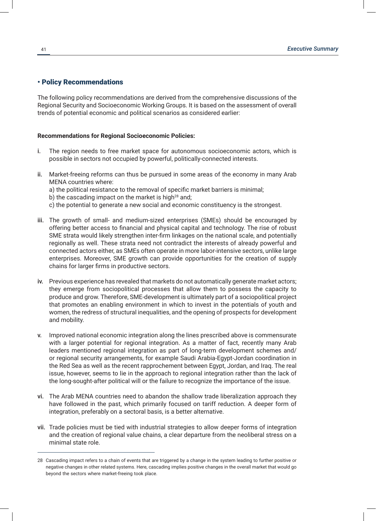# • Policy Recommendations

The following policy recommendations are derived from the comprehensive discussions of the Regional Security and Socioeconomic Working Groups. It is based on the assessment of overall trends of potential economic and political scenarios as considered earlier:

# **Recommendations for Regional Socioeconomic Policies:**

- i. The region needs to free market space for autonomous socioeconomic actors, which is possible in sectors not occupied by powerful, politically-connected interests.
- ii. Market-freeing reforms can thus be pursued in some areas of the economy in many Arab MENA countries where:
	- a) the political resistance to the removal of specific market barriers is minimal;
	- b) the cascading impact on the market is high<sup>28</sup> and:
	- c) the potential to generate a new social and economic constituency is the strongest.
- iii. The growth of small- and medium-sized enterprises (SMEs) should be encouraged by offering better access to financial and physical capital and technology. The rise of robust SME strata would likely strengthen inter-firm linkages on the national scale, and potentially regionally as well. These strata need not contradict the interests of already powerful and connected actors either, as SMEs often operate in more labor-intensive sectors, unlike large enterprises. Moreover, SME growth can provide opportunities for the creation of supply chains for larger firms in productive sectors.
- iv. Previous experience has revealed that markets do not automatically generate market actors; they emerge from sociopolitical processes that allow them to possess the capacity to produce and grow. Therefore, SME-development is ultimately part of a sociopolitical project that promotes an enabling environment in which to invest in the potentials of youth and women, the redress of structural inequalities, and the opening of prospects for development and mobility.
- v. Improved national economic integration along the lines prescribed above is commensurate with a larger potential for regional integration. As a matter of fact, recently many Arab leaders mentioned regional integration as part of long-term development schemes and/ or regional security arrangements, for example Saudi Arabia-Egypt-Jordan coordination in the Red Sea as well as the recent rapprochement between Egypt, Jordan, and Iraq. The real issue, however, seems to lie in the approach to regional integration rather than the lack of the long-sought-after political will or the failure to recognize the importance of the issue.
- vi. The Arab MENA countries need to abandon the shallow trade liberalization approach they have followed in the past, which primarily focused on tariff reduction. A deeper form of integration, preferably on a sectoral basis, is a better alternative.
- vii. Trade policies must be tied with industrial strategies to allow deeper forms of integration and the creation of regional value chains, a clear departure from the neoliberal stress on a minimal state role.

<sup>28</sup> Cascading impact refers to a chain of events that are triggered by a change in the system leading to further positive or negative changes in other related systems. Here, cascading implies positive changes in the overall market that would go beyond the sectors where market-freeing took place.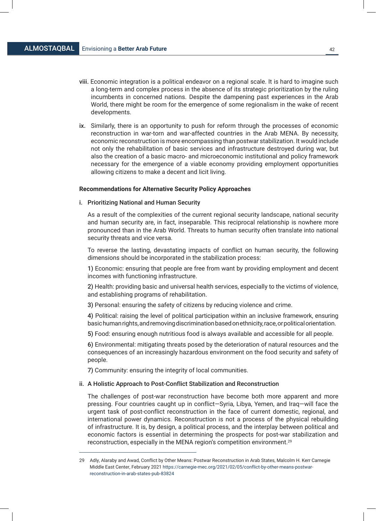- viii. Economic integration is a political endeavor on a regional scale. It is hard to imagine such a long-term and complex process in the absence of its strategic prioritization by the ruling incumbents in concerned nations. Despite the dampening past experiences in the Arab World, there might be room for the emergence of some regionalism in the wake of recent developments.
- ix. Similarly, there is an opportunity to push for reform through the processes of economic reconstruction in war-torn and war-affected countries in the Arab MENA. By necessity, economic reconstruction is more encompassing than postwar stabilization. It would include not only the rehabilitation of basic services and infrastructure destroyed during war, but also the creation of a basic macro- and microeconomic institutional and policy framework necessary for the emergence of a viable economy providing employment opportunities allowing citizens to make a decent and licit living.

#### **Recommendations for Alternative Security Policy Approaches**

# i. Prioritizing National and Human Security

As a result of the complexities of the current regional security landscape, national security and human security are, in fact, inseparable. This reciprocal relationship is nowhere more pronounced than in the Arab World. Threats to human security often translate into national security threats and vice versa.

To reverse the lasting, devastating impacts of conflict on human security, the following dimensions should be incorporated in the stabilization process:

1) Economic: ensuring that people are free from want by providing employment and decent incomes with functioning infrastructure.

2) Health: providing basic and universal health services, especially to the victims of violence, and establishing programs of rehabilitation.

3) Personal: ensuring the safety of citizens by reducing violence and crime.

4) Political: raising the level of political participation within an inclusive framework, ensuring basic human rights, and removing discrimination based on ethnicity, race, or political orientation.

5) Food: ensuring enough nutritious food is always available and accessible for all people.

6) Environmental: mitigating threats posed by the deterioration of natural resources and the consequences of an increasingly hazardous environment on the food security and safety of people.

7) Community: ensuring the integrity of local communities.

# ii. A Holistic Approach to Post-Conflict Stabilization and Reconstruction

The challenges of post-war reconstruction have become both more apparent and more pressing. Four countries caught up in conflict—Syria, Libya, Yemen, and Iraq—will face the urgent task of post-conflict reconstruction in the face of current domestic, regional, and international power dynamics. Reconstruction is not a process of the physical rebuilding of infrastructure. It is, by design, a political process, and the interplay between political and economic factors is essential in determining the prospects for post-war stabilization and reconstruction, especially in the MENA region's competition environment.29

<sup>29</sup> Adly, Alaraby and Awad, Conflict by Other Means: Postwar Reconstruction in Arab States, Malcolm H. Kerr Carnegie Middle East Center, February 2021 https://carnegie-mec.org/2021/02/05/conflict-by-other-means-postwar reconstruction-in-arab-states-pub-83824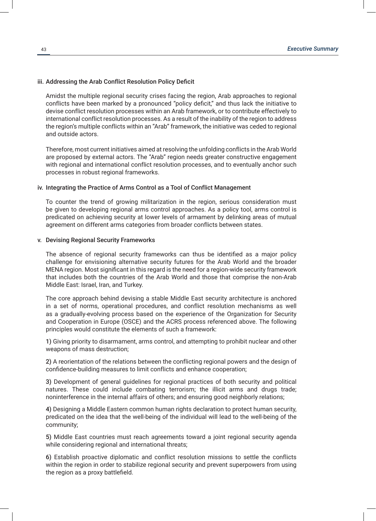# iii. Addressing the Arab Conflict Resolution Policy Deficit

Amidst the multiple regional security crises facing the region, Arab approaches to regional conflicts have been marked by a pronounced "policy deficit," and thus lack the initiative to devise conflict resolution processes within an Arab framework, or to contribute effectively to international conflict resolution processes. As a result of the inability of the region to address the region's multiple conflicts within an "Arab" framework, the initiative was ceded to regional and outside actors.

Therefore, most current initiatives aimed at resolving the unfolding conflicts in the Arab World are proposed by external actors. The "Arab" region needs greater constructive engagement with regional and international conflict resolution processes, and to eventually anchor such processes in robust regional frameworks.

# iv. Integrating the Practice of Arms Control as a Tool of Conflict Management

To counter the trend of growing militarization in the region, serious consideration must be given to developing regional arms control approaches. As a policy tool, arms control is predicated on achieving security at lower levels of armament by delinking areas of mutual agreement on different arms categories from broader conflicts between states.

# v. Devising Regional Security Frameworks

The absence of regional security frameworks can thus be identified as a major policy challenge for envisioning alternative security futures for the Arab World and the broader MENA region. Most significant in this regard is the need for a region-wide security framework that includes both the countries of the Arab World and those that comprise the non-Arab Middle East: Israel, Iran, and Turkey.

The core approach behind devising a stable Middle East security architecture is anchored in a set of norms, operational procedures, and conflict resolution mechanisms as well as a gradually-evolving process based on the experience of the Organization for Security and Cooperation in Europe (OSCE) and the ACRS process referenced above. The following principles would constitute the elements of such a framework:

1) Giving priority to disarmament, arms control, and attempting to prohibit nuclear and other weapons of mass destruction;

2) A reorientation of the relations between the conflicting regional powers and the design of confidence-building measures to limit conflicts and enhance cooperation;

3) Development of general guidelines for regional practices of both security and political natures. These could include combating terrorism; the illicit arms and drugs trade; noninterference in the internal affairs of others; and ensuring good neighborly relations;

4) Designing a Middle Eastern common human rights declaration to protect human security, predicated on the idea that the well-being of the individual will lead to the well-being of the community;

5) Middle East countries must reach agreements toward a joint regional security agenda while considering regional and international threats;

6) Establish proactive diplomatic and conflict resolution missions to settle the conflicts within the region in order to stabilize regional security and prevent superpowers from using the region as a proxy battlefield.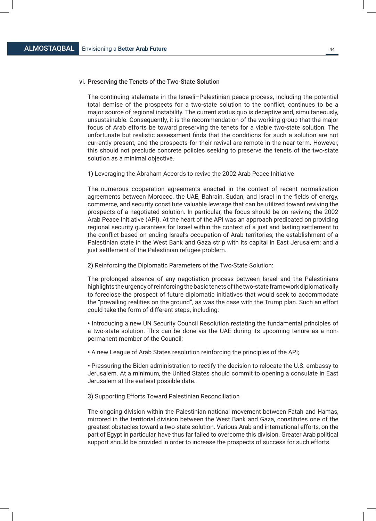# vi. Preserving the Tenets of the Two-State Solution

The continuing stalemate in the Israeli–Palestinian peace process, including the potential total demise of the prospects for a two-state solution to the conflict, continues to be a major source of regional instability. The current status quo is deceptive and, simultaneously, unsustainable. Consequently, it is the recommendation of the working group that the major focus of Arab efforts be toward preserving the tenets for a viable two-state solution. The unfortunate but realistic assessment finds that the conditions for such a solution are not currently present, and the prospects for their revival are remote in the near term. However, this should not preclude concrete policies seeking to preserve the tenets of the two-state solution as a minimal objective.

1) Leveraging the Abraham Accords to revive the 2002 Arab Peace Initiative

The numerous cooperation agreements enacted in the context of recent normalization agreements between Morocco, the UAE, Bahrain, Sudan, and Israel in the fields of energy, commerce, and security constitute valuable leverage that can be utilized toward reviving the prospects of a negotiated solution. In particular, the focus should be on reviving the 2002 Arab Peace Initiative (API). At the heart of the API was an approach predicated on providing regional security guarantees for Israel within the context of a just and lasting settlement to the conflict based on ending Israel's occupation of Arab territories; the establishment of a Palestinian state in the West Bank and Gaza strip with its capital in East Jerusalem; and a just settlement of the Palestinian refugee problem.

2) Reinforcing the Diplomatic Parameters of the Two-State Solution:

The prolonged absence of any negotiation process between Israel and the Palestinians highlights the urgency of reinforcing the basic tenets of the two-state framework diplomatically to foreclose the prospect of future diplomatic initiatives that would seek to accommodate the "prevailing realities on the ground", as was the case with the Trump plan. Such an effort could take the form of different steps, including:

• Introducing a new UN Security Council Resolution restating the fundamental principles of a two-state solution. This can be done via the UAE during its upcoming tenure as a nonpermanent member of the Council;

• A new League of Arab States resolution reinforcing the principles of the API;

• Pressuring the Biden administration to rectify the decision to relocate the U.S. embassy to Jerusalem. At a minimum, the United States should commit to opening a consulate in East Jerusalem at the earliest possible date.

3) Supporting Efforts Toward Palestinian Reconciliation

The ongoing division within the Palestinian national movement between Fatah and Hamas, mirrored in the territorial division between the West Bank and Gaza, constitutes one of the greatest obstacles toward a two-state solution. Various Arab and international efforts, on the part of Egypt in particular, have thus far failed to overcome this division. Greater Arab political support should be provided in order to increase the prospects of success for such efforts.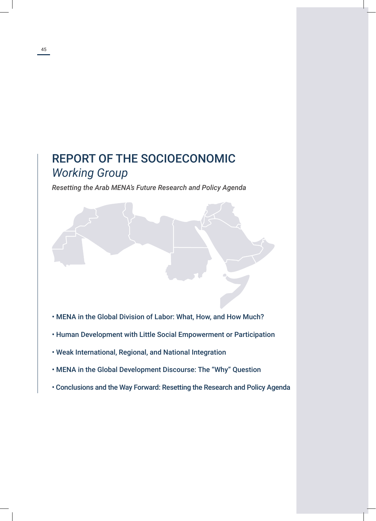# REPORT OF THE SOCIOECONOMIC *Working Group*

*Resetting the Arab MENA's Future Research and Policy Agenda*

- MENA in the Global Division of Labor: What, How, and How Much?
- Human Development with Little Social Empowerment or Participation
- Weak International, Regional, and National Integration
- MENA in the Global Development Discourse: The "Why" Question
- Conclusions and the Way Forward: Resetting the Research and Policy Agenda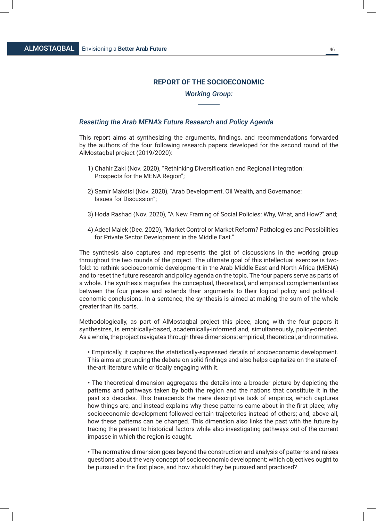# **REPORT OF THE SOCIOECONOMIC**

# *Working Group:*

# *Resetting the Arab MENA's Future Research and Policy Agenda*

This report aims at synthesizing the arguments, findings, and recommendations forwarded by the authors of the four following research papers developed for the second round of the AlMostaqbal project (2019/2020):

- 1) Chahir Zaki (Nov. 2020), "Rethinking Diversification and Regional Integration: Prospects for the MENA Region";
- 2) Samir Makdisi (Nov. 2020), "Arab Development, Oil Wealth, and Governance: Issues for Discussion";
- 3) Hoda Rashad (Nov. 2020), "A New Framing of Social Policies: Why, What, and How?" and;
- 4) Adeel Malek (Dec. 2020), "Market Control or Market Reform? Pathologies and Possibilities for Private Sector Development in the Middle East."

The synthesis also captures and represents the gist of discussions in the working group throughout the two rounds of the project. The ultimate goal of this intellectual exercise is twofold: to rethink socioeconomic development in the Arab Middle East and North Africa (MENA) and to reset the future research and policy agenda on the topic. The four papers serve as parts of a whole. The synthesis magnifies the conceptual, theoretical, and empirical complementarities between the four pieces and extends their arguments to their logical policy and political– economic conclusions. In a sentence, the synthesis is aimed at making the sum of the whole greater than its parts.

Methodologically, as part of AlMostaqbal project this piece, along with the four papers it synthesizes, is empirically-based, academically-informed and, simultaneously, policy-oriented. As a whole, the project navigates through three dimensions: empirical, theoretical, and normative.

**•** Empirically, it captures the statistically-expressed details of socioeconomic development. This aims at grounding the debate on solid findings and also helps capitalize on the state-ofthe-art literature while critically engaging with it.

**•** The theoretical dimension aggregates the details into a broader picture by depicting the patterns and pathways taken by both the region and the nations that constitute it in the past six decades. This transcends the mere descriptive task of empirics, which captures how things are, and instead explains why these patterns came about in the first place; why socioeconomic development followed certain trajectories instead of others; and, above all, how these patterns can be changed. This dimension also links the past with the future by tracing the present to historical factors while also investigating pathways out of the current impasse in which the region is caught.

**•** The normative dimension goes beyond the construction and analysis of patterns and raises questions about the very concept of socioeconomic development: which objectives ought to be pursued in the first place, and how should they be pursued and practiced?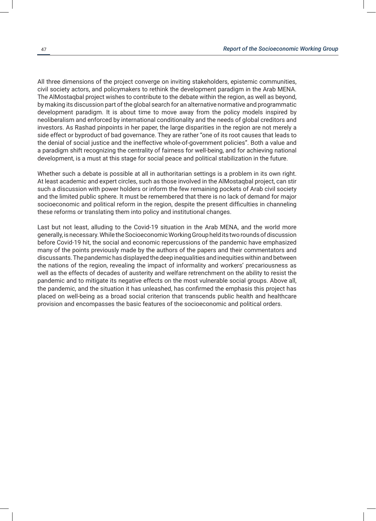All three dimensions of the project converge on inviting stakeholders, epistemic communities, civil society actors, and policymakers to rethink the development paradigm in the Arab MENA. The AlMostaqbal project wishes to contribute to the debate within the region, as well as beyond, by making its discussion part of the global search for an alternative normative and programmatic development paradigm. It is about time to move away from the policy models inspired by neoliberalism and enforced by international conditionality and the needs of global creditors and investors. As Rashad pinpoints in her paper, the large disparities in the region are not merely a side effect or byproduct of bad governance. They are rather "one of its root causes that leads to the denial of social justice and the ineffective whole-of-government policies". Both a value and a paradigm shift recognizing the centrality of fairness for well-being, and for achieving national development, is a must at this stage for social peace and political stabilization in the future.

Whether such a debate is possible at all in authoritarian settings is a problem in its own right. At least academic and expert circles, such as those involved in the AlMostaqbal project, can stir such a discussion with power holders or inform the few remaining pockets of Arab civil society and the limited public sphere. It must be remembered that there is no lack of demand for major socioeconomic and political reform in the region, despite the present difficulties in channeling these reforms or translating them into policy and institutional changes.

Last but not least, alluding to the Covid-19 situation in the Arab MENA, and the world more generally, is necessary. While the Socioeconomic Working Group held its two rounds of discussion before Covid-19 hit, the social and economic repercussions of the pandemic have emphasized many of the points previously made by the authors of the papers and their commentators and discussants. The pandemic has displayed the deep inequalities and inequities within and between the nations of the region, revealing the impact of informality and workers' precariousness as well as the effects of decades of austerity and welfare retrenchment on the ability to resist the pandemic and to mitigate its negative effects on the most vulnerable social groups. Above all, the pandemic, and the situation it has unleashed, has confirmed the emphasis this project has placed on well-being as a broad social criterion that transcends public health and healthcare provision and encompasses the basic features of the socioeconomic and political orders.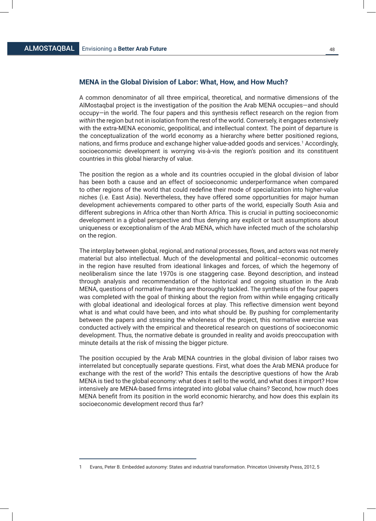# **MENA in the Global Division of Labor: What, How, and How Much?**

A common denominator of all three empirical, theoretical, and normative dimensions of the AlMostaqbal project is the investigation of the position the Arab MENA occupies—and should occupy—in the world. The four papers and this synthesis reflect research on the region from *within* the region but not in isolation from the rest of the world. Conversely, it engages extensively with the extra-MENA economic, geopolitical, and intellectual context. The point of departure is the conceptualization of the world economy as a hierarchy where better positioned regions, nations, and firms produce and exchange higher value-added goods and services.<sup>1</sup> Accordingly, socioeconomic development is worrying vis-à-vis the region's position and its constituent countries in this global hierarchy of value.

The position the region as a whole and its countries occupied in the global division of labor has been both a cause and an effect of socioeconomic underperformance when compared to other regions of the world that could redefine their mode of specialization into higher-value niches (i.e. East Asia). Nevertheless, they have offered some opportunities for major human development achievements compared to other parts of the world, especially South Asia and different subregions in Africa other than North Africa. This is crucial in putting socioeconomic development in a global perspective and thus denying any explicit or tacit assumptions about uniqueness or exceptionalism of the Arab MENA, which have infected much of the scholarship on the region.

The interplay between global, regional, and national processes, flows, and actors was not merely material but also intellectual. Much of the developmental and political–economic outcomes in the region have resulted from ideational linkages and forces, of which the hegemony of neoliberalism since the late 1970s is one staggering case. Beyond description, and instead through analysis and recommendation of the historical and ongoing situation in the Arab MENA, questions of normative framing are thoroughly tackled. The synthesis of the four papers was completed with the goal of thinking about the region from within while engaging critically with global ideational and ideological forces at play. This reflective dimension went beyond what is and what could have been, and into what should be. By pushing for complementarity between the papers and stressing the wholeness of the project, this normative exercise was conducted actively with the empirical and theoretical research on questions of socioeconomic development. Thus, the normative debate is grounded in reality and avoids preoccupation with minute details at the risk of missing the bigger picture.

The position occupied by the Arab MENA countries in the global division of labor raises two interrelated but conceptually separate questions. First, what does the Arab MENA produce for exchange with the rest of the world? This entails the descriptive questions of how the Arab MENA is tied to the global economy: what does it sell to the world, and what does it import? How intensively are MENA-based firms integrated into global value chains? Second, how much does MENA benefit from its position in the world economic hierarchy, and how does this explain its socioeconomic development record thus far?

<sup>1</sup> Evans, Peter B. Embedded autonomy: States and industrial transformation. Princeton University Press, 2012, 5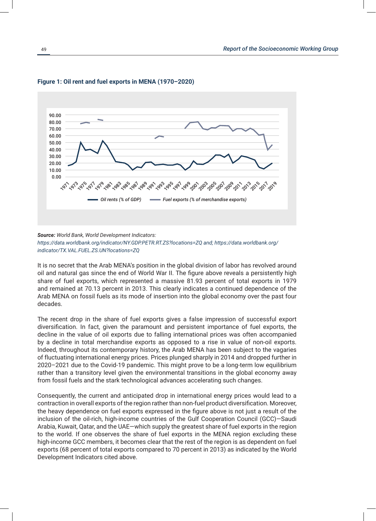

# **Figure 1: Oil rent and fuel exports in MENA (1970–2020)**

It is no secret that the Arab MENA's position in the global division of labor has revolved around oil and natural gas since the end of World War II. The figure above reveals a persistently high share of fuel exports, which represented a massive 81.93 percent of total exports in 1979 and remained at 70.13 percent in 2013. This clearly indicates a continued dependence of the Arab MENA on fossil fuels as its mode of insertion into the global economy over the past four decades.

The recent drop in the share of fuel exports gives a false impression of successful export diversification. In fact, given the paramount and persistent importance of fuel exports, the decline in the value of oil exports due to falling international prices was often accompanied by a decline in total merchandise exports as opposed to a rise in value of non-oil exports. Indeed, throughout its contemporary history, the Arab MENA has been subject to the vagaries of fluctuating international energy prices. Prices plunged sharply in 2014 and dropped further in 2020–2021 due to the Covid-19 pandemic. This might prove to be a long-term low equilibrium rather than a transitory level given the environmental transitions in the global economy away from fossil fuels and the stark technological advances accelerating such changes.

Consequently, the current and anticipated drop in international energy prices would lead to a contraction in overall exports of the region rather than non-fuel product diversification. Moreover, the heavy dependence on fuel exports expressed in the figure above is not just a result of the inclusion of the oil-rich, high-income countries of the Gulf Cooperation Council (GCC)—Saudi Arabia, Kuwait, Qatar, and the UAE—which supply the greatest share of fuel exports in the region to the world. If one observes the share of fuel exports in the MENA region excluding these high-income GCC members, it becomes clear that the rest of the region is as dependent on fuel exports (68 percent of total exports compared to 70 percent in 2013) as indicated by the World Development Indicators cited above.

*Source: World Bank, World Development Indicators: https://data.worldbank.org/indicator/NY.GDP.PETR.RT.ZS?locations=ZQ and; https://data.worldbank.org/ indicator/TX.VAL.FUEL.ZS.UN?locations=ZQ*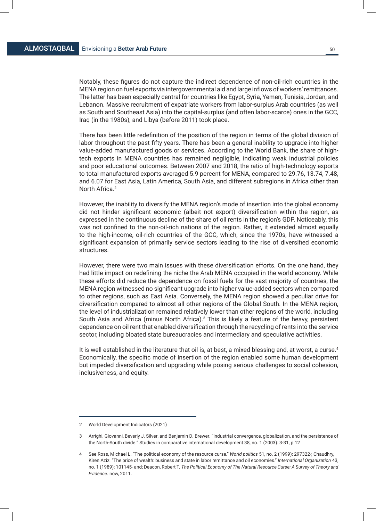Notably, these figures do not capture the indirect dependence of non-oil-rich countries in the MENA region on fuel exports via intergovernmental aid and large inflows of workers' remittances. The latter has been especially central for countries like Egypt, Syria, Yemen, Tunisia, Jordan, and Lebanon. Massive recruitment of expatriate workers from labor-surplus Arab countries (as well as South and Southeast Asia) into the capital-surplus (and often labor-scarce) ones in the GCC, Iraq (in the 1980s), and Libya (before 2011) took place.

There has been little redefinition of the position of the region in terms of the global division of labor throughout the past fifty years. There has been a general inability to upgrade into higher value-added manufactured goods or services. According to the World Bank, the share of hightech exports in MENA countries has remained negligible, indicating weak industrial policies and poor educational outcomes. Between 2007 and 2018, the ratio of high-technology exports to total manufactured exports averaged 5.9 percent for MENA, compared to 29.76, 13.74, 7.48, and 6.07 for East Asia, Latin America, South Asia, and different subregions in Africa other than North Africa.2

However, the inability to diversify the MENA region's mode of insertion into the global economy did not hinder significant economic (albeit not export) diversification within the region, as expressed in the continuous decline of the share of oil rents in the region's GDP. Noticeably, this was not confined to the non-oil-rich nations of the region. Rather, it extended almost equally to the high-income, oil-rich countries of the GCC, which, since the 1970s, have witnessed a significant expansion of primarily service sectors leading to the rise of diversified economic structures.

However, there were two main issues with these diversification efforts. On the one hand, they had little impact on redefining the niche the Arab MENA occupied in the world economy. While these efforts did reduce the dependence on fossil fuels for the vast majority of countries, the MENA region witnessed no significant upgrade into higher value-added sectors when compared to other regions, such as East Asia. Conversely, the MENA region showed a peculiar drive for diversification compared to almost all other regions of the Global South. In the MENA region, the level of industrialization remained relatively lower than other regions of the world, including South Asia and Africa (minus North Africa).<sup>3</sup> This is likely a feature of the heavy, persistent dependence on oil rent that enabled diversification through the recycling of rents into the service sector, including bloated state bureaucracies and intermediary and speculative activities.

It is well established in the literature that oil is, at best, a mixed blessing and, at worst, a curse.<sup>4</sup> Economically, the specific mode of insertion of the region enabled some human development but impeded diversification and upgrading while posing serious challenges to social cohesion, inclusiveness, and equity.

<sup>2</sup> World Development Indicators (2021)

<sup>3</sup> Arrighi, Giovanni, Beverly J. Silver, and Benjamin D. Brewer. "Industrial convergence, globalization, and the persistence of the North-South divide." Studies in comparative international development 38, no. 1 (2003): 3-31, p.12

<sup>4</sup> See Ross, Michael L. "The political economy of the resource curse." *World politics* 51, no. 2 (1999): 297322-; Chaudhry, Kiren Aziz. "The price of wealth: business and state in labor remittance and oil economies." *International Organization* 43, no. 1 (1989): 101145- and; Deacon, Robert T. *The Political Economy of The Natural Resource Curse: A Survey of Theory and Evidence*. now, 2011.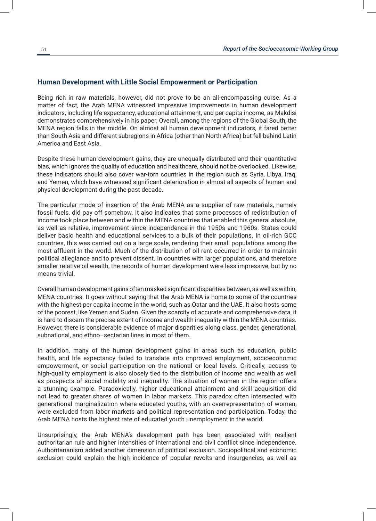# **Human Development with Little Social Empowerment or Participation**

Being rich in raw materials, however, did not prove to be an all-encompassing curse. As a matter of fact, the Arab MENA witnessed impressive improvements in human development indicators, including life expectancy, educational attainment, and per capita income, as Makdisi demonstrates comprehensively in his paper. Overall, among the regions of the Global South, the MENA region falls in the middle. On almost all human development indicators, it fared better than South Asia and different subregions in Africa (other than North Africa) but fell behind Latin America and East Asia.

Despite these human development gains, they are unequally distributed and their quantitative bias, which ignores the quality of education and healthcare, should not be overlooked. Likewise, these indicators should also cover war-torn countries in the region such as Syria, Libya, Iraq, and Yemen, which have witnessed significant deterioration in almost all aspects of human and physical development during the past decade.

The particular mode of insertion of the Arab MENA as a supplier of raw materials, namely fossil fuels, did pay off somehow. It also indicates that some processes of redistribution of income took place between and within the MENA countries that enabled this general absolute, as well as relative, improvement since independence in the 1950s and 1960s. States could deliver basic health and educational services to a bulk of their populations. In oil-rich GCC countries, this was carried out on a large scale, rendering their small populations among the most affluent in the world. Much of the distribution of oil rent occurred in order to maintain political allegiance and to prevent dissent. In countries with larger populations, and therefore smaller relative oil wealth, the records of human development were less impressive, but by no means trivial.

Overall human development gains often masked significant disparities between, as well as within, MENA countries. It goes without saying that the Arab MENA is home to some of the countries with the highest per capita income in the world, such as Qatar and the UAE. It also hosts some of the poorest, like Yemen and Sudan. Given the scarcity of accurate and comprehensive data, it is hard to discern the precise extent of income and wealth inequality within the MENA countries. However, there is considerable evidence of major disparities along class, gender, generational, subnational, and ethno–sectarian lines in most of them.

In addition, many of the human development gains in areas such as education, public health, and life expectancy failed to translate into improved employment, socioeconomic empowerment, or social participation on the national or local levels. Critically, access to high-quality employment is also closely tied to the distribution of income and wealth as well as prospects of social mobility and inequality. The situation of women in the region offers a stunning example. Paradoxically, higher educational attainment and skill acquisition did not lead to greater shares of women in labor markets. This paradox often intersected with generational marginalization where educated youths, with an overrepresentation of women, were excluded from labor markets and political representation and participation. Today, the Arab MENA hosts the highest rate of educated youth unemployment in the world.

Unsurprisingly, the Arab MENA's development path has been associated with resilient authoritarian rule and higher intensities of international and civil conflict since independence. Authoritarianism added another dimension of political exclusion. Sociopolitical and economic exclusion could explain the high incidence of popular revolts and insurgencies, as well as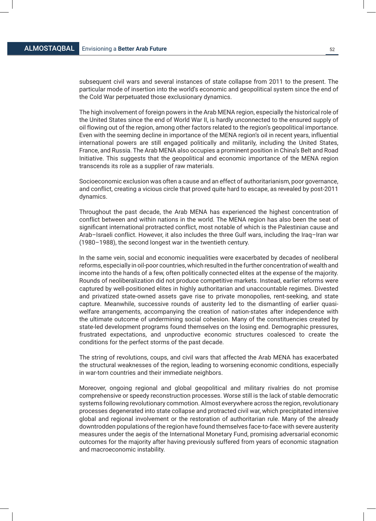subsequent civil wars and several instances of state collapse from 2011 to the present. The particular mode of insertion into the world's economic and geopolitical system since the end of the Cold War perpetuated those exclusionary dynamics.

The high involvement of foreign powers in the Arab MENA region, especially the historical role of the United States since the end of World War II, is hardly unconnected to the ensured supply of oil flowing out of the region, among other factors related to the region's geopolitical importance. Even with the seeming decline in importance of the MENA region's oil in recent years, influential international powers are still engaged politically and militarily, including the United States, France, and Russia. The Arab MENA also occupies a prominent position in China's Belt and Road Initiative. This suggests that the geopolitical and economic importance of the MENA region transcends its role as a supplier of raw materials.

Socioeconomic exclusion was often a cause and an effect of authoritarianism, poor governance, and conflict, creating a vicious circle that proved quite hard to escape, as revealed by post-2011 dynamics.

Throughout the past decade, the Arab MENA has experienced the highest concentration of conflict between and within nations in the world. The MENA region has also been the seat of significant international protracted conflict, most notable of which is the Palestinian cause and Arab–Israeli conflict. However, it also includes the three Gulf wars, including the Iraq–Iran war (1980–1988), the second longest war in the twentieth century.

In the same vein, social and economic inequalities were exacerbated by decades of neoliberal reforms, especially in oil-poor countries, which resulted in the further concentration of wealth and income into the hands of a few, often politically connected elites at the expense of the majority. Rounds of neoliberalization did not produce competitive markets. Instead, earlier reforms were captured by well-positioned elites in highly authoritarian and unaccountable regimes. Divested and privatized state-owned assets gave rise to private monopolies, rent-seeking, and state capture. Meanwhile, successive rounds of austerity led to the dismantling of earlier quasiwelfare arrangements, accompanying the creation of nation-states after independence with the ultimate outcome of undermining social cohesion. Many of the constituencies created by state-led development programs found themselves on the losing end. Demographic pressures, frustrated expectations, and unproductive economic structures coalesced to create the conditions for the perfect storms of the past decade.

The string of revolutions, coups, and civil wars that affected the Arab MENA has exacerbated the structural weaknesses of the region, leading to worsening economic conditions, especially in war-torn countries and their immediate neighbors.

Moreover, ongoing regional and global geopolitical and military rivalries do not promise comprehensive or speedy reconstruction processes. Worse still is the lack of stable democratic systems following revolutionary commotion. Almost everywhere across the region, revolutionary processes degenerated into state collapse and protracted civil war, which precipitated intensive global and regional involvement or the restoration of authoritarian rule. Many of the already downtrodden populations of the region have found themselves face-to-face with severe austerity measures under the aegis of the International Monetary Fund, promising adversarial economic outcomes for the majority after having previously suffered from years of economic stagnation and macroeconomic instability.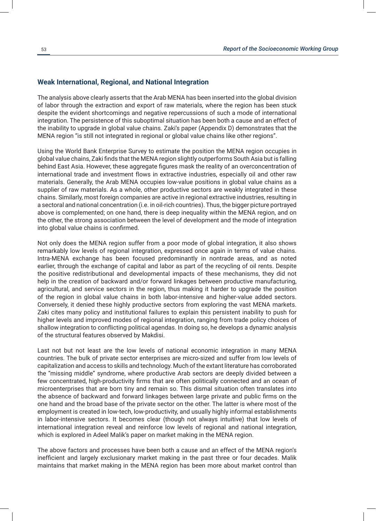# **Weak International, Regional, and National Integration**

The analysis above clearly asserts that the Arab MENA has been inserted into the global division of labor through the extraction and export of raw materials, where the region has been stuck despite the evident shortcomings and negative repercussions of such a mode of international integration. The persistence of this suboptimal situation has been both a cause and an effect of the inability to upgrade in global value chains. Zaki's paper (Appendix D) demonstrates that the MENA region "is still not integrated in regional or global value chains like other regions".

Using the World Bank Enterprise Survey to estimate the position the MENA region occupies in global value chains, Zaki finds that the MENA region slightly outperforms South Asia but is falling behind East Asia. However, these aggregate figures mask the reality of an overconcentration of international trade and investment flows in extractive industries, especially oil and other raw materials. Generally, the Arab MENA occupies low-value positions in global value chains as a supplier of raw materials. As a whole, other productive sectors are weakly integrated in these chains. Similarly, most foreign companies are active in regional extractive industries, resulting in a sectoral and national concentration (i.e. in oil-rich countries). Thus, the bigger picture portrayed above is complemented; on one hand, there is deep inequality within the MENA region, and on the other, the strong association between the level of development and the mode of integration into global value chains is confirmed.

Not only does the MENA region suffer from a poor mode of global integration, it also shows remarkably low levels of regional integration, expressed once again in terms of value chains. Intra-MENA exchange has been focused predominantly in nontrade areas, and as noted earlier, through the exchange of capital and labor as part of the recycling of oil rents. Despite the positive redistributional and developmental impacts of these mechanisms, they did not help in the creation of backward and/or forward linkages between productive manufacturing, agricultural, and service sectors in the region, thus making it harder to upgrade the position of the region in global value chains in both labor-intensive and higher-value added sectors. Conversely, it denied these highly productive sectors from exploring the vast MENA markets. Zaki cites many policy and institutional failures to explain this persistent inability to push for higher levels and improved modes of regional integration, ranging from trade policy choices of shallow integration to conflicting political agendas. In doing so, he develops a dynamic analysis of the structural features observed by Makdisi.

Last not but not least are the low levels of national economic integration in many MENA countries. The bulk of private sector enterprises are micro-sized and suffer from low levels of capitalization and access to skills and technology. Much of the extant literature has corroborated the "missing middle" syndrome, where productive Arab sectors are deeply divided between a few concentrated, high-productivity firms that are often politically connected and an ocean of microenterprises that are born tiny and remain so. This dismal situation often translates into the absence of backward and forward linkages between large private and public firms on the one hand and the broad base of the private sector on the other. The latter is where most of the employment is created in low-tech, low-productivity, and usually highly informal establishments in labor-intensive sectors. It becomes clear (though not always intuitive) that low levels of international integration reveal and reinforce low levels of regional and national integration, which is explored in Adeel Malik's paper on market making in the MENA region.

The above factors and processes have been both a cause and an effect of the MENA region's inefficient and largely exclusionary market making in the past three or four decades. Malik maintains that market making in the MENA region has been more about market control than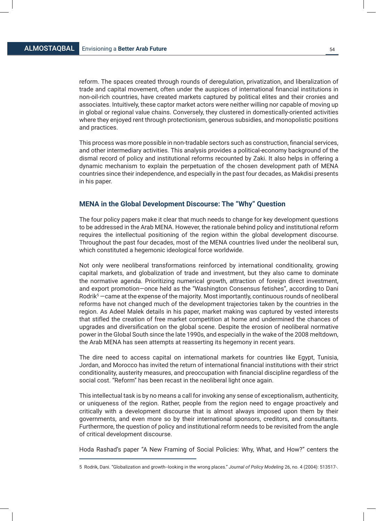reform. The spaces created through rounds of deregulation, privatization, and liberalization of trade and capital movement, often under the auspices of international financial institutions in non-oil-rich countries, have created markets captured by political elites and their cronies and associates. Intuitively, these captor market actors were neither willing nor capable of moving up in global or regional value chains. Conversely, they clustered in domestically-oriented activities where they enjoyed rent through protectionism, generous subsidies, and monopolistic positions and practices.

This process was more possible in non-tradable sectors such as construction, financial services, and other intermediary activities. This analysis provides a political-economy background of the dismal record of policy and institutional reforms recounted by Zaki. It also helps in offering a dynamic mechanism to explain the perpetuation of the chosen development path of MENA countries since their independence, and especially in the past four decades, as Makdisi presents in his paper.

# **MENA in the Global Development Discourse: The "Why" Question**

The four policy papers make it clear that much needs to change for key development questions to be addressed in the Arab MENA. However, the rationale behind policy and institutional reform requires the intellectual positioning of the region within the global development discourse. Throughout the past four decades, most of the MENA countries lived under the neoliberal sun, which constituted a hegemonic ideological force worldwide.

Not only were neoliberal transformations reinforced by international conditionality, growing capital markets, and globalization of trade and investment, but they also came to dominate the normative agenda. Prioritizing numerical growth, attraction of foreign direct investment, and export promotion—once held as the "Washington Consensus fetishes", according to Dani Rodrik5 —came at the expense of the majority. Most importantly, continuous rounds of neoliberal reforms have not changed much of the development trajectories taken by the countries in the region. As Adeel Malek details in his paper, market making was captured by vested interests that stifled the creation of free market competition at home and undermined the chances of upgrades and diversification on the global scene. Despite the erosion of neoliberal normative power in the Global South since the late 1990s, and especially in the wake of the 2008 meltdown, the Arab MENA has seen attempts at reasserting its hegemony in recent years.

The dire need to access capital on international markets for countries like Egypt, Tunisia, Jordan, and Morocco has invited the return of international financial institutions with their strict conditionality, austerity measures, and preoccupation with financial discipline regardless of the social cost. "Reform" has been recast in the neoliberal light once again.

This intellectual task is by no means a call for invoking any sense of exceptionalism, authenticity, or uniqueness of the region. Rather, people from the region need to engage proactively and critically with a development discourse that is almost always imposed upon them by their governments, and even more so by their international sponsors, creditors, and consultants. Furthermore, the question of policy and institutional reform needs to be revisited from the angle of critical development discourse.

Hoda Rashad's paper "A New Framing of Social Policies: Why, What, and How?" centers the

<sup>5</sup> Rodrik, Dani. "Globalization and growth--looking in the wrong places." *Journal of Policy Modeling* 26, no. 4 (2004): 513517-.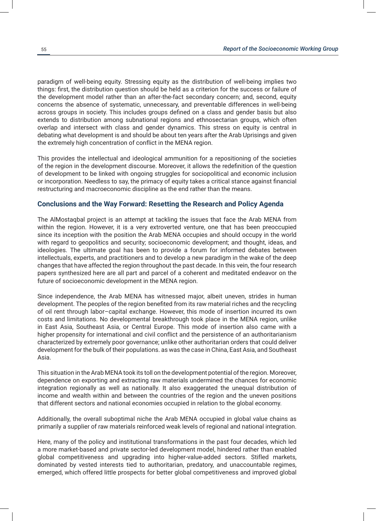paradigm of well-being equity. Stressing equity as the distribution of well-being implies two things: first, the distribution question should be held as a criterion for the success or failure of the development model rather than an after-the-fact secondary concern; and, second, equity concerns the absence of systematic, unnecessary, and preventable differences in well-being across groups in society. This includes groups defined on a class and gender basis but also extends to distribution among subnational regions and ethnosectarian groups, which often overlap and intersect with class and gender dynamics. This stress on equity is central in debating what development is and should be about ten years after the Arab Uprisings and given the extremely high concentration of conflict in the MENA region.

This provides the intellectual and ideological ammunition for a repositioning of the societies of the region in the development discourse. Moreover, it allows the redefinition of the question of development to be linked with ongoing struggles for sociopolitical and economic inclusion or incorporation. Needless to say, the primacy of equity takes a critical stance against financial restructuring and macroeconomic discipline as the end rather than the means.

# **Conclusions and the Way Forward: Resetting the Research and Policy Agenda**

The AlMostaqbal project is an attempt at tackling the issues that face the Arab MENA from within the region. However, it is a very extroverted venture, one that has been preoccupied since its inception with the position the Arab MENA occupies and should occupy in the world with regard to geopolitics and security; socioeconomic development; and thought, ideas, and ideologies. The ultimate goal has been to provide a forum for informed debates between intellectuals, experts, and practitioners and to develop a new paradigm in the wake of the deep changes that have affected the region throughout the past decade. In this vein, the four research papers synthesized here are all part and parcel of a coherent and meditated endeavor on the future of socioeconomic development in the MENA region.

Since independence, the Arab MENA has witnessed major, albeit uneven, strides in human development. The peoples of the region benefited from its raw material riches and the recycling of oil rent through labor–capital exchange. However, this mode of insertion incurred its own costs and limitations. No developmental breakthrough took place in the MENA region, unlike in East Asia, Southeast Asia, or Central Europe. This mode of insertion also came with a higher propensity for international and civil conflict and the persistence of an authoritarianism characterized by extremely poor governance; unlike other authoritarian orders that could deliver development for the bulk of their populations. as was the case in China, East Asia, and Southeast Asia.

This situation in the Arab MENA took its toll on the development potential of the region. Moreover, dependence on exporting and extracting raw materials undermined the chances for economic integration regionally as well as nationally. It also exaggerated the unequal distribution of income and wealth within and between the countries of the region and the uneven positions that different sectors and national economies occupied in relation to the global economy.

Additionally, the overall suboptimal niche the Arab MENA occupied in global value chains as primarily a supplier of raw materials reinforced weak levels of regional and national integration.

Here, many of the policy and institutional transformations in the past four decades, which led a more market-based and private sector-led development model, hindered rather than enabled global competitiveness and upgrading into higher-value-added sectors. Stifled markets, dominated by vested interests tied to authoritarian, predatory, and unaccountable regimes, emerged, which offered little prospects for better global competitiveness and improved global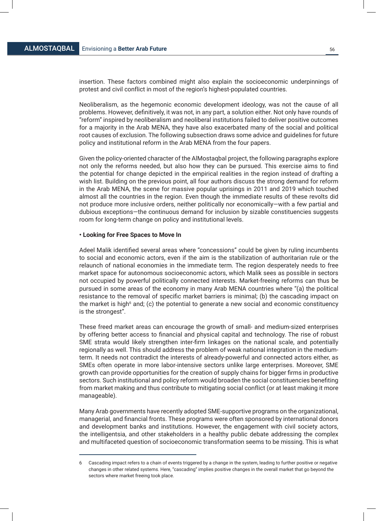insertion. These factors combined might also explain the socioeconomic underpinnings of protest and civil conflict in most of the region's highest-populated countries.

Neoliberalism, as the hegemonic economic development ideology, was not the cause of all problems. However, definitively, it was not, in any part, a solution either. Not only have rounds of "reform" inspired by neoliberalism and neoliberal institutions failed to deliver positive outcomes for a majority in the Arab MENA, they have also exacerbated many of the social and political root causes of exclusion. The following subsection draws some advice and guidelines for future policy and institutional reform in the Arab MENA from the four papers.

Given the policy-oriented character of the AlMostaqbal project, the following paragraphs explore not only the reforms needed, but also how they can be pursued. This exercise aims to find the potential for change depicted in the empirical realities in the region instead of drafting a wish list. Building on the previous point, all four authors discuss the strong demand for reform in the Arab MENA, the scene for massive popular uprisings in 2011 and 2019 which touched almost all the countries in the region. Even though the immediate results of these revolts did not produce more inclusive orders, neither politically nor economically—with a few partial and dubious exceptions—the continuous demand for inclusion by sizable constituencies suggests room for long-term change on policy and institutional levels.

# **• Looking for Free Spaces to Move In**

Adeel Malik identified several areas where "concessions" could be given by ruling incumbents to social and economic actors, even if the aim is the stabilization of authoritarian rule or the relaunch of national economies in the immediate term. The region desperately needs to free market space for autonomous socioeconomic actors, which Malik sees as possible in sectors not occupied by powerful politically connected interests. Market-freeing reforms can thus be pursued in some areas of the economy in many Arab MENA countries where "(a) the political resistance to the removal of specific market barriers is minimal; (b) the cascading impact on the market is high<sup>6</sup> and; (c) the potential to generate a new social and economic constituency is the strongest".

These freed market areas can encourage the growth of small- and medium-sized enterprises by offering better access to financial and physical capital and technology. The rise of robust SME strata would likely strengthen inter-firm linkages on the national scale, and potentially regionally as well. This should address the problem of weak national integration in the mediumterm. It needs not contradict the interests of already-powerful and connected actors either, as SMEs often operate in more labor-intensive sectors unlike large enterprises. Moreover, SME growth can provide opportunities for the creation of supply chains for bigger firms in productive sectors. Such institutional and policy reform would broaden the social constituencies benefiting from market making and thus contribute to mitigating social conflict (or at least making it more manageable).

Many Arab governments have recently adopted SME-supportive programs on the organizational, managerial, and financial fronts. These programs were often sponsored by international donors and development banks and institutions. However, the engagement with civil society actors, the intelligentsia, and other stakeholders in a healthy public debate addressing the complex and multifaceted question of socioeconomic transformation seems to be missing. This is what

<sup>6</sup> Cascading impact refers to a chain of events triggered by a change in the system, leading to further positive or negative changes in other related systems. Here, "cascading" implies positive changes in the overall market that go beyond the sectors where market freeing took place.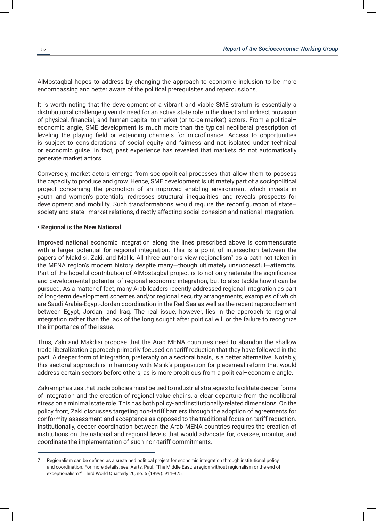AlMostaqbal hopes to address by changing the approach to economic inclusion to be more encompassing and better aware of the political prerequisites and repercussions.

It is worth noting that the development of a vibrant and viable SME stratum is essentially a distributional challenge given its need for an active state role in the direct and indirect provision of physical, financial, and human capital to market (or to-be market) actors. From a political– economic angle, SME development is much more than the typical neoliberal prescription of leveling the playing field or extending channels for microfinance. Access to opportunities is subject to considerations of social equity and fairness and not isolated under technical or economic guise. In fact, past experience has revealed that markets do not automatically generate market actors.

Conversely, market actors emerge from sociopolitical processes that allow them to possess the capacity to produce and grow. Hence, SME development is ultimately part of a sociopolitical project concerning the promotion of an improved enabling environment which invests in youth and women's potentials; redresses structural inequalities; and reveals prospects for development and mobility. Such transformations would require the reconfiguration of state– society and state–market relations, directly affecting social cohesion and national integration.

# **• Regional is the New National**

Improved national economic integration along the lines prescribed above is commensurate with a larger potential for regional integration. This is a point of intersection between the papers of Makdisi, Zaki, and Malik. All three authors view regionalism<sup>7</sup> as a path not taken in the MENA region's modern history despite many—though ultimately unsuccessful—attempts. Part of the hopeful contribution of AlMostaqbal project is to not only reiterate the significance and developmental potential of regional economic integration, but to also tackle how it can be pursued. As a matter of fact, many Arab leaders recently addressed regional integration as part of long-term development schemes and/or regional security arrangements, examples of which are Saudi Arabia-Egypt-Jordan coordination in the Red Sea as well as the recent rapprochement between Egypt, Jordan, and Iraq. The real issue, however, lies in the approach to regional integration rather than the lack of the long sought after political will or the failure to recognize the importance of the issue.

Thus, Zaki and Makdisi propose that the Arab MENA countries need to abandon the shallow trade liberalization approach primarily focused on tariff reduction that they have followed in the past. A deeper form of integration, preferably on a sectoral basis, is a better alternative. Notably, this sectoral approach is in harmony with Malik's proposition for piecemeal reform that would address certain sectors before others, as is more propitious from a political–economic angle.

Zaki emphasizes that trade policies must be tied to industrial strategies to facilitate deeper forms of integration and the creation of regional value chains, a clear departure from the neoliberal stress on a minimal state role. This has both policy- and institutionally-related dimensions. On the policy front, Zaki discusses targeting non-tariff barriers through the adoption of agreements for conformity assessment and acceptance as opposed to the traditional focus on tariff reduction. Institutionally, deeper coordination between the Arab MENA countries requires the creation of institutions on the national and regional levels that would advocate for, oversee, monitor, and coordinate the implementation of such non-tariff commitments.

<sup>7</sup> Regionalism can be defined as a sustained political project for economic integration through institutional policy and coordination. For more details, see: Aarts, Paul. "The Middle East: a region without regionalism or the end of exceptionalism?" Third World Quarterly 20, no. 5 (1999): 911-925.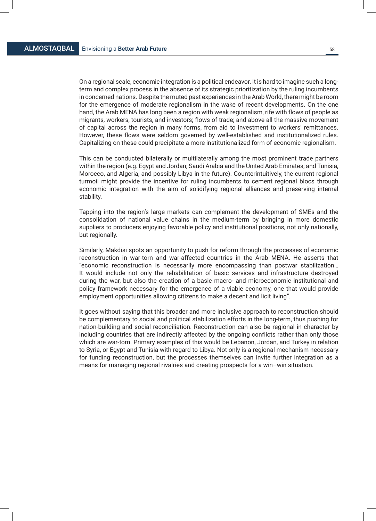On a regional scale, economic integration is a political endeavor. It is hard to imagine such a longterm and complex process in the absence of its strategic prioritization by the ruling incumbents in concerned nations. Despite the muted past experiences in the Arab World, there might be room for the emergence of moderate regionalism in the wake of recent developments. On the one hand, the Arab MENA has long been a region with weak regionalism, rife with flows of people as migrants, workers, tourists, and investors; flows of trade; and above all the massive movement of capital across the region in many forms, from aid to investment to workers' remittances. However, these flows were seldom governed by well-established and institutionalized rules. Capitalizing on these could precipitate a more institutionalized form of economic regionalism.

This can be conducted bilaterally or multilaterally among the most prominent trade partners within the region (e.g. Egypt and Jordan; Saudi Arabia and the United Arab Emirates; and Tunisia, Morocco, and Algeria, and possibly Libya in the future). Counterintuitively, the current regional turmoil might provide the incentive for ruling incumbents to cement regional blocs through economic integration with the aim of solidifying regional alliances and preserving internal stability.

Tapping into the region's large markets can complement the development of SMEs and the consolidation of national value chains in the medium-term by bringing in more domestic suppliers to producers enjoying favorable policy and institutional positions, not only nationally, but regionally.

Similarly, Makdisi spots an opportunity to push for reform through the processes of economic reconstruction in war-torn and war-affected countries in the Arab MENA. He asserts that "economic reconstruction is necessarily more encompassing than postwar stabilization… It would include not only the rehabilitation of basic services and infrastructure destroyed during the war, but also the creation of a basic macro- and microeconomic institutional and policy framework necessary for the emergence of a viable economy, one that would provide employment opportunities allowing citizens to make a decent and licit living".

It goes without saying that this broader and more inclusive approach to reconstruction should be complementary to social and political stabilization efforts in the long-term, thus pushing for nation-building and social reconciliation. Reconstruction can also be regional in character by including countries that are indirectly affected by the ongoing conflicts rather than only those which are war-torn. Primary examples of this would be Lebanon, Jordan, and Turkey in relation to Syria, or Egypt and Tunisia with regard to Libya. Not only is a regional mechanism necessary for funding reconstruction, but the processes themselves can invite further integration as a means for managing regional rivalries and creating prospects for a win–win situation.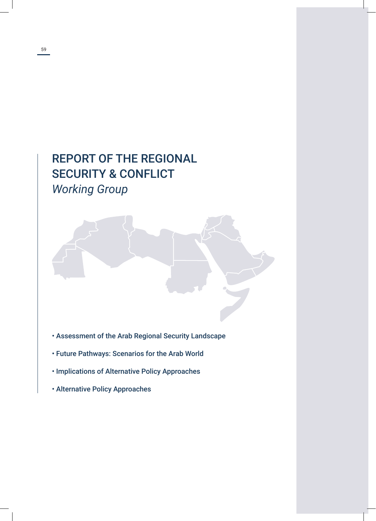# REPORT OF THE REGIONAL SECURITY & CONFLICT *Working Group*

- Assessment of the Arab Regional Security Landscape
- Future Pathways: Scenarios for the Arab World
- Implications of Alternative Policy Approaches
- Alternative Policy Approaches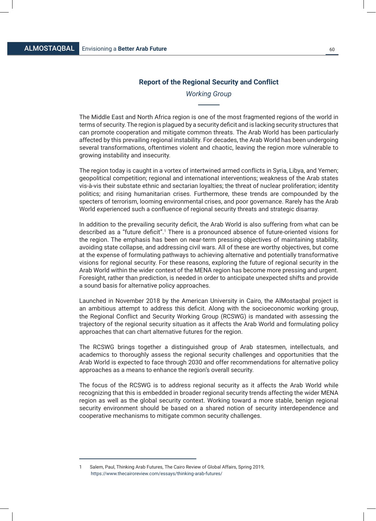# **Report of the Regional Security and Conflict**

# *Working Group*

The Middle East and North Africa region is one of the most fragmented regions of the world in terms of security. The region is plagued by a security deficit and is lacking security structures that can promote cooperation and mitigate common threats. The Arab World has been particularly affected by this prevailing regional instability. For decades, the Arab World has been undergoing several transformations, oftentimes violent and chaotic, leaving the region more vulnerable to growing instability and insecurity.

The region today is caught in a vortex of intertwined armed conflicts in Syria, Libya, and Yemen; geopolitical competition; regional and international interventions; weakness of the Arab states vis-à-vis their substate ethnic and sectarian loyalties; the threat of nuclear proliferation; identity politics; and rising humanitarian crises. Furthermore, these trends are compounded by the specters of terrorism, looming environmental crises, and poor governance. Rarely has the Arab World experienced such a confluence of regional security threats and strategic disarray.

In addition to the prevailing security deficit, the Arab World is also suffering from what can be described as a "future deficit".<sup>1</sup> There is a pronounced absence of future-oriented visions for the region. The emphasis has been on near-term pressing objectives of maintaining stability, avoiding state collapse, and addressing civil wars. All of these are worthy objectives, but come at the expense of formulating pathways to achieving alternative and potentially transformative visions for regional security. For these reasons, exploring the future of regional security in the Arab World within the wider context of the MENA region has become more pressing and urgent. Foresight, rather than prediction, is needed in order to anticipate unexpected shifts and provide a sound basis for alternative policy approaches.

Launched in November 2018 by the American University in Cairo, the AlMostaqbal project is an ambitious attempt to address this deficit. Along with the socioeconomic working group, the Regional Conflict and Security Working Group (RCSWG) is mandated with assessing the trajectory of the regional security situation as it affects the Arab World and formulating policy approaches that can chart alternative futures for the region.

The RCSWG brings together a distinguished group of Arab statesmen, intellectuals, and academics to thoroughly assess the regional security challenges and opportunities that the Arab World is expected to face through 2030 and offer recommendations for alternative policy approaches as a means to enhance the region's overall security.

The focus of the RCSWG is to address regional security as it affects the Arab World while recognizing that this is embedded in broader regional security trends affecting the wider MENA region as well as the global security context. Working toward a more stable, benign regional security environment should be based on a shared notion of security interdependence and cooperative mechanisms to mitigate common security challenges.

<sup>1</sup> Salem, Paul, Thinking Arab Futures, The Cairo Review of Global Affairs, Spring 2019, https://www.thecairoreview.com/essays/thinking-arab-futures/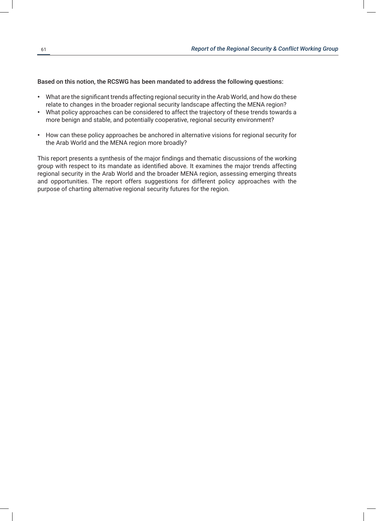Based on this notion, the RCSWG has been mandated to address the following questions:

- What are the significant trends affecting regional security in the Arab World, and how do these relate to changes in the broader regional security landscape affecting the MENA region?
- What policy approaches can be considered to affect the trajectory of these trends towards a more benign and stable, and potentially cooperative, regional security environment?
- How can these policy approaches be anchored in alternative visions for regional security for the Arab World and the MENA region more broadly?

This report presents a synthesis of the major findings and thematic discussions of the working group with respect to its mandate as identified above. It examines the major trends affecting regional security in the Arab World and the broader MENA region, assessing emerging threats and opportunities. The report offers suggestions for different policy approaches with the purpose of charting alternative regional security futures for the region.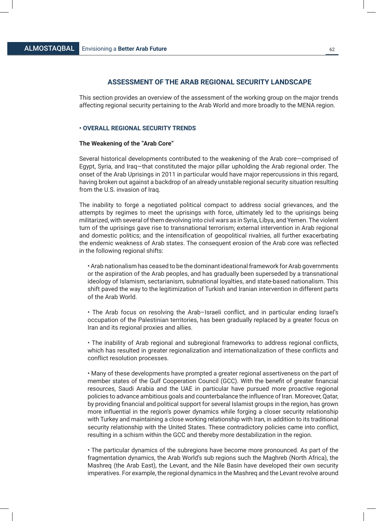# **ASSESSMENT OF THE ARAB REGIONAL SECURITY LANDSCAPE**

This section provides an overview of the assessment of the working group on the major trends affecting regional security pertaining to the Arab World and more broadly to the MENA region.

# **• OVERALL REGIONAL SECURITY TRENDS**

#### **The Weakening of the "Arab Core"**

Several historical developments contributed to the weakening of the Arab core—comprised of Egypt, Syria, and Iraq—that constituted the major pillar upholding the Arab regional order. The onset of the Arab Uprisings in 2011 in particular would have major repercussions in this regard, having broken out against a backdrop of an already unstable regional security situation resulting from the U.S. invasion of Iraq.

The inability to forge a negotiated political compact to address social grievances, and the attempts by regimes to meet the uprisings with force, ultimately led to the uprisings being militarized, with several of them devolving into civil wars as in Syria, Libya, and Yemen. The violent turn of the uprisings gave rise to transnational terrorism; external intervention in Arab regional and domestic politics; and the intensification of geopolitical rivalries, all further exacerbating the endemic weakness of Arab states. The consequent erosion of the Arab core was reflected in the following regional shifts:

• Arab nationalism has ceased to be the dominant ideational framework for Arab governments or the aspiration of the Arab peoples, and has gradually been superseded by a transnational ideology of Islamism, sectarianism, subnational loyalties, and state-based nationalism. This shift paved the way to the legitimization of Turkish and Iranian intervention in different parts of the Arab World.

• The Arab focus on resolving the Arab–Israeli conflict, and in particular ending Israel's occupation of the Palestinian territories, has been gradually replaced by a greater focus on Iran and its regional proxies and allies.

• The inability of Arab regional and subregional frameworks to address regional conflicts, which has resulted in greater regionalization and internationalization of these conflicts and conflict resolution processes.

• Many of these developments have prompted a greater regional assertiveness on the part of member states of the Gulf Cooperation Council (GCC). With the benefit of greater financial resources, Saudi Arabia and the UAE in particular have pursued more proactive regional policies to advance ambitious goals and counterbalance the influence of Iran. Moreover, Qatar, by providing financial and political support for several Islamist groups in the region, has grown more influential in the region's power dynamics while forging a closer security relationship with Turkey and maintaining a close working relationship with Iran, in addition to its traditional security relationship with the United States. These contradictory policies came into conflict, resulting in a schism within the GCC and thereby more destabilization in the region.

• The particular dynamics of the subregions have become more pronounced. As part of the fragmentation dynamics, the Arab World's sub regions such the Maghreb (North Africa), the Mashreq (the Arab East), the Levant, and the Nile Basin have developed their own security imperatives. For example, the regional dynamics in the Mashreq and the Levant revolve around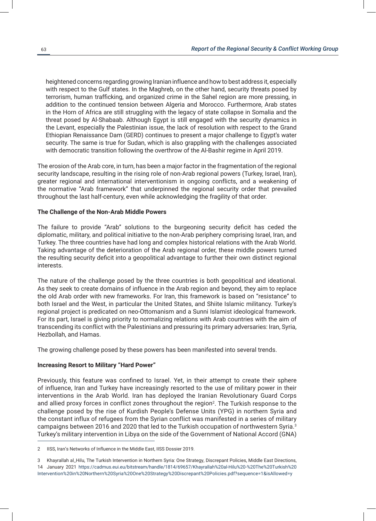heightened concerns regarding growing Iranian influence and how to best address it, especially with respect to the Gulf states. In the Maghreb, on the other hand, security threats posed by terrorism, human trafficking, and organized crime in the Sahel region are more pressing, in addition to the continued tension between Algeria and Morocco. Furthermore, Arab states in the Horn of Africa are still struggling with the legacy of state collapse in Somalia and the threat posed by Al-Shabaab. Although Egypt is still engaged with the security dynamics in the Levant, especially the Palestinian issue, the lack of resolution with respect to the Grand Ethiopian Renaissance Dam (GERD) continues to present a major challenge to Egypt's water security. The same is true for Sudan, which is also grappling with the challenges associated with democratic transition following the overthrow of the Al-Bashir regime in April 2019.

The erosion of the Arab core, in turn, has been a major factor in the fragmentation of the regional security landscape, resulting in the rising role of non-Arab regional powers (Turkey, Israel, Iran), greater regional and international interventionism in ongoing conflicts, and a weakening of the normative "Arab framework" that underpinned the regional security order that prevailed throughout the last half-century, even while acknowledging the fragility of that order.

# **The Challenge of the Non-Arab Middle Powers**

The failure to provide "Arab" solutions to the burgeoning security deficit has ceded the diplomatic, military, and political initiative to the non-Arab periphery comprising Israel, Iran, and Turkey. The three countries have had long and complex historical relations with the Arab World. Taking advantage of the deterioration of the Arab regional order, these middle powers turned the resulting security deficit into a geopolitical advantage to further their own distinct regional interests.

The nature of the challenge posed by the three countries is both geopolitical and ideational. As they seek to create domains of influence in the Arab region and beyond, they aim to replace the old Arab order with new frameworks. For Iran, this framework is based on "resistance" to both Israel and the West, in particular the United States, and Shiite Islamic militancy. Turkey's regional project is predicated on neo-Ottomanism and a Sunni Islamist ideological framework. For its part, Israel is giving priority to normalizing relations with Arab countries with the aim of transcending its conflict with the Palestinians and pressuring its primary adversaries: Iran, Syria, Hezbollah, and Hamas.

The growing challenge posed by these powers has been manifested into several trends.

# **Increasing Resort to Military "Hard Power"**

Previously, this feature was confined to Israel. Yet, in their attempt to create their sphere of influence, Iran and Turkey have increasingly resorted to the use of military power in their interventions in the Arab World. Iran has deployed the Iranian Revolutionary Guard Corps and allied proxy forces in conflict zones throughout the region<sup>2</sup>. The Turkish response to the challenge posed by the rise of Kurdish People's Defense Units (YPG) in northern Syria and the constant influx of refugees from the Syrian conflict was manifested in a series of military campaigns between 2016 and 2020 that led to the Turkish occupation of northwestern Syria.<sup>3</sup> Turkey's military intervention in Libya on the side of the Government of National Accord (GNA)

<sup>2</sup> IISS, Iran's Networks of Influence in the Middle East, IISS Dossier 2019.

<sup>3</sup> Khayrallah al\_Hilu, The Turkish Intervention in Northern Syria: One Strategy, Discrepant Policies, Middle East Directions, 14 January 2021 https://cadmus.eui.eu/bitstream/handle/1814/69657/Khayrallah%20al-Hilu%20-%20The%20Turkish%20 Intervention%20in%20Northern%20Syria%20One%20Strategy%20Discrepant%20Policies.pdf?sequence=1&isAllowed=y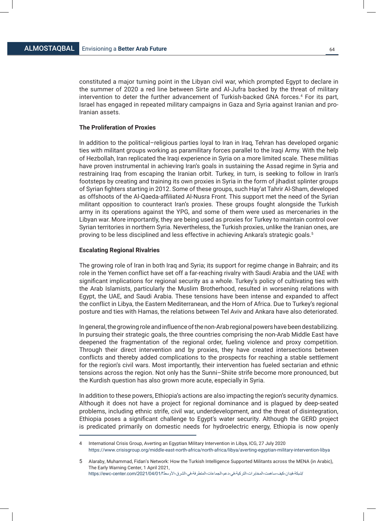constituted a major turning point in the Libyan civil war, which prompted Egypt to declare in the summer of 2020 a red line between Sirte and Al-Jufra backed by the threat of military intervention to deter the further advancement of Turkish-backed GNA forces.<sup>4</sup> For its part, Israel has engaged in repeated military campaigns in Gaza and Syria against Iranian and pro-Iranian assets.

# **The Proliferation of Proxies**

In addition to the political–religious parties loyal to Iran in Iraq, Tehran has developed organic ties with militant groups working as paramilitary forces parallel to the Iraqi Army. With the help of Hezbollah, Iran replicated the Iraqi experience in Syria on a more limited scale. These militias have proven instrumental in achieving Iran's goals in sustaining the Assad regime in Syria and restraining Iraq from escaping the Iranian orbit. Turkey, in turn, is seeking to follow in Iran's footsteps by creating and training its own proxies in Syria in the form of jihadist splinter groups of Syrian fighters starting in 2012. Some of these groups, such Hay'at Tahrir Al-Sham, developed as offshoots of the Al-Qaeda-affiliated Al-Nusra Front. This support met the need of the Syrian militant opposition to counteract Iran's proxies. These groups fought alongside the Turkish army in its operations against the YPG, and some of them were used as mercenaries in the Libyan war. More importantly, they are being used as proxies for Turkey to maintain control over Syrian territories in northern Syria. Nevertheless, the Turkish proxies, unlike the Iranian ones, are proving to be less disciplined and less effective in achieving Ankara's strategic goals.<sup>5</sup>

# **Escalating Regional Rivalries**

The growing role of Iran in both Iraq and Syria; its support for regime change in Bahrain; and its role in the Yemen conflict have set off a far-reaching rivalry with Saudi Arabia and the UAE with significant implications for regional security as a whole. Turkey's policy of cultivating ties with the Arab Islamists, particularly the Muslim Brotherhood, resulted in worsening relations with Egypt, the UAE, and Saudi Arabia. These tensions have been intense and expanded to affect the conflict in Libya, the Eastern Mediterranean, and the Horn of Africa. Due to Turkey's regional posture and ties with Hamas, the relations between Tel Aviv and Ankara have also deteriorated.

In general, the growing role and influence of the non-Arab regional powers have been destabilizing. In pursuing their strategic goals, the three countries comprising the non-Arab Middle East have deepened the fragmentation of the regional order, fueling violence and proxy competition. Through their direct intervention and by proxies, they have created intersections between conflicts and thereby added complications to the prospects for reaching a stable settlement for the region's civil wars. Most importantly, their intervention has fueled sectarian and ethnic tensions across the region. Not only has the Sunni–Shiite strife become more pronounced, but the Kurdish question has also grown more acute, especially in Syria.

In addition to these powers, Ethiopia's actions are also impacting the region's security dynamics. Although it does not have a project for regional dominance and is plagued by deep-seated problems, including ethnic strife, civil war, underdevelopment, and the threat of disintegration, Ethiopia poses a significant challenge to Egypt's water security. Although the GERD project is predicated primarily on domestic needs for hydroelectric energy, Ethiopia is now openly

<sup>4</sup> International Crisis Group, Averting an Egyptian Military Intervention in Libya, ICG, 27 July 2020 https://www.crisisgroup.org/middle-east-north-africa/north-africa/libya/averting-egyptian-military-intervention-libya

<sup>5</sup> Alaraby, Muhammad, Fidan's Network: How the Turkish Intelligence Supported Militants across the MENA (in Arabic), The Early Warning Center, 1 April 2021,

<sup>/</sup>شبكة-فيدان-كيف-ساهمت-المخابرات-التركية-في-دعم-الجماعات-المتطرفة-في-الشرق-الأوسط؟/104/01/2021/04/01/ https://ewc-center.com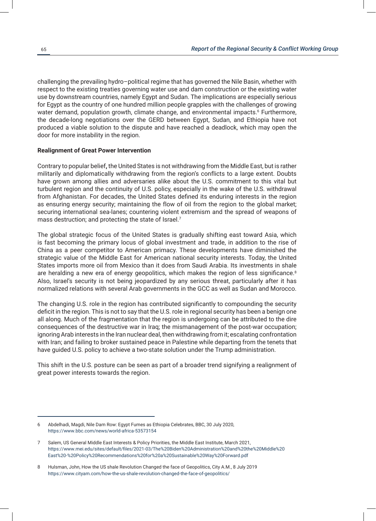challenging the prevailing hydro–political regime that has governed the Nile Basin, whether with respect to the existing treaties governing water use and dam construction or the existing water use by downstream countries, namely Egypt and Sudan. The implications are especially serious for Egypt as the country of one hundred million people grapples with the challenges of growing water demand, population growth, climate change, and environmental impacts.6 Furthermore, the decade-long negotiations over the GERD between Egypt, Sudan, and Ethiopia have not produced a viable solution to the dispute and have reached a deadlock, which may open the door for more instability in the region.

# **Realignment of Great Power Intervention**

Contrary to popular belief**,** the United States is not withdrawing from the Middle East, but is rather militarily and diplomatically withdrawing from the region's conflicts to a large extent. Doubts have grown among allies and adversaries alike about the U.S. commitment to this vital but turbulent region and the continuity of U.S. policy, especially in the wake of the U.S. withdrawal from Afghanistan. For decades, the United States defined its enduring interests in the region as ensuring energy security; maintaining the flow of oil from the region to the global market; securing international sea-lanes; countering violent extremism and the spread of weapons of mass destruction; and protecting the state of Israel.<sup>7</sup>

The global strategic focus of the United States is gradually shifting east toward Asia, which is fast becoming the primary locus of global investment and trade, in addition to the rise of China as a peer competitor to American primacy. These developments have diminished the strategic value of the Middle East for American national security interests. Today, the United States imports more oil from Mexico than it does from Saudi Arabia. Its investments in shale are heralding a new era of energy geopolitics, which makes the region of less significance.<sup>8</sup> Also, Israel's security is not being jeopardized by any serious threat, particularly after it has normalized relations with several Arab governments in the GCC as well as Sudan and Morocco.

The changing U.S. role in the region has contributed significantly to compounding the security deficit in the region. This is not to say that the U.S. role in regional security has been a benign one all along. Much of the fragmentation that the region is undergoing can be attributed to the dire consequences of the destructive war in Iraq; the mismanagement of the post-war occupation; ignoring Arab interests in the Iran nuclear deal, then withdrawing from it; escalating confrontation with Iran; and failing to broker sustained peace in Palestine while departing from the tenets that have guided U.S. policy to achieve a two-state solution under the Trump administration.

This shift in the U.S. posture can be seen as part of a broader trend signifying a realignment of great power interests towards the region.

<sup>6</sup> Abdelhadi, Magdi, Nile Dam Row: Egypt Fumes as Ethiopia Celebrates, BBC, 30 July 2020, https://www.bbc.com/news/world-africa-53573154

<sup>7</sup> Salem, US General Middle East Interests & Policy Priorities, the Middle East Institute, March 2021, https://www.mei.edu/sites/default/files/2021-03/The%20Biden%20Administration%20and%20the%20Middle%20 East%20-%20Policy%20Recommendations%20for%20a%20Sustainable%20Way%20Forward.pdf

<sup>8</sup> Hulsman, John, How the US shale Revolution Changed the face of Geopolitics, City A.M., 8 July 2019 https://www.cityam.com/how-the-us-shale-revolution-changed-the-face-of-geopolitics/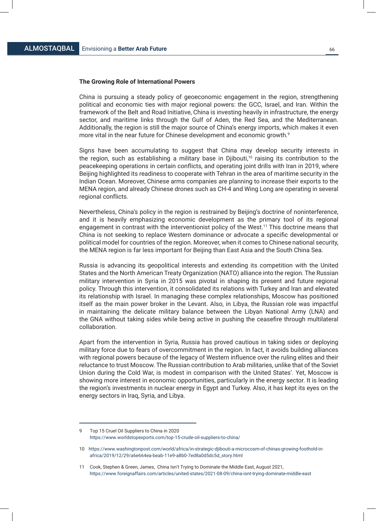## **The Growing Role of International Powers**

China is pursuing a steady policy of geoeconomic engagement in the region, strengthening political and economic ties with major regional powers: the GCC, Israel, and Iran. Within the framework of the Belt and Road Initiative, China is investing heavily in infrastructure, the energy sector, and maritime links through the Gulf of Aden, the Red Sea, and the Mediterranean. Additionally, the region is still the major source of China's energy imports, which makes it even more vital in the near future for Chinese development and economic growth. $^9$ 

Signs have been accumulating to suggest that China may develop security interests in the region, such as establishing a military base in Djibouti,<sup>10</sup> raising its contribution to the peacekeeping operations in certain conflicts, and operating joint drills with Iran in 2019, where Beijing highlighted its readiness to cooperate with Tehran in the area of maritime security in the Indian Ocean. Moreover, Chinese arms companies are planning to increase their exports to the MENA region, and already Chinese drones such as CH-4 and Wing Long are operating in several regional conflicts.

Nevertheless, China's policy in the region is restrained by Beijing's doctrine of noninterference, and it is heavily emphasizing economic development as the primary tool of its regional engagement in contrast with the interventionist policy of the West.11 This doctrine means that China is not seeking to replace Western dominance or advocate a specific developmental or political model for countries of the region. Moreover, when it comes to Chinese national security, the MENA region is far less important for Beijing than East Asia and the South China Sea.

Russia is advancing its geopolitical interests and extending its competition with the United States and the North American Treaty Organization (NATO) alliance into the region. The Russian military intervention in Syria in 2015 was pivotal in shaping its present and future regional policy. Through this intervention, it consolidated its relations with Turkey and Iran and elevated its relationship with Israel. In managing these complex relationships, Moscow has positioned itself as the main power broker in the Levant. Also, in Libya, the Russian role was impactful in maintaining the delicate military balance between the Libyan National Army (LNA) and the GNA without taking sides while being active in pushing the ceasefire through multilateral collaboration.

Apart from the intervention in Syria, Russia has proved cautious in taking sides or deploying military force due to fears of overcommitment in the region. In fact, it avoids building alliances with regional powers because of the legacy of Western influence over the ruling elites and their reluctance to trust Moscow. The Russian contribution to Arab militaries, unlike that of the Soviet Union during the Cold War, is modest in comparison with the United States'. Yet, Moscow is showing more interest in economic opportunities, particularly in the energy sector. It is leading the region's investments in nuclear energy in Egypt and Turkey. Also, it has kept its eyes on the energy sectors in Iraq, Syria, and Libya.

<sup>9</sup> Top 15 Cruel Oil Suppliers to China in 2020 https://www.worldstopexports.com/top-15-crude-oil-suppliers-to-china/

<sup>10</sup> https://www.washingtonpost.com/world/africa/in-strategic-djibouti-a-microcosm-of-chinas-growing-foothold-in africa/2019/12/29/a6e664ea-beab-11e9-a8b0-7ed8a0d5dc5d\_story.html

<sup>11</sup> Cook, Stephen & Green, James, China Isn't Trying to Dominate the Middle East, August 2021, https://www.foreignaffairs.com/articles/united-states/2021-08-09/china-isnt-trying-dominate-middle-east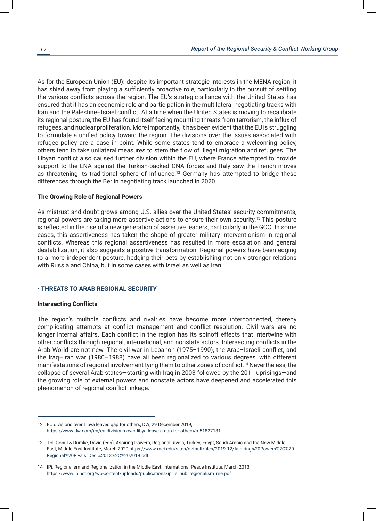As for the European Union (EU)**:** despite its important strategic interests in the MENA region, it has shied away from playing a sufficiently proactive role, particularly in the pursuit of settling the various conflicts across the region. The EU's strategic alliance with the United States has ensured that it has an economic role and participation in the multilateral negotiating tracks with Iran and the Palestine–Israel conflict. At a time when the United States is moving to recalibrate its regional posture, the EU has found itself facing mounting threats from terrorism, the influx of refugees, and nuclear proliferation. More importantly, it has been evident that the EU is struggling to formulate a unified policy toward the region. The divisions over the issues associated with refugee policy are a case in point. While some states tend to embrace a welcoming policy, others tend to take unilateral measures to stem the flow of illegal migration and refugees. The Libyan conflict also caused further division within the EU, where France attempted to provide support to the LNA against the Turkish-backed GNA forces and Italy saw the French moves as threatening its traditional sphere of influence.<sup>12</sup> Germany has attempted to bridge these differences through the Berlin negotiating track launched in 2020.

#### **The Growing Role of Regional Powers**

As mistrust and doubt grows among U.S. allies over the United States' security commitments, regional powers are taking more assertive actions to ensure their own security.<sup>13</sup> This posture is reflected in the rise of a new generation of assertive leaders, particularly in the GCC. In some cases, this assertiveness has taken the shape of greater military interventionism in regional conflicts. Whereas this regional assertiveness has resulted in more escalation and general destabilization, it also suggests a positive transformation. Regional powers have been edging to a more independent posture, hedging their bets by establishing not only stronger relations with Russia and China, but in some cases with Israel as well as Iran.

# **• THREATS TO ARAB REGIONAL SECURITY**

# **Intersecting Conflicts**

The region's multiple conflicts and rivalries have become more interconnected, thereby complicating attempts at conflict management and conflict resolution. Civil wars are no longer internal affairs. Each conflict in the region has its spinoff effects that intertwine with other conflicts through regional, international, and nonstate actors. Intersecting conflicts in the Arab World are not new. The civil war in Lebanon (1975–1990), the Arab–Israeli conflict, and the Iraq–Iran war (1980–1988) have all been regionalized to various degrees, with different manifestations of regional involvement tying them to other zones of conflict.<sup>14</sup> Nevertheless, the collapse of several Arab states—starting with Iraq in 2003 followed by the 2011 uprisings—and the growing role of external powers and nonstate actors have deepened and accelerated this phenomenon of regional conflict linkage.

<sup>12</sup> EU divisions over Libya leaves gap for others, DW, 29 December 2019, https://www.dw.com/en/eu-divisions-over-libya-leave-a-gap-for-others/a-51827131

<sup>13</sup> Tol, Gönül & Dumke, David (eds), Aspiring Powers, Regional Rivals, Turkey, Egypt, Saudi Arabia and the New Middle East, Middle East Institute, March 2020 https://www.mei.edu/sites/default/files/2019-12/Aspiring%20Powers%2C%20 Regional%20Rivals\_Dec.%2013%2C%202019.pdf

<sup>14</sup> IPi, Regionalism and Regionalization in the Middle East, International Peace Institute, March 2013 https://www.ipinst.org/wp-content/uploads/publications/ipi\_e\_pub\_regionalism\_me.pdf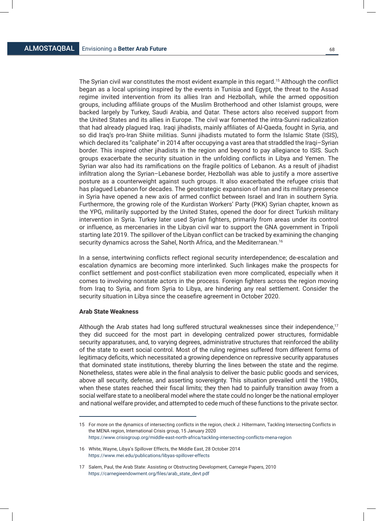The Syrian civil war constitutes the most evident example in this regard.15 Although the conflict began as a local uprising inspired by the events in Tunisia and Egypt, the threat to the Assad regime invited intervention from its allies Iran and Hezbollah, while the armed opposition groups, including affiliate groups of the Muslim Brotherhood and other Islamist groups, were backed largely by Turkey, Saudi Arabia, and Qatar. These actors also received support from the United States and its allies in Europe. The civil war fomented the intra-Sunni radicalization that had already plagued Iraq. Iraqi jihadists, mainly affiliates of Al-Qaeda, fought in Syria, and so did Iraq's pro-Iran Shiite militias. Sunni jihadists mutated to form the Islamic State (ISIS), which declared its "caliphate" in 2014 after occupying a vast area that straddled the Iraqi–Syrian border. This inspired other jihadists in the region and beyond to pay allegiance to ISIS. Such groups exacerbate the security situation in the unfolding conflicts in Libya and Yemen. The Syrian war also had its ramifications on the fragile politics of Lebanon. As a result of jihadist infiltration along the Syrian–Lebanese border, Hezbollah was able to justify a more assertive posture as a counterweight against such groups. It also exacerbated the refugee crisis that has plagued Lebanon for decades. The geostrategic expansion of Iran and its military presence in Syria have opened a new axis of armed conflict between Israel and Iran in southern Syria. Furthermore, the growing role of the Kurdistan Workers' Party (PKK) Syrian chapter, known as the YPG, militarily supported by the United States, opened the door for direct Turkish military intervention in Syria. Turkey later used Syrian fighters, primarily from areas under its control or influence, as mercenaries in the Libyan civil war to support the GNA government in Tripoli starting late 2019. The spillover of the Libyan conflict can be tracked by examining the changing security dynamics across the Sahel, North Africa, and the Mediterranean.<sup>16</sup>

In a sense, intertwining conflicts reflect regional security interdependence; de-escalation and escalation dynamics are becoming more interlinked. Such linkages make the prospects for conflict settlement and post-conflict stabilization even more complicated, especially when it comes to involving nonstate actors in the process. Foreign fighters across the region moving from Iraq to Syria, and from Syria to Libya, are hindering any real settlement. Consider the security situation in Libya since the ceasefire agreement in October 2020.

# **Arab State Weakness**

Although the Arab states had long suffered structural weaknesses since their independence,<sup>17</sup> they did succeed for the most part in developing centralized power structures, formidable security apparatuses, and, to varying degrees, administrative structures that reinforced the ability of the state to exert social control. Most of the ruling regimes suffered from different forms of legitimacy deficits, which necessitated a growing dependence on repressive security apparatuses that dominated state institutions, thereby blurring the lines between the state and the regime. Nonetheless, states were able in the final analysis to deliver the basic public goods and services, above all security, defense, and asserting sovereignty. This situation prevailed until the 1980s, when these states reached their fiscal limits; they then had to painfully transition away from a social welfare state to a neoliberal model where the state could no longer be the national employer and national welfare provider, and attempted to cede much of these functions to the private sector.

<sup>15</sup> For more on the dynamics of intersecting conflicts in the region, check J. Hiltermann, Tackling Intersecting Conflicts in the MENA region, International Crisis group, 15 January 2020 https://www.crisisgroup.org/middle-east-north-africa/tackling-intersecting-conflicts-mena-region

<sup>16</sup> White, Wayne, Libya's Spillover Effects, the Middle East, 28 October 2014 https://www.mei.edu/publications/libyas-spillover-effects

<sup>17</sup> Salem, Paul, the Arab State: Assisting or Obstructing Development, Carnegie Papers, 2010 https://carnegieendowment.org/files/arab\_state\_devt.pdf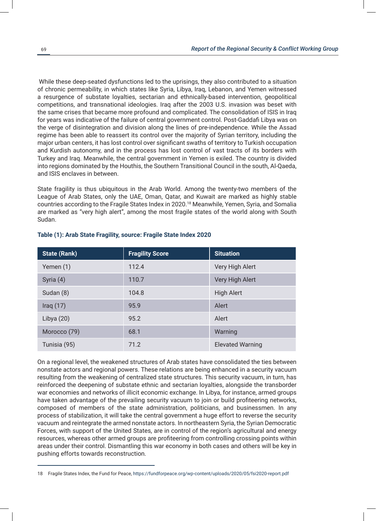While these deep-seated dysfunctions led to the uprisings, they also contributed to a situation of chronic permeability, in which states like Syria, Libya, Iraq, Lebanon, and Yemen witnessed a resurgence of substate loyalties, sectarian and ethnically-based intervention, geopolitical competitions, and transnational ideologies. Iraq after the 2003 U.S. invasion was beset with the same crises that became more profound and complicated. The consolidation of ISIS in Iraq for years was indicative of the failure of central government control. Post-Gaddafi Libya was on the verge of disintegration and division along the lines of pre-independence. While the Assad regime has been able to reassert its control over the majority of Syrian territory, including the major urban centers, it has lost control over significant swaths of territory to Turkish occupation and Kurdish autonomy, and in the process has lost control of vast tracts of its borders with Turkey and Iraq. Meanwhile, the central government in Yemen is exiled. The country is divided into regions dominated by the Houthis, the Southern Transitional Council in the south, Al-Qaeda, and ISIS enclaves in between.

State fragility is thus ubiquitous in the Arab World. Among the twenty-two members of the League of Arab States, only the UAE, Oman, Qatar, and Kuwait are marked as highly stable countries according to the Fragile States Index in 2020.<sup>18</sup> Meanwhile, Yemen, Syria, and Somalia are marked as "very high alert", among the most fragile states of the world along with South Sudan.

| <b>State (Rank)</b> | <b>Fragility Score</b> | <b>Situation</b>        |
|---------------------|------------------------|-------------------------|
| Yemen (1)           | 112.4                  | Very High Alert         |
| Syria (4)           | 110.7                  | Very High Alert         |
| Sudan (8)           | 104.8                  | <b>High Alert</b>       |
| Iraq $(17)$         | 95.9                   | Alert                   |
| Libya $(20)$        | 95.2                   | Alert                   |
| Morocco (79)        | 68.1                   | Warning                 |
| Tunisia (95)        | 71.2                   | <b>Elevated Warning</b> |

# **Table (1): Arab State Fragility, source: Fragile State Index 2020**

On a regional level, the weakened structures of Arab states have consolidated the ties between nonstate actors and regional powers. These relations are being enhanced in a security vacuum resulting from the weakening of centralized state structures. This security vacuum, in turn, has reinforced the deepening of substate ethnic and sectarian loyalties, alongside the transborder war economies and networks of illicit economic exchange. In Libya, for instance, armed groups have taken advantage of the prevailing security vacuum to join or build profiteering networks, composed of members of the state administration, politicians, and businessmen. In any process of stabilization, it will take the central government a huge effort to reverse the security vacuum and reintegrate the armed nonstate actors. In northeastern Syria, the Syrian Democratic Forces, with support of the United States, are in control of the region's agricultural and energy resources, whereas other armed groups are profiteering from controlling crossing points within areas under their control. Dismantling this war economy in both cases and others will be key in pushing efforts towards reconstruction.

<sup>18</sup> Fragile States Index, the Fund for Peace, https://fundforpeace.org/wp-content/uploads/2020/05/fsi2020-report.pdf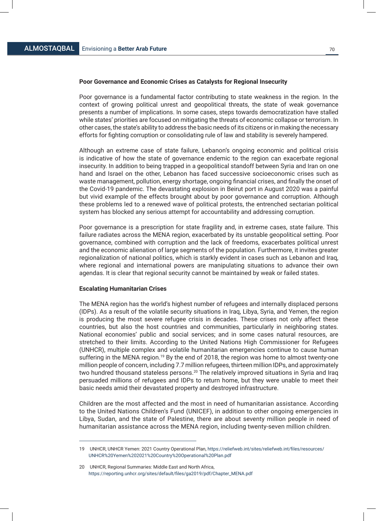# **Poor Governance and Economic Crises as Catalysts for Regional Insecurity**

Poor governance is a fundamental factor contributing to state weakness in the region. In the context of growing political unrest and geopolitical threats, the state of weak governance presents a number of implications. In some cases, steps towards democratization have stalled while states' priorities are focused on mitigating the threats of economic collapse or terrorism. In other cases, the state's ability to address the basic needs of its citizens or in making the necessary efforts for fighting corruption or consolidating rule of law and stability is severely hampered.

Although an extreme case of state failure, Lebanon's ongoing economic and political crisis is indicative of how the state of governance endemic to the region can exacerbate regional insecurity. In addition to being trapped in a geopolitical standoff between Syria and Iran on one hand and Israel on the other, Lebanon has faced successive socioeconomic crises such as waste management, pollution, energy shortage, ongoing financial crises, and finally the onset of the Covid-19 pandemic. The devastating explosion in Beirut port in August 2020 was a painful but vivid example of the effects brought about by poor governance and corruption. Although these problems led to a renewed wave of political protests, the entrenched sectarian political system has blocked any serious attempt for accountability and addressing corruption.

Poor governance is a prescription for state fragility and, in extreme cases, state failure. This failure radiates across the MENA region, exacerbated by its unstable geopolitical setting. Poor governance, combined with corruption and the lack of freedoms, exacerbates political unrest and the economic alienation of large segments of the population. Furthermore, it invites greater regionalization of national politics, which is starkly evident in cases such as Lebanon and Iraq, where regional and international powers are manipulating situations to advance their own agendas. It is clear that regional security cannot be maintained by weak or failed states.

# **Escalating Humanitarian Crises**

The MENA region has the world's highest number of refugees and internally displaced persons (IDPs). As a result of the volatile security situations in Iraq, Libya, Syria, and Yemen, the region is producing the most severe refugee crisis in decades. These crises not only affect these countries, but also the host countries and communities, particularly in neighboring states. National economies' public and social services; and in some cases natural resources, are stretched to their limits. According to the United Nations High Commissioner for Refugees (UNHCR), multiple complex and volatile humanitarian emergencies continue to cause human suffering in the MENA region.<sup>19</sup> By the end of 2018, the region was home to almost twenty-one million people of concern, including 7.7 million refugees, thirteen million IDPs, and approximately two hundred thousand stateless persons.<sup>20</sup> The relatively improved situations in Syria and Iraq persuaded millions of refugees and IDPs to return home, but they were unable to meet their basic needs amid their devastated property and destroyed infrastructure.

Children are the most affected and the most in need of humanitarian assistance. According to the United Nations Children's Fund (UNICEF), in addition to other ongoing emergencies in Libya, Sudan, and the state of Palestine, there are about seventy million people in need of humanitarian assistance across the MENA region, including twenty-seven million children.

<sup>19</sup> UNHCR, UNHCR Yemen: 2021 Country Operational Plan, https://reliefweb.int/sites/reliefweb.int/files/resources/ UNHCR%20Yemen%202021%20Country%20Operational%20Plan.pdf

<sup>20</sup> UNHCR, Regional Summaries: Middle East and North Africa, https://reporting.unhcr.org/sites/default/files/ga2019/pdf/Chapter\_MENA.pdf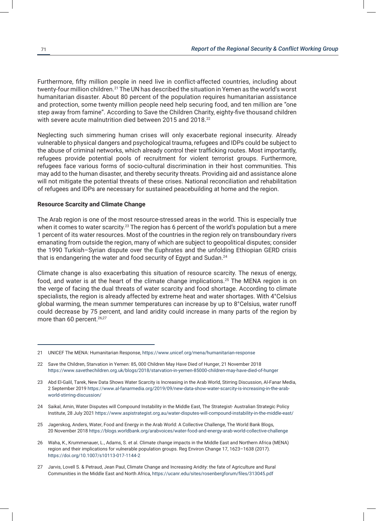Furthermore, fifty million people in need live in conflict-affected countries, including about twenty-four million children.<sup>21</sup> The UN has described the situation in Yemen as the world's worst humanitarian disaster. About 80 percent of the population requires humanitarian assistance and protection, some twenty million people need help securing food, and ten million are "one step away from famine". According to Save the Children Charity, eighty-five thousand children with severe acute malnutrition died between 2015 and 2018.<sup>22</sup>

Neglecting such simmering human crises will only exacerbate regional insecurity. Already vulnerable to physical dangers and psychological trauma, refugees and IDPs could be subject to the abuse of criminal networks, which already control their trafficking routes. Most importantly, refugees provide potential pools of recruitment for violent terrorist groups. Furthermore, refugees face various forms of socio-cultural discrimination in their host communities. This may add to the human disaster, and thereby security threats. Providing aid and assistance alone will not mitigate the potential threats of these crises. National reconciliation and rehabilitation of refugees and IDPs are necessary for sustained peacebuilding at home and the region.

# **Resource Scarcity and Climate Change**

The Arab region is one of the most resource-stressed areas in the world. This is especially true when it comes to water scarcity.<sup>23</sup> The region has 6 percent of the world's population but a mere 1 percent of its water resources. Most of the countries in the region rely on transboundary rivers emanating from outside the region, many of which are subject to geopolitical disputes; consider the 1990 Turkish–Syrian dispute over the Euphrates and the unfolding Ethiopian GERD crisis that is endangering the water and food security of Egypt and Sudan.<sup>24</sup>

Climate change is also exacerbating this situation of resource scarcity. The nexus of energy, food, and water is at the heart of the climate change implications.<sup>25</sup> The MENA region is on the verge of facing the dual threats of water scarcity and food shortage. According to climate specialists, the region is already affected by extreme heat and water shortages. With 4°Celsius global warming, the mean summer temperatures can increase by up to 8°Celsius, water runoff could decrease by 75 percent, and land aridity could increase in many parts of the region by more than 60 percent.<sup>26,27</sup>

<sup>21</sup> UNICEF The MENA: Humanitarian Response, https://www.unicef.org/mena/humanitarian-response

<sup>22</sup> Save the Children, Starvation in Yemen: 85, 000 Children May Have Died of Hunger, 21 November 2018 https://www.savethechildren.org.uk/blogs/2018/starvation-in-yemen-85000-children-may-have-died-of-hunger

<sup>23</sup> Abd El-Galil, Tarek, New Data Shows Water Scarcity is Increasing in the Arab World, Stirring Discussion, Al-Fanar Media, 2 September 2019 https://www.al-fanarmedia.org/2019/09/new-data-show-water-scarcity-is-increasing-in-the-arab world-stirring-discussion/

<sup>24</sup> Saikal, Amin, Water Disputes will Compound Instability in the Middle East, The Strategist- Australian Strategic Policy Institute, 28 July 2021 https://www.aspistrategist.org.au/water-disputes-will-compound-instability-in-the-middle-east/

<sup>25</sup> Jagerskog, Anders, Water, Food and Energy in the Arab World: A Collective Challenge, The World Bank Blogs, 20 November 2018 https://blogs.worldbank.org/arabvoices/water-food-and-energy-arab-world-collective-challenge

<sup>26</sup> Waha, K., Krummenauer, L., Adams, S. et al. Climate change impacts in the Middle East and Northern Africa (MENA) region and their implications for vulnerable population groups. Reg Environ Change 17, 1623–1638 (2017). https://doi.org/10.1007/s10113-017-1144-2

<sup>27</sup> Jarvis, Lovell S. & Petraud, Jean Paul, Climate Change and Increasing Aridity: the fate of Agriculture and Rural Communities in the Middle East and North Africa, https://ucanr.edu/sites/rosenbergforum/files/313045.pdf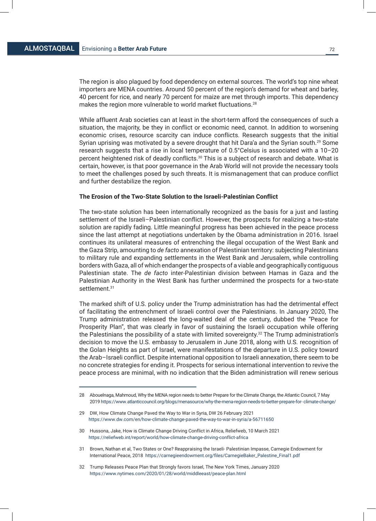The region is also plagued by food dependency on external sources. The world's top nine wheat importers are MENA countries. Around 50 percent of the region's demand for wheat and barley, 40 percent for rice, and nearly 70 percent for maize are met through imports. This dependency makes the region more vulnerable to world market fluctuations.28

While affluent Arab societies can at least in the short-term afford the consequences of such a situation, the majority, be they in conflict or economic need, cannot. In addition to worsening economic crises, resource scarcity can induce conflicts. Research suggests that the initial Syrian uprising was motivated by a severe drought that hit Dara'a and the Syrian south.<sup>29</sup> Some research suggests that a rise in local temperature of 0.5°Celsius is associated with a 10–20 percent heightened risk of deadly conflicts.<sup>30</sup> This is a subject of research and debate. What is certain, however, is that poor governance in the Arab World will not provide the necessary tools to meet the challenges posed by such threats. It is mismanagement that can produce conflict and further destabilize the region.

#### **The Erosion of the Two-State Solution to the Israeli-Palestinian Conflict**

The two-state solution has been internationally recognized as the basis for a just and lasting settlement of the Israeli–Palestinian conflict. However, the prospects for realizing a two-state solution are rapidly fading. Little meaningful progress has been achieved in the peace process since the last attempt at negotiations undertaken by the Obama administration in 2016. Israel continues its unilateral measures of entrenching the illegal occupation of the West Bank and the Gaza Strip, amounting to *de facto* annexation of Palestinian territory: subjecting Palestinians to military rule and expanding settlements in the West Bank and Jerusalem, while controlling borders with Gaza, all of which endanger the prospects of a viable and geographically contiguous Palestinian state. The *de facto* inter-Palestinian division between Hamas in Gaza and the Palestinian Authority in the West Bank has further undermined the prospects for a two-state settlement.<sup>31</sup>

The marked shift of U.S. policy under the Trump administration has had the detrimental effect of facilitating the entrenchment of Israeli control over the Palestinians. In January 2020, The Trump administration released the long-waited deal of the century, dubbed the "Peace for Prosperity Plan", that was clearly in favor of sustaining the Israeli occupation while offering the Palestinians the possibility of a state with limited sovereignty.<sup>32</sup> The Trump administration's decision to move the U.S. embassy to Jerusalem in June 2018, along with U.S. recognition of the Golan Heights as part of Israel, were manifestations of the departure in U.S. policy toward the Arab–Israeli conflict. Despite international opposition to Israeli annexation, there seem to be no concrete strategies for ending it. Prospects for serious international intervention to revive the peace process are minimal, with no indication that the Biden administration will renew serious

31 Brown, Nathan et al, Two States or One? Reappraising the Israeli- Palestinian Impasse, Carnegie Endowment for International Peace, 2018 https://carnegieendowment.org/files/CarnegieBaker\_Palestine\_Final1.pdf

<sup>28</sup> Abouelnaga, Mahmoud, Why the MENA region needs to better Prepare for the Climate Change, the Atlantic Council, 7 May 2019 https://www.atlanticcouncil.org/blogs/menasource/why-the-mena-region-needs-to-better-prepare-for- climate-change/

<sup>29</sup> DW, How Climate Change Paved the Way to War in Syria, DW 26 February 2021 https://www.dw.com/en/how-climate-change-paved-the-way-to-war-in-syria/a-56711650

<sup>30</sup> Hussona, Jake, How is Climate Change Driving Conflict in Africa, Reliefweb, 10 March 2021 https://reliefweb.int/report/world/how-climate-change-driving-conflict-africa

<sup>32</sup> Trump Releases Peace Plan that Strongly favors Israel, The New York Times, January 2020 https://www.nytimes.com/2020/01/28/world/middleeast/peace-plan.html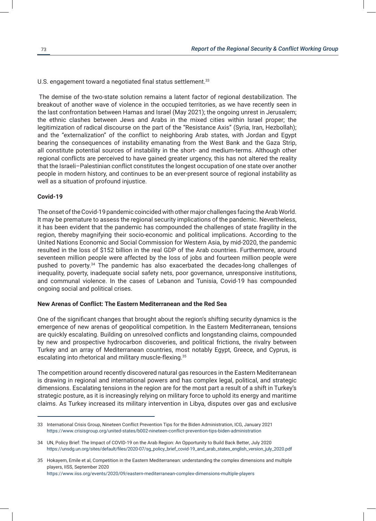U.S. engagement toward a negotiated final status settlement. $33$ 

The demise of the two-state solution remains a latent factor of regional destabilization. The breakout of another wave of violence in the occupied territories, as we have recently seen in the last confrontation between Hamas and Israel (May 2021); the ongoing unrest in Jerusalem; the ethnic clashes between Jews and Arabs in the mixed cities within Israel proper; the legitimization of radical discourse on the part of the "Resistance Axis" (Syria, Iran, Hezbollah); and the "externalization" of the conflict to neighboring Arab states, with Jordan and Egypt bearing the consequences of instability emanating from the West Bank and the Gaza Strip, all constitute potential sources of instability in the short- and medium-terms. Although other regional conflicts are perceived to have gained greater urgency, this has not altered the reality that the Israeli–Palestinian conflict constitutes the longest occupation of one state over another people in modern history, and continues to be an ever-present source of regional instability as well as a situation of profound injustice.

#### **Covid-19**

The onset of the Covid-19 pandemic coincided with other major challenges facing the Arab World. It may be premature to assess the regional security implications of the pandemic. Nevertheless, it has been evident that the pandemic has compounded the challenges of state fragility in the region, thereby magnifying their socio-economic and political implications. According to the United Nations Economic and Social Commission for Western Asia, by mid-2020, the pandemic resulted in the loss of \$152 billion in the real GDP of the Arab countries. Furthermore, around seventeen million people were affected by the loss of jobs and fourteen million people were pushed to poverty.<sup>34</sup> The pandemic has also exacerbated the decades-long challenges of inequality, poverty, inadequate social safety nets, poor governance, unresponsive institutions, and communal violence. In the cases of Lebanon and Tunisia, Covid-19 has compounded ongoing social and political crises.

#### **New Arenas of Conflict: The Eastern Mediterranean and the Red Sea**

One of the significant changes that brought about the region's shifting security dynamics is the emergence of new arenas of geopolitical competition. In the Eastern Mediterranean, tensions are quickly escalating. Building on unresolved conflicts and longstanding claims, compounded by new and prospective hydrocarbon discoveries, and political frictions, the rivalry between Turkey and an array of Mediterranean countries, most notably Egypt, Greece, and Cyprus, is escalating into rhetorical and military muscle-flexing.<sup>35</sup>

The competition around recently discovered natural gas resources in the Eastern Mediterranean is drawing in regional and international powers and has complex legal, political, and strategic dimensions. Escalating tensions in the region are for the most part a result of a shift in Turkey's strategic posture, as it is increasingly relying on military force to uphold its energy and maritime claims. As Turkey increased its military intervention in Libya, disputes over gas and exclusive

https://www.iiss.org/events/2020/09/eastern-mediterranean-complex-dimensions-multiple-players

<sup>33</sup> International Crisis Group, Nineteen Conflict Prevention Tips for the Biden Administration, ICG, January 2021 https://www.crisisgroup.org/united-states/b002-nineteen-conflict-prevention-tips-biden-administration

<sup>34</sup> UN, Policy Brief: The Impact of COVID-19 on the Arab Region: An Opportunity to Build Back Better, July 2020 https://unsdg.un.org/sites/default/files/2020-07/sg\_policy\_brief\_covid-19\_and\_arab\_states\_english\_version\_july\_2020.pdf

<sup>35</sup> Hokayem, Emile et al, Competition in the Eastern Mediterranean: understanding the complex dimensions and multiple players, IISS, September 2020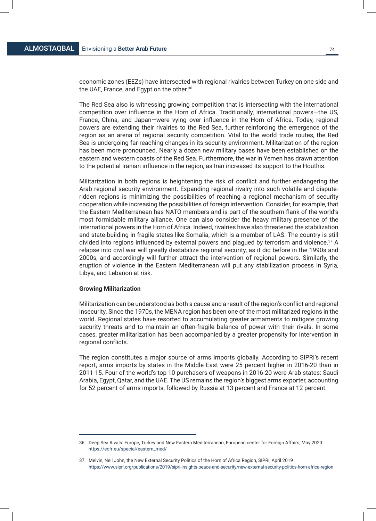economic zones (EEZs) have intersected with regional rivalries between Turkey on one side and the UAE, France, and Egypt on the other.<sup>36</sup>

The Red Sea also is witnessing growing competition that is intersecting with the international competition over influence in the Horn of Africa. Traditionally, international powers—the US, France, China, and Japan—were vying over influence in the Horn of Africa. Today, regional powers are extending their rivalries to the Red Sea, further reinforcing the emergence of the region as an arena of regional security competition. Vital to the world trade routes, the Red Sea is undergoing far-reaching changes in its security environment. Militarization of the region has been more pronounced. Nearly a dozen new military bases have been established on the eastern and western coasts of the Red Sea. Furthermore, the war in Yemen has drawn attention to the potential Iranian influence in the region, as Iran increased its support to the Houthis.

Militarization in both regions is heightening the risk of conflict and further endangering the Arab regional security environment. Expanding regional rivalry into such volatile and disputeridden regions is minimizing the possibilities of reaching a regional mechanism of security cooperation while increasing the possibilities of foreign intervention. Consider, for example, that the Eastern Mediterranean has NATO members and is part of the southern flank of the world's most formidable military alliance. One can also consider the heavy military presence of the international powers in the Horn of Africa. Indeed, rivalries have also threatened the stabilization and state-building in fragile states like Somalia, which is a member of LAS. The country is still divided into regions influenced by external powers and plagued by terrorism and violence.<sup>37</sup> A relapse into civil war will greatly destabilize regional security, as it did before in the 1990s and 2000s, and accordingly will further attract the intervention of regional powers. Similarly, the eruption of violence in the Eastern Mediterranean will put any stabilization process in Syria, Libya, and Lebanon at risk.

#### **Growing Militarization**

Militarization can be understood as both a cause and a result of the region's conflict and regional insecurity. Since the 1970s, the MENA region has been one of the most militarized regions in the world. Regional states have resorted to accumulating greater armaments to mitigate growing security threats and to maintain an often-fragile balance of power with their rivals. In some cases, greater militarization has been accompanied by a greater propensity for intervention in regional conflicts.

The region constitutes a major source of arms imports globally. According to SIPRI's recent report, arms imports by states in the Middle East were 25 percent higher in 2016-20 than in 2011-15. Four of the world's top 10 purchasers of weapons in 2016-20 were Arab states: Saudi Arabia, Egypt, Qatar, and the UAE. The US remains the region's biggest arms exporter, accounting for 52 percent of arms imports, followed by Russia at 13 percent and France at 12 percent.

<sup>36</sup> Deep Sea Rivals: Europe, Turkey and New Eastern Mediterranean, European center for Foreign Affairs, May 2020 https://ecfr.eu/special/eastern\_med/

<sup>37</sup> Melvin, Neil John, the New External Security Politics of the Horn of Africa Region, SIPRI, April 2019 https://www.sipri.org/publications/2019/sipri-insights-peace-and-security/new-external-security-politics-horn-africa-region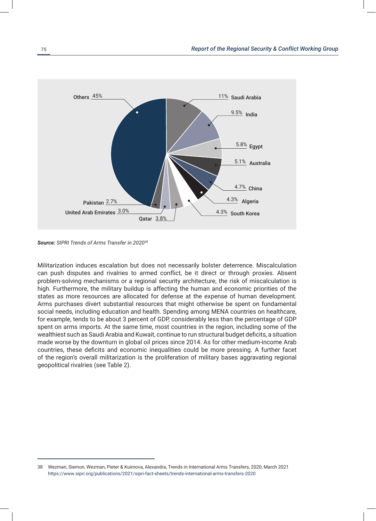

*Source: SIPRI Trends of Arms Transfer in 202038*

Militarization induces escalation but does not necessarily bolster deterrence. Miscalculation can push disputes and rivalries to armed conflict, be it direct or through proxies. Absent problem-solving mechanisms or a regional security architecture, the risk of miscalculation is high. Furthermore, the military buildup is affecting the human and economic priorities of the states as more resources are allocated for defense at the expense of human development. Arms purchases divert substantial resources that might otherwise be spent on fundamental social needs, including education and health. Spending among MENA countries on healthcare, for example, tends to be about 3 percent of GDP, considerably less than the percentage of GDP spent on arms imports. At the same time, most countries in the region, including some of the wealthiest such as Saudi Arabia and Kuwait, continue to run structural budget deficits, a situation made worse by the downturn in global oil prices since 2014. As for other medium-income Arab countries, these deficits and economic inequalities could be more pressing. A further facet of the region's overall militarization is the proliferation of military bases aggravating regional geopolitical rivalries (see Table 2).

<sup>38</sup> Wezman, Siemon, Wezman, Pieter & Kuimova, Alexandra, Trends in International Arms Transfers, 2020, March 2021 https://www.sipri.org/publications/2021/sipri-fact-sheets/trends-international-arms-transfers-2020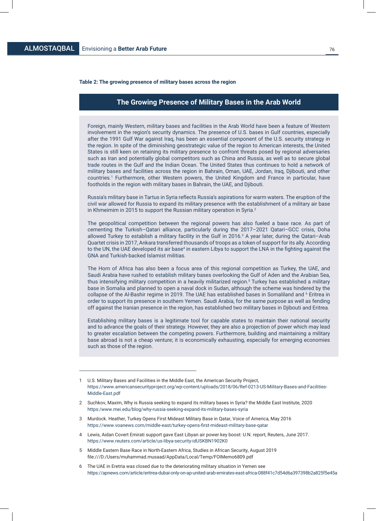#### **Table 2: The growing presence of military bases across the region**

## **The Growing Presence of Military Bases in the Arab World**

Foreign, mainly Western, military bases and facilities in the Arab World have been a feature of Western involvement in the region's security dynamics. The presence of U.S. bases in Gulf countries, especially after the 1991 Gulf War against Iraq, has been an essential component of the U.S. security strategy in the region. In spite of the diminishing geostrategic value of the region to American interests, the United States is still keen on retaining its military presence to confront threats posed by regional adversaries such as Iran and potentially global competitors such as China and Russia, as well as to secure global trade routes in the Gulf and the Indian Ocean. The United States thus continues to hold a network of military bases and facilities across the region in Bahrain, Oman, UAE, Jordan, Iraq, Djibouti, and other countries.1 Furthermore, other Western powers, the United Kingdom and France in particular, have footholds in the region with military bases in Bahrain, the UAE, and Djibouti.

Russia's military base in Tartus in Syria reflects Russia's aspirations for warm waters. The eruption of the civil war allowed for Russia to expand its military presence with the establishment of a military air base in Khmeimim in 2015 to support the Russian military operation in Syria. $2$ 

The geopolitical competition between the regional powers has also fueled a base race. As part of cementing the Turkish–Qatari alliance, particularly during the 2017–2021 Qatari–GCC crisis, Doha allowed Turkey to establish a military facility in the Gulf in 2016.<sup>3</sup> A year later, during the Qatari-Arab Quartet crisis in 2017, Ankara transferred thousands of troops as a token of support for its ally. According to the UN, the UAE developed its air base<sup>4</sup> in eastern Libya to support the LNA in the fighting against the GNA and Turkish-backed Islamist militias.

The Horn of Africa has also been a focus area of this regional competition as Turkey, the UAE, and Saudi Arabia have rushed to establish military bases overlooking the Gulf of Aden and the Arabian Sea, thus intensifying military competition in a heavily militarized region.<sup>5</sup> Turkey has established a military base in Somalia and planned to open a naval dock in Sudan, although the scheme was hindered by the collapse of the Al-Bashir regime in 2019. The UAE has established bases in Somaliland and <sup>6</sup> Eritrea in order to support its presence in southern Yemen. Saudi Arabia, for the same purpose as well as fending off against the Iranian presence in the region, has established two military bases in Djibouti and Eritrea.

Establishing military bases is a legitimate tool for capable states to maintain their national security and to advance the goals of their strategy. However, they are also a projection of power which may lead to greater escalation between the competing powers. Furthermore, building and maintaining a military base abroad is not a cheap venture; it is economically exhausting, especially for emerging economies such as those of the region.

- 3 Murdock. Heather, Turkey Opens First Mideast Military Base in Qatar, Voice of America, May 2016 https://www.voanews.com/middle-east/turkey-opens-first-mideast-military-base-qatar
- Lewis, Aidan Covert Emirati support gave East Libyan air power key boost: U.N. report, Reuters, June 2017. https://www.reuters.com/article/us-libya-security-idUSKBN1902K0
- 5 Middle Eastern Base Race in North-Eastern Africa, Studies in African Security, August 2019 file:///D:/Users/muhammad.musaad/AppData/Local/Temp/FOIMemo6809.pdf
- 6 The UAE in Eretria was closed due to the deteriorating military situation in Yemen see https://apnews.com/article/eritrea-dubai-only-on-ap-united-arab-emirates-east-africa-088f41c7d54d6a397398b2a825f5e45a

<sup>1</sup> U.S. Military Bases and Facilities in the Middle East, the American Security Project, https://www.americansecurityproject.org/wp-content/uploads/2018/06/Ref-0213-US-Military-Bases-and-Facilities-Middle-East.pdf

<sup>2</sup> Suchkov, Maxim, Why is Russia seeking to expand its military bases in Syria? the Middle East Institute, 2020 https:/www.mei.edu/blog/why-russia-seeking-expand-its-military-bases-syria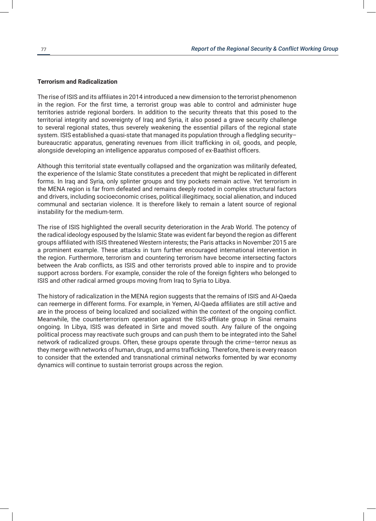#### **Terrorism and Radicalization**

The rise of ISIS and its affiliates in 2014 introduced a new dimension to the terrorist phenomenon in the region. For the first time, a terrorist group was able to control and administer huge territories astride regional borders. In addition to the security threats that this posed to the territorial integrity and sovereignty of Iraq and Syria, it also posed a grave security challenge to several regional states, thus severely weakening the essential pillars of the regional state system. ISIS established a quasi-state that managed its population through a fledgling security– bureaucratic apparatus, generating revenues from illicit trafficking in oil, goods, and people, alongside developing an intelligence apparatus composed of ex-Baathist officers.

Although this territorial state eventually collapsed and the organization was militarily defeated, the experience of the Islamic State constitutes a precedent that might be replicated in different forms. In Iraq and Syria, only splinter groups and tiny pockets remain active. Yet terrorism in the MENA region is far from defeated and remains deeply rooted in complex structural factors and drivers, including socioeconomic crises, political illegitimacy, social alienation, and induced communal and sectarian violence. It is therefore likely to remain a latent source of regional instability for the medium-term.

The rise of ISIS highlighted the overall security deterioration in the Arab World. The potency of the radical ideology espoused by the Islamic State was evident far beyond the region as different groups affiliated with ISIS threatened Western interests; the Paris attacks in November 2015 are a prominent example. These attacks in turn further encouraged international intervention in the region. Furthermore, terrorism and countering terrorism have become intersecting factors between the Arab conflicts, as ISIS and other terrorists proved able to inspire and to provide support across borders. For example, consider the role of the foreign fighters who belonged to ISIS and other radical armed groups moving from Iraq to Syria to Libya.

The history of radicalization in the MENA region suggests that the remains of ISIS and Al-Qaeda can reemerge in different forms. For example, in Yemen, Al-Qaeda affiliates are still active and are in the process of being localized and socialized within the context of the ongoing conflict. Meanwhile, the counterterrorism operation against the ISIS-affiliate group in Sinai remains ongoing. In Libya, ISIS was defeated in Sirte and moved south. Any failure of the ongoing political process may reactivate such groups and can push them to be integrated into the Sahel network of radicalized groups. Often, these groups operate through the crime–terror nexus as they merge with networks of human, drugs, and arms trafficking. Therefore, there is every reason to consider that the extended and transnational criminal networks fomented by war economy dynamics will continue to sustain terrorist groups across the region.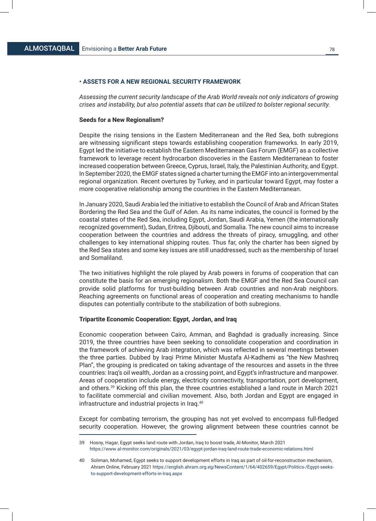#### **• ASSETS FOR A NEW REGIONAL SECURITY FRAMEWORK**

*Assessing the current security landscape of the Arab World reveals not only indicators of growing crises and instability, but also potential assets that can be utilized to bolster regional security.*

#### **Seeds for a New Regionalism?**

Despite the rising tensions in the Eastern Mediterranean and the Red Sea, both subregions are witnessing significant steps towards establishing cooperation frameworks. In early 2019, Egypt led the initiative to establish the Eastern Mediterranean Gas Forum (EMGF) as a collective framework to leverage recent hydrocarbon discoveries in the Eastern Mediterranean to foster increased cooperation between Greece, Cyprus, Israel, Italy, the Palestinian Authority, and Egypt. In September 2020, the EMGF states signed a charter turning the EMGF into an intergovernmental regional organization. Recent overtures by Turkey, and in particular toward Egypt, may foster a more cooperative relationship among the countries in the Eastern Mediterranean.

In January 2020, Saudi Arabia led the initiative to establish the Council of Arab and African States Bordering the Red Sea and the Gulf of Aden. As its name indicates, the council is formed by the coastal states of the Red Sea, including Egypt, Jordan, Saudi Arabia, Yemen (the internationally recognized government), Sudan, Eritrea, Djibouti, and Somalia. The new council aims to increase cooperation between the countries and address the threats of piracy, smuggling, and other challenges to key international shipping routes. Thus far, only the charter has been signed by the Red Sea states and some key issues are still unaddressed, such as the membership of Israel and Somaliland.

The two initiatives highlight the role played by Arab powers in forums of cooperation that can constitute the basis for an emerging regionalism. Both the EMGF and the Red Sea Council can provide solid platforms for trust-building between Arab countries and non-Arab neighbors. Reaching agreements on functional areas of cooperation and creating mechanisms to handle disputes can potentially contribute to the stabilization of both subregions.

#### **Tripartite Economic Cooperation: Egypt, Jordan, and Iraq**

Economic cooperation between Cairo, Amman, and Baghdad is gradually increasing. Since 2019, the three countries have been seeking to consolidate cooperation and coordination in the framework of achieving Arab integration, which was reflected in several meetings between the three parties. Dubbed by Iraqi Prime Minister Mustafa Al-Kadhemi as "the New Mashreq Plan", the grouping is predicated on taking advantage of the resources and assets in the three countries: Iraq's oil wealth, Jordan as a crossing point, and Egypt's infrastructure and manpower. Areas of cooperation include energy, electricity connectivity, transportation, port development, and others.39 Kicking off this plan, the three countries established a land route in March 2021 to facilitate commercial and civilian movement. Also, both Jordan and Egypt are engaged in infrastructure and industrial projects in Iraq.40

Except for combating terrorism, the grouping has not yet evolved to encompass full-fledged security cooperation. However, the growing alignment between these countries cannot be

<sup>39</sup> Hosny, Hagar, Egypt seeks land route with Jordan, Iraq to boost trade, Al-Monitor, March 2021 https://www.al-monitor.com/originals/2021/03/egypt-jordan-iraq-land-route-trade-economic-relations.html

<sup>40</sup> Soliman, Mohamed, Egypt seeks to support development efforts in Iraq as part of oil-for-reconstruction mechanism, Ahram Online, February 2021 https://english.ahram.org.eg/NewsContent/1/64/402659/Egypt/Politics-/Egypt-seeks to-support-development-efforts-in-Iraq.aspx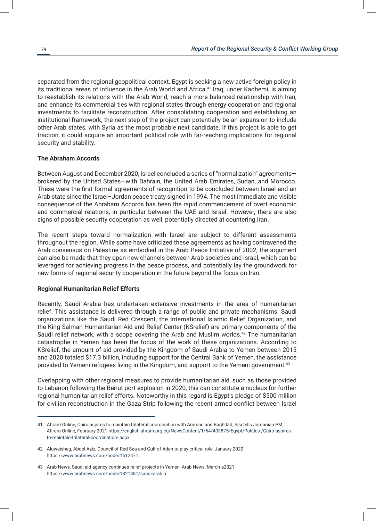separated from the regional geopolitical context. Egypt is seeking a new active foreign policy in its traditional areas of influence in the Arab World and Africa.<sup>41</sup> Iraq, under Kadhemi, is aiming to reestablish its relations with the Arab World, reach a more balanced relationship with Iran, and enhance its commercial ties with regional states through energy cooperation and regional investments to facilitate reconstruction. After consolidating cooperation and establishing an institutional framework, the next step of the project can potentially be an expansion to include other Arab states, with Syria as the most probable next candidate. If this project is able to get traction, it could acquire an important political role with far-reaching implications for regional security and stability.

#### **The Abraham Accords**

Between August and December 2020, Israel concluded a series of "normalization" agreements brokered by the United States—with Bahrain, the United Arab Emirates, Sudan, and Morocco. These were the first formal agreements of recognition to be concluded between Israel and an Arab state since the Israel–Jordan peace treaty signed in 1994. The most immediate and visible consequence of the Abraham Accords has been the rapid commencement of overt economic and commercial relations, in particular between the UAE and Israel. However, there are also signs of possible security cooperation as well, potentially directed at countering Iran.

The recent steps toward normalization with Israel are subject to different assessments throughout the region. While some have criticized these agreements as having contravened the Arab consensus on Palestine as embodied in the Arab Peace Initiative of 2002, the argument can also be made that they open new channels between Arab societies and Israel, which can be leveraged for achieving progress in the peace process, and potentially lay the groundwork for new forms of regional security cooperation in the future beyond the focus on Iran.

#### **Regional Humanitarian Relief Efforts**

Recently, Saudi Arabia has undertaken extensive investments in the area of humanitarian relief. This assistance is delivered through a range of public and private mechanisms. Saudi organizations like the Saudi Red Crescent, the International Islamic Relief Organization, and the King Salman Humanitarian Aid and Relief Center (KSrelief) are primary components of the Saudi relief network, with a scope covering the Arab and Muslim worlds.<sup>42</sup> The humanitarian catastrophe in Yemen has been the focus of the work of these organizations. According to KSrelief, the amount of aid provided by the Kingdom of Saudi Arabia to Yemen between 2015 and 2020 totaled \$17.3 billion, including support for the Central Bank of Yemen, the assistance provided to Yemeni refugees living in the Kingdom, and support to the Yemeni government.<sup>43</sup>

Overlapping with other regional measures to provide humanitarian aid, such as those provided to Lebanon following the Beirut port explosion in 2020, this can constitute a nucleus for further regional humanitarian relief efforts. Noteworthy in this regard is Egypt's pledge of \$500 million for civilian reconstruction in the Gaza Strip following the recent armed conflict between Israel

<sup>41</sup> Ahram Online, Cairo aspires to maintain trilateral coordination with Amman and Baghdad, Sisi tells Jordanian PM, Ahram Online, February 2021 https://english.ahram.org.eg/NewsContent/1/64/403875/Egypt/Politics-/Cairo-aspires to-maintain-trilateral-coordination-.aspx

<sup>42</sup> Aluwaisheg, Abdel Aziz, Council of Red Sea and Gulf of Aden to play critical role, January 2020 https://www.arabnews.com/node/1612471

<sup>43</sup> Arab News, Saudi aid agency continues relief projects in Yemen, Arab News, March a2021 https://www.arabnews.com/node/1821481/saudi-arabia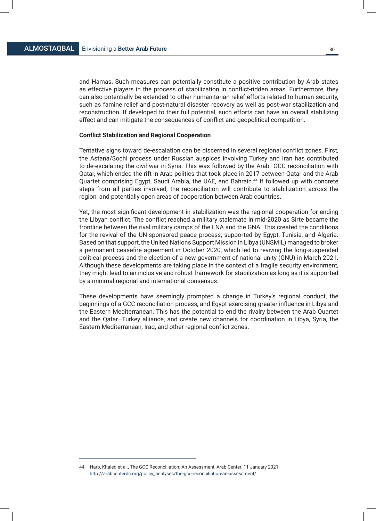and Hamas. Such measures can potentially constitute a positive contribution by Arab states as effective players in the process of stabilization in conflict-ridden areas. Furthermore, they can also potentially be extended to other humanitarian relief efforts related to human security, such as famine relief and post-natural disaster recovery as well as post-war stabilization and reconstruction. If developed to their full potential, such efforts can have an overall stabilizing effect and can mitigate the consequences of conflict and geopolitical competition.

#### **Conflict Stabilization and Regional Cooperation**

Tentative signs toward de-escalation can be discerned in several regional conflict zones. First, the Astana/Sochi process under Russian auspices involving Turkey and Iran has contributed to de-escalating the civil war in Syria. This was followed by the Arab–GCC reconciliation with Qatar, which ended the rift in Arab politics that took place in 2017 between Qatar and the Arab Quartet comprising Egypt, Saudi Arabia, the UAE, and Bahrain.<sup>44</sup> If followed up with concrete steps from all parties involved, the reconciliation will contribute to stabilization across the region, and potentially open areas of cooperation between Arab countries.

Yet, the most significant development in stabilization was the regional cooperation for ending the Libyan conflict. The conflict reached a military stalemate in mid-2020 as Sirte became the frontline between the rival military camps of the LNA and the GNA. This created the conditions for the revival of the UN-sponsored peace process, supported by Egypt, Tunisia, and Algeria. Based on that support, the United Nations Support Mission in Libya (UNSMIL) managed to broker a permanent ceasefire agreement in October 2020, which led to reviving the long-suspended political process and the election of a new government of national unity (GNU) in March 2021. Although these developments are taking place in the context of a fragile security environment, they might lead to an inclusive and robust framework for stabilization as long as it is supported by a minimal regional and international consensus.

These developments have seemingly prompted a change in Turkey's regional conduct, the beginnings of a GCC reconciliation process, and Egypt exercising greater influence in Libya and the Eastern Mediterranean. This has the potential to end the rivalry between the Arab Quartet and the Qatar–Turkey alliance, and create new channels for coordination in Libya, Syria, the Eastern Mediterranean, Iraq, and other regional conflict zones.

<sup>44</sup> Harb, Khaled et al., The GCC Reconciliation: An Assessment, Arab Center, 11 January 2021 http://arabcenterdc.org/policy\_analyses/the-gcc-reconciliation-an-assessment/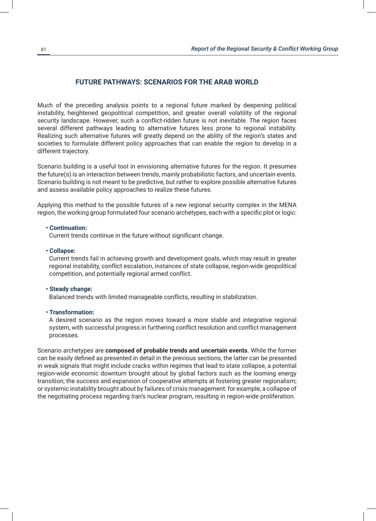# **FUTURE PATHWAYS: SCENARIOS FOR THE ARAB WORLD**

Much of the preceding analysis points to a regional future marked by deepening political instability, heightened geopolitical competition, and greater overall volatility of the regional security landscape. However, such a conflict-ridden future is not inevitable. The region faces several different pathways leading to alternative futures less prone to regional instability. Realizing such alternative futures will greatly depend on the ability of the region's states and societies to formulate different policy approaches that can enable the region to develop in a different trajectory.

Scenario building is a useful tool in envisioning alternative futures for the region. It presumes the future(s) is an interaction between trends, mainly probabilistic factors, and uncertain events. Scenario building is not meant to be predictive, but rather to explore possible alternative futures and assess available policy approaches to realize these futures.

Applying this method to the possible futures of a new regional security complex in the MENA region, the working group formulated four scenario archetypes, each with a specific plot or logic:

#### **• Continuation:**

Current trends continue in the future without significant change.

## **• Collapse:**

Current trends fail in achieving growth and development goals, which may result in greater regional instability, conflict escalation, instances of state collapse, region-wide geopolitical competition, and potentially regional armed conflict.

#### **• Steady change:**

Balanced trends with limited manageable conflicts, resulting in stabilization.

#### **• Transformation:**

A desired scenario as the region moves toward a more stable and integrative regional system, with successful progress in furthering conflict resolution and conflict management processes.

Scenario archetypes are **composed of probable trends and uncertain events**. While the former can be easily defined as presented in detail in the previous sections, the latter can be presented in weak signals that might include cracks within regimes that lead to state collapse, a potential region-wide economic downturn brought about by global factors such as the looming energy transition; the success and expansion of cooperative attempts at fostering greater regionalism; or systemic instability brought about by failures of crisis management: for example, a collapse of the negotiating process regarding Iran's nuclear program, resulting in region-wide proliferation.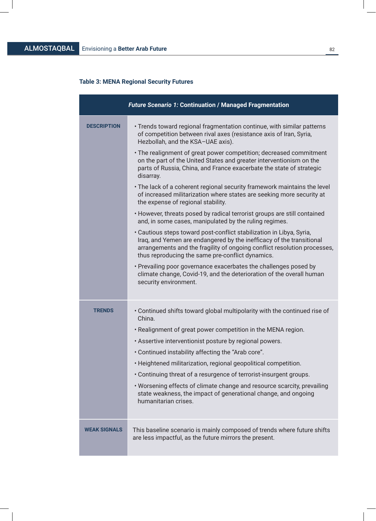$\bigg|$ 

# **Table 3: MENA Regional Security Futures**

|                     | <b>Future Scenario 1: Continuation / Managed Fragmentation</b>                                                                                                                                                                                                                                                                                                                                                                                                                                                                                                                                                                                                                                                                                                                                                                                                                                                                                                                                                                                                                                                                                                                                            |
|---------------------|-----------------------------------------------------------------------------------------------------------------------------------------------------------------------------------------------------------------------------------------------------------------------------------------------------------------------------------------------------------------------------------------------------------------------------------------------------------------------------------------------------------------------------------------------------------------------------------------------------------------------------------------------------------------------------------------------------------------------------------------------------------------------------------------------------------------------------------------------------------------------------------------------------------------------------------------------------------------------------------------------------------------------------------------------------------------------------------------------------------------------------------------------------------------------------------------------------------|
| <b>DESCRIPTION</b>  | • Trends toward regional fragmentation continue, with similar patterns<br>of competition between rival axes (resistance axis of Iran, Syria,<br>Hezbollah, and the KSA-UAE axis).<br>• The realignment of great power competition; decreased commitment<br>on the part of the United States and greater interventionism on the<br>parts of Russia, China, and France exacerbate the state of strategic<br>disarray.<br>• The lack of a coherent regional security framework maintains the level<br>of increased militarization where states are seeking more security at<br>the expense of regional stability.<br>• However, threats posed by radical terrorist groups are still contained<br>and, in some cases, manipulated by the ruling regimes.<br>· Cautious steps toward post-conflict stabilization in Libya, Syria,<br>Iraq, and Yemen are endangered by the inefficacy of the transitional<br>arrangements and the fragility of ongoing conflict resolution processes,<br>thus reproducing the same pre-conflict dynamics.<br>• Prevailing poor governance exacerbates the challenges posed by<br>climate change, Covid-19, and the deterioration of the overall human<br>security environment. |
| <b>TRENDS</b>       | • Continued shifts toward global multipolarity with the continued rise of<br>China.<br>. Realignment of great power competition in the MENA region.<br>. Assertive interventionist posture by regional powers.<br>. Continued instability affecting the "Arab core".<br>• Heightened militarization, regional geopolitical competition.<br>• Continuing threat of a resurgence of terrorist-insurgent groups.<br>. Worsening effects of climate change and resource scarcity, prevailing<br>state weakness, the impact of generational change, and ongoing<br>humanitarian crises.                                                                                                                                                                                                                                                                                                                                                                                                                                                                                                                                                                                                                        |
| <b>WEAK SIGNALS</b> | This baseline scenario is mainly composed of trends where future shifts<br>are less impactful, as the future mirrors the present.                                                                                                                                                                                                                                                                                                                                                                                                                                                                                                                                                                                                                                                                                                                                                                                                                                                                                                                                                                                                                                                                         |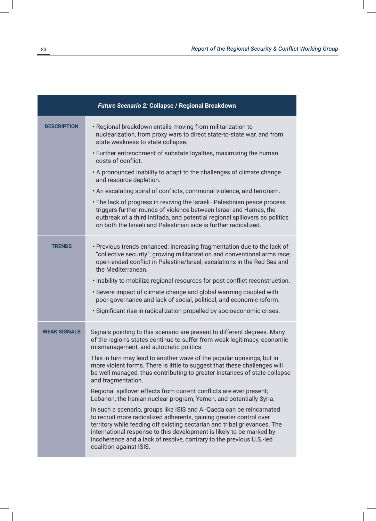|                     | Future Scenario 2: Collapse / Regional Breakdown                                                                                                                                                                                                                                                                                                                                                                                                                                  |
|---------------------|-----------------------------------------------------------------------------------------------------------------------------------------------------------------------------------------------------------------------------------------------------------------------------------------------------------------------------------------------------------------------------------------------------------------------------------------------------------------------------------|
| <b>DESCRIPTION</b>  | . Regional breakdown entails moving from militarization to<br>nuclearization, from proxy wars to direct state-to-state war, and from<br>state weakness to state collapse.                                                                                                                                                                                                                                                                                                         |
|                     | • Further entrenchment of substate loyalties, maximizing the human<br>costs of conflict.                                                                                                                                                                                                                                                                                                                                                                                          |
|                     | . A pronounced inability to adapt to the challenges of climate change<br>and resource depletion.                                                                                                                                                                                                                                                                                                                                                                                  |
|                     | . An escalating spiral of conflicts, communal violence, and terrorism.                                                                                                                                                                                                                                                                                                                                                                                                            |
|                     | • The lack of progress in reviving the Israeli-Palestinian peace process<br>triggers further rounds of violence between Israel and Hamas, the<br>outbreak of a third Intifada, and potential regional spillovers as politics<br>on both the Israeli and Palestinian side is further radicalized.                                                                                                                                                                                  |
| <b>TRENDS</b>       | • Previous trends enhanced: increasing fragmentation due to the lack of<br>"collective security"; growing militarization and conventional arms race;<br>open-ended conflict in Palestine/Israel; escalations in the Red Sea and<br>the Mediterranean.<br>. Inability to mobilize regional resources for post conflict reconstruction.<br>• Severe impact of climate change and global warming coupled with<br>poor governance and lack of social, political, and economic reform. |
|                     | · Significant rise in radicalization propelled by socioeconomic crises.                                                                                                                                                                                                                                                                                                                                                                                                           |
| <b>WEAK SIGNALS</b> | Signals pointing to this scenario are present to different degrees. Many<br>of the region's states continue to suffer from weak legitimacy, economic<br>mismanagement, and autocratic politics.                                                                                                                                                                                                                                                                                   |
|                     | This in turn may lead to another wave of the popular uprisings, but in<br>more violent forms. There is little to suggest that these challenges will<br>be well managed, thus contributing to greater instances of state collapse<br>and fragmentation.                                                                                                                                                                                                                            |
|                     | Regional spillover effects from current conflicts are ever present;<br>Lebanon, the Iranian nuclear program, Yemen, and potentially Syria.                                                                                                                                                                                                                                                                                                                                        |
|                     | In such a scenario, groups like ISIS and Al-Qaeda can be reincarnated<br>to recruit more radicalized adherents, gaining greater control over<br>territory while feeding off existing sectarian and tribal grievances. The<br>international response to this development is likely to be marked by<br>incoherence and a lack of resolve, contrary to the previous U.S.-led<br>coalition against ISIS.                                                                              |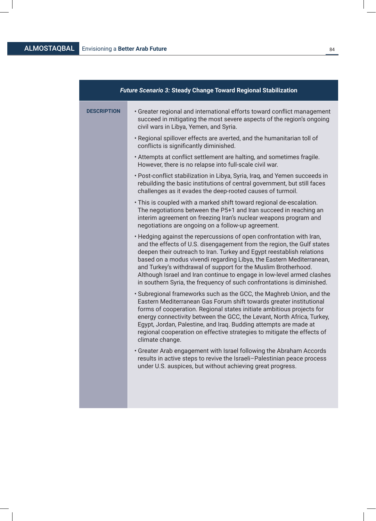# ALMOSTAQBAL Envisioning a Better Arab Future **84 Example 24 BALMOSTAQBAL Example 24 BALMOSTAQBAL BALMOSTAQBAL**

| <b>Future Scenario 3: Steady Change Toward Regional Stabilization</b>                                                                                                                                                                                                                                                                                                                                                                                                                                                 |  |  |
|-----------------------------------------------------------------------------------------------------------------------------------------------------------------------------------------------------------------------------------------------------------------------------------------------------------------------------------------------------------------------------------------------------------------------------------------------------------------------------------------------------------------------|--|--|
| • Greater regional and international efforts toward conflict management<br>succeed in mitigating the most severe aspects of the region's ongoing<br>civil wars in Libya, Yemen, and Syria.                                                                                                                                                                                                                                                                                                                            |  |  |
| . Regional spillover effects are averted, and the humanitarian toll of<br>conflicts is significantly diminished.                                                                                                                                                                                                                                                                                                                                                                                                      |  |  |
| . Attempts at conflict settlement are halting, and sometimes fragile.<br>However, there is no relapse into full-scale civil war.                                                                                                                                                                                                                                                                                                                                                                                      |  |  |
| • Post-conflict stabilization in Libya, Syria, Iraq, and Yemen succeeds in<br>rebuilding the basic institutions of central government, but still faces<br>challenges as it evades the deep-rooted causes of turmoil.                                                                                                                                                                                                                                                                                                  |  |  |
| . This is coupled with a marked shift toward regional de-escalation.<br>The negotiations between the P5+1 and Iran succeed in reaching an<br>interim agreement on freezing Iran's nuclear weapons program and<br>negotiations are ongoing on a follow-up agreement.                                                                                                                                                                                                                                                   |  |  |
| . Hedging against the repercussions of open confrontation with Iran,<br>and the effects of U.S. disengagement from the region, the Gulf states<br>deepen their outreach to Iran. Turkey and Egypt reestablish relations<br>based on a modus vivendi regarding Libya, the Eastern Mediterranean,<br>and Turkey's withdrawal of support for the Muslim Brotherhood.<br>Although Israel and Iran continue to engage in low-level armed clashes<br>in southern Syria, the frequency of such confrontations is diminished. |  |  |
| • Subregional frameworks such as the GCC, the Maghreb Union, and the<br>Eastern Mediterranean Gas Forum shift towards greater institutional<br>forms of cooperation. Regional states initiate ambitious projects for<br>energy connectivity between the GCC, the Levant, North Africa, Turkey,<br>Egypt, Jordan, Palestine, and Iraq. Budding attempts are made at<br>regional cooperation on effective strategies to mitigate the effects of<br>climate change.                                                      |  |  |
| • Greater Arab engagement with Israel following the Abraham Accords<br>results in active steps to revive the Israeli-Palestinian peace process<br>under U.S. auspices, but without achieving great progress.                                                                                                                                                                                                                                                                                                          |  |  |
|                                                                                                                                                                                                                                                                                                                                                                                                                                                                                                                       |  |  |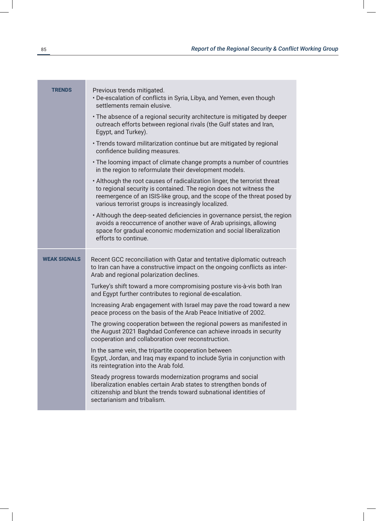| <b>TRENDS</b>       | Previous trends mitigated.<br>• De-escalation of conflicts in Syria, Libya, and Yemen, even though<br>settlements remain elusive.                                                                                                                                                 |
|---------------------|-----------------------------------------------------------------------------------------------------------------------------------------------------------------------------------------------------------------------------------------------------------------------------------|
|                     | • The absence of a regional security architecture is mitigated by deeper<br>outreach efforts between regional rivals (the Gulf states and Iran,<br>Egypt, and Turkey).                                                                                                            |
|                     | • Trends toward militarization continue but are mitigated by regional<br>confidence building measures.                                                                                                                                                                            |
|                     | • The looming impact of climate change prompts a number of countries<br>in the region to reformulate their development models.                                                                                                                                                    |
|                     | . Although the root causes of radicalization linger, the terrorist threat<br>to regional security is contained. The region does not witness the<br>reemergence of an ISIS-like group, and the scope of the threat posed by<br>various terrorist groups is increasingly localized. |
|                     | • Although the deep-seated deficiencies in governance persist, the region<br>avoids a reoccurrence of another wave of Arab uprisings, allowing<br>space for gradual economic modernization and social liberalization<br>efforts to continue.                                      |
| <b>WEAK SIGNALS</b> |                                                                                                                                                                                                                                                                                   |
|                     | Recent GCC reconciliation with Qatar and tentative diplomatic outreach<br>to Iran can have a constructive impact on the ongoing conflicts as inter-<br>Arab and regional polarization declines.                                                                                   |
|                     | Turkey's shift toward a more compromising posture vis-à-vis both Iran<br>and Egypt further contributes to regional de-escalation.                                                                                                                                                 |
|                     | Increasing Arab engagement with Israel may pave the road toward a new<br>peace process on the basis of the Arab Peace Initiative of 2002.                                                                                                                                         |
|                     | The growing cooperation between the regional powers as manifested in<br>the August 2021 Baghdad Conference can achieve inroads in security<br>cooperation and collaboration over reconstruction.                                                                                  |
|                     | In the same vein, the tripartite cooperation between<br>Egypt, Jordan, and Iraq may expand to include Syria in conjunction with<br>its reintegration into the Arab fold.                                                                                                          |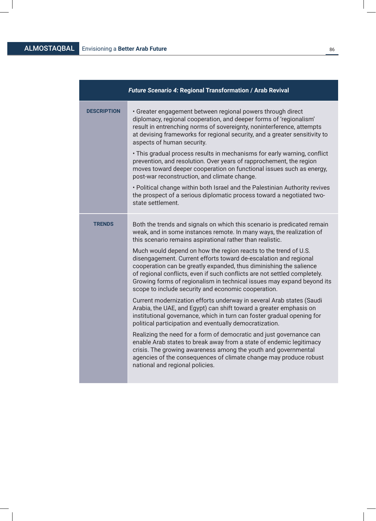# ALMOSTAQBAL Envisioning a **Better Arab Future** <sup>86</sup>

|                    | <b>Future Scenario 4: Regional Transformation / Arab Revival</b>                                                                                                                                                                                                                                                                                                                                                                                                                                                                                                                                                                                                                                                                                                                                                                                                                                                           |
|--------------------|----------------------------------------------------------------------------------------------------------------------------------------------------------------------------------------------------------------------------------------------------------------------------------------------------------------------------------------------------------------------------------------------------------------------------------------------------------------------------------------------------------------------------------------------------------------------------------------------------------------------------------------------------------------------------------------------------------------------------------------------------------------------------------------------------------------------------------------------------------------------------------------------------------------------------|
| <b>DESCRIPTION</b> | • Greater engagement between regional powers through direct<br>diplomacy, regional cooperation, and deeper forms of 'regionalism'<br>result in entrenching norms of sovereignty, noninterference, attempts<br>at devising frameworks for regional security, and a greater sensitivity to<br>aspects of human security.<br>. This gradual process results in mechanisms for early warning, conflict<br>prevention, and resolution. Over years of rapprochement, the region<br>moves toward deeper cooperation on functional issues such as energy,<br>post-war reconstruction, and climate change.<br>. Political change within both Israel and the Palestinian Authority revives<br>the prospect of a serious diplomatic process toward a negotiated two-<br>state settlement.                                                                                                                                             |
|                    |                                                                                                                                                                                                                                                                                                                                                                                                                                                                                                                                                                                                                                                                                                                                                                                                                                                                                                                            |
| <b>TRENDS</b>      | Both the trends and signals on which this scenario is predicated remain<br>weak, and in some instances remote. In many ways, the realization of<br>this scenario remains aspirational rather than realistic.<br>Much would depend on how the region reacts to the trend of U.S.<br>disengagement. Current efforts toward de-escalation and regional<br>cooperation can be greatly expanded, thus diminishing the salience<br>of regional conflicts, even if such conflicts are not settled completely.<br>Growing forms of regionalism in technical issues may expand beyond its<br>scope to include security and economic cooperation.<br>Current modernization efforts underway in several Arab states (Saudi<br>Arabia, the UAE, and Egypt) can shift toward a greater emphasis on<br>institutional governance, which in turn can foster gradual opening for<br>political participation and eventually democratization. |
|                    | Realizing the need for a form of democratic and just governance can<br>enable Arab states to break away from a state of endemic legitimacy<br>crisis. The growing awareness among the youth and governmental<br>agencies of the consequences of climate change may produce robust<br>national and regional policies.                                                                                                                                                                                                                                                                                                                                                                                                                                                                                                                                                                                                       |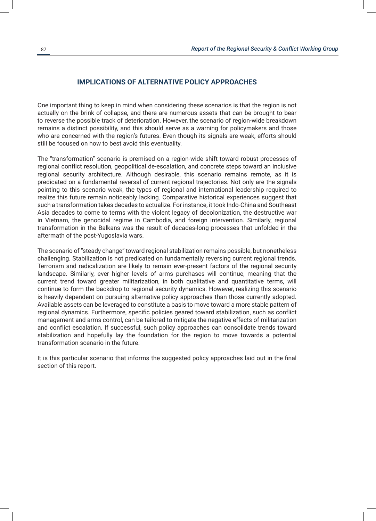# **IMPLICATIONS OF ALTERNATIVE POLICY APPROACHES**

One important thing to keep in mind when considering these scenarios is that the region is not actually on the brink of collapse, and there are numerous assets that can be brought to bear to reverse the possible track of deterioration. However, the scenario of region-wide breakdown remains a distinct possibility, and this should serve as a warning for policymakers and those who are concerned with the region's futures. Even though its signals are weak, efforts should still be focused on how to best avoid this eventuality.

The "transformation" scenario is premised on a region-wide shift toward robust processes of regional conflict resolution, geopolitical de-escalation, and concrete steps toward an inclusive regional security architecture. Although desirable, this scenario remains remote, as it is predicated on a fundamental reversal of current regional trajectories. Not only are the signals pointing to this scenario weak, the types of regional and international leadership required to realize this future remain noticeably lacking. Comparative historical experiences suggest that such a transformation takes decades to actualize. For instance, it took Indo-China and Southeast Asia decades to come to terms with the violent legacy of decolonization, the destructive war in Vietnam, the genocidal regime in Cambodia, and foreign intervention. Similarly, regional transformation in the Balkans was the result of decades-long processes that unfolded in the aftermath of the post-Yugoslavia wars.

The scenario of "steady change" toward regional stabilization remains possible, but nonetheless challenging. Stabilization is not predicated on fundamentally reversing current regional trends. Terrorism and radicalization are likely to remain ever-present factors of the regional security landscape. Similarly, ever higher levels of arms purchases will continue, meaning that the current trend toward greater militarization, in both qualitative and quantitative terms, will continue to form the backdrop to regional security dynamics. However, realizing this scenario is heavily dependent on pursuing alternative policy approaches than those currently adopted. Available assets can be leveraged to constitute a basis to move toward a more stable pattern of regional dynamics. Furthermore, specific policies geared toward stabilization, such as conflict management and arms control, can be tailored to mitigate the negative effects of militarization and conflict escalation. If successful, such policy approaches can consolidate trends toward stabilization and hopefully lay the foundation for the region to move towards a potential transformation scenario in the future.

It is this particular scenario that informs the suggested policy approaches laid out in the final section of this report.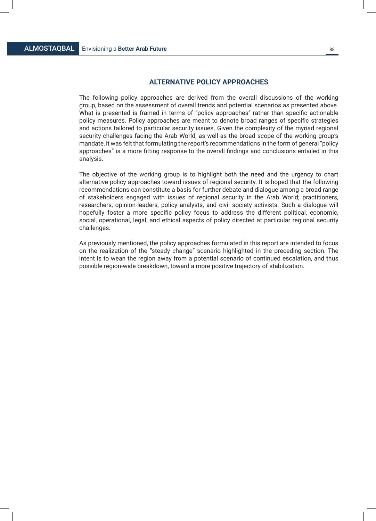# **ALTERNATIVE POLICY APPROACHES**

The following policy approaches are derived from the overall discussions of the working group, based on the assessment of overall trends and potential scenarios as presented above. What is presented is framed in terms of "policy approaches" rather than specific actionable policy measures. Policy approaches are meant to denote broad ranges of specific strategies and actions tailored to particular security issues. Given the complexity of the myriad regional security challenges facing the Arab World, as well as the broad scope of the working group's mandate, it was felt that formulating the report's recommendations in the form of general "policy approaches" is a more fitting response to the overall findings and conclusions entailed in this analysis.

The objective of the working group is to highlight both the need and the urgency to chart alternative policy approaches toward issues of regional security. It is hoped that the following recommendations can constitute a basis for further debate and dialogue among a broad range of stakeholders engaged with issues of regional security in the Arab World; practitioners, researchers, opinion-leaders, policy analysts, and civil society activists. Such a dialogue will hopefully foster a more specific policy focus to address the different political, economic, social, operational, legal, and ethical aspects of policy directed at particular regional security challenges.

As previously mentioned, the policy approaches formulated in this report are intended to focus on the realization of the "steady change" scenario highlighted in the preceding section. The intent is to wean the region away from a potential scenario of continued escalation, and thus possible region-wide breakdown, toward a more positive trajectory of stabilization.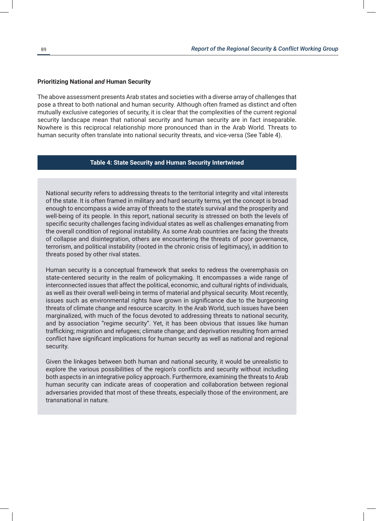#### **Prioritizing National** *and* **Human Security**

The above assessment presents Arab states and societies with a diverse array of challenges that pose a threat to both national and human security. Although often framed as distinct and often mutually exclusive categories of security, it is clear that the complexities of the current regional security landscape mean that national security and human security are in fact inseparable. Nowhere is this reciprocal relationship more pronounced than in the Arab World. Threats to human security often translate into national security threats, and vice-versa (See Table 4).

#### **Table 4: State Security and Human Security Intertwined**

National security refers to addressing threats to the territorial integrity and vital interests of the state. It is often framed in military and hard security terms, yet the concept is broad enough to encompass a wide array of threats to the state's survival and the prosperity and well-being of its people. In this report, national security is stressed on both the levels of specific security challenges facing individual states as well as challenges emanating from the overall condition of regional instability. As some Arab countries are facing the threats of collapse and disintegration, others are encountering the threats of poor governance, terrorism, and political instability (rooted in the chronic crisis of legitimacy), in addition to threats posed by other rival states.

Human security is a conceptual framework that seeks to redress the overemphasis on state-centered security in the realm of policymaking. It encompasses a wide range of interconnected issues that affect the political, economic, and cultural rights of individuals, as well as their overall well-being in terms of material and physical security. Most recently, issues such as environmental rights have grown in significance due to the burgeoning threats of climate change and resource scarcity. In the Arab World, such issues have been marginalized, with much of the focus devoted to addressing threats to national security, and by association "regime security". Yet, it has been obvious that issues like human trafficking; migration and refugees; climate change; and deprivation resulting from armed conflict have significant implications for human security as well as national and regional security.

Given the linkages between both human and national security, it would be unrealistic to explore the various possibilities of the region's conflicts and security without including both aspects in an integrative policy approach. Furthermore, examining the threats to Arab human security can indicate areas of cooperation and collaboration between regional adversaries provided that most of these threats, especially those of the environment, are transnational in nature.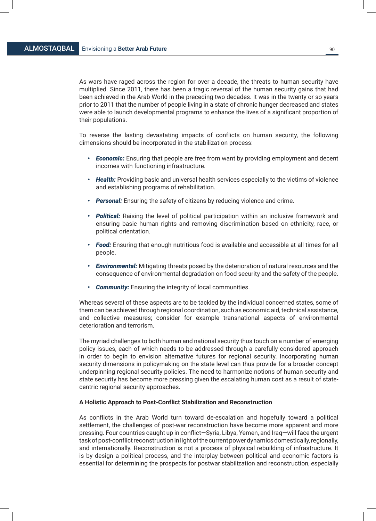As wars have raged across the region for over a decade, the threats to human security have multiplied. Since 2011, there has been a tragic reversal of the human security gains that had been achieved in the Arab World in the preceding two decades. It was in the twenty or so years prior to 2011 that the number of people living in a state of chronic hunger decreased and states were able to launch developmental programs to enhance the lives of a significant proportion of their populations.

To reverse the lasting devastating impacts of conflicts on human security, the following dimensions should be incorporated in the stabilization process:

- *• Economic:* Ensuring that people are free from want by providing employment and decent incomes with functioning infrastructure.
- *• Health:* Providing basic and universal health services especially to the victims of violence and establishing programs of rehabilitation.
- *• Personal:* Ensuring the safety of citizens by reducing violence and crime.
- *• Political:* Raising the level of political participation within an inclusive framework and ensuring basic human rights and removing discrimination based on ethnicity, race, or political orientation.
- *• Food:* Ensuring that enough nutritious food is available and accessible at all times for all people.
- *• Environmental:* Mitigating threats posed by the deterioration of natural resources and the consequence of environmental degradation on food security and the safety of the people.
- *• Community:* Ensuring the integrity of local communities.

Whereas several of these aspects are to be tackled by the individual concerned states, some of them can be achieved through regional coordination, such as economic aid, technical assistance, and collective measures; consider for example transnational aspects of environmental deterioration and terrorism.

The myriad challenges to both human and national security thus touch on a number of emerging policy issues, each of which needs to be addressed through a carefully considered approach in order to begin to envision alternative futures for regional security. Incorporating human security dimensions in policymaking on the state level can thus provide for a broader concept underpinning regional security policies. The need to harmonize notions of human security and state security has become more pressing given the escalating human cost as a result of statecentric regional security approaches.

#### **A Holistic Approach to Post-Conflict Stabilization and Reconstruction**

As conflicts in the Arab World turn toward de-escalation and hopefully toward a political settlement, the challenges of post-war reconstruction have become more apparent and more pressing. Four countries caught up in conflict—Syria, Libya, Yemen, and Iraq—will face the urgent task of post-conflict reconstruction in light of the current power dynamics domestically, regionally, and internationally. Reconstruction is not a process of physical rebuilding of infrastructure. It is by design a political process, and the interplay between political and economic factors is essential for determining the prospects for postwar stabilization and reconstruction, especially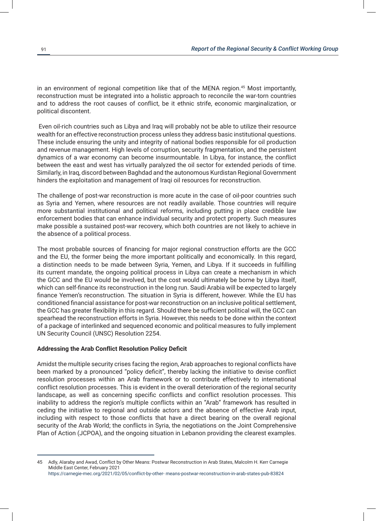in an environment of regional competition like that of the MENA region.45 Most importantly, reconstruction must be integrated into a holistic approach to reconcile the war-torn countries and to address the root causes of conflict, be it ethnic strife, economic marginalization, or political discontent.

Even oil-rich countries such as Libya and Iraq will probably not be able to utilize their resource wealth for an effective reconstruction process unless they address basic institutional questions. These include ensuring the unity and integrity of national bodies responsible for oil production and revenue management. High levels of corruption, security fragmentation, and the persistent dynamics of a war economy can become insurmountable. In Libya, for instance, the conflict between the east and west has virtually paralyzed the oil sector for extended periods of time. Similarly, in Iraq, discord between Baghdad and the autonomous Kurdistan Regional Government hinders the exploitation and management of Iraqi oil resources for reconstruction.

The challenge of post-war reconstruction is more acute in the case of oil-poor countries such as Syria and Yemen, where resources are not readily available. Those countries will require more substantial institutional and political reforms, including putting in place credible law enforcement bodies that can enhance individual security and protect property. Such measures make possible a sustained post-war recovery, which both countries are not likely to achieve in the absence of a political process.

The most probable sources of financing for major regional construction efforts are the GCC and the EU, the former being the more important politically and economically. In this regard, a distinction needs to be made between Syria, Yemen, and Libya. If it succeeds in fulfilling its current mandate, the ongoing political process in Libya can create a mechanism in which the GCC and the EU would be involved, but the cost would ultimately be borne by Libya itself, which can self-finance its reconstruction in the long run. Saudi Arabia will be expected to largely finance Yemen's reconstruction. The situation in Syria is different, however. While the EU has conditioned financial assistance for post-war reconstruction on an inclusive political settlement, the GCC has greater flexibility in this regard. Should there be sufficient political will, the GCC can spearhead the reconstruction efforts in Syria. However, this needs to be done within the context of a package of interlinked and sequenced economic and political measures to fully implement UN Security Council (UNSC) Resolution 2254.

#### **Addressing the Arab Conflict Resolution Policy Deficit**

Amidst the multiple security crises facing the region, Arab approaches to regional conflicts have been marked by a pronounced "policy deficit", thereby lacking the initiative to devise conflict resolution processes within an Arab framework or to contribute effectively to international conflict resolution processes. This is evident in the overall deterioration of the regional security landscape, as well as concerning specific conflicts and conflict resolution processes. This inability to address the region's multiple conflicts within an "Arab" framework has resulted in ceding the initiative to regional and outside actors and the absence of effective Arab input, including with respect to those conflicts that have a direct bearing on the overall regional security of the Arab World; the conflicts in Syria, the negotiations on the Joint Comprehensive Plan of Action (JCPOA), and the ongoing situation in Lebanon providing the clearest examples.

<sup>45</sup> Adly, Alaraby and Awad, Conflict by Other Means: Postwar Reconstruction in Arab States, Malcolm H. Kerr Carnegie Middle East Center, February 2021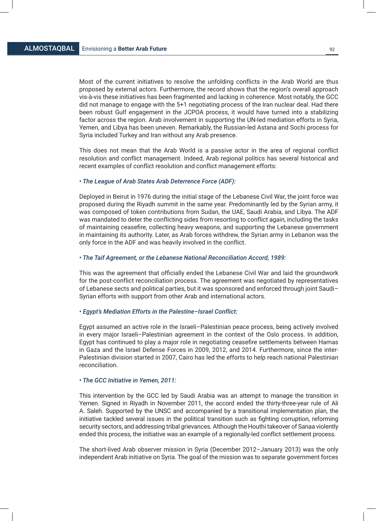Most of the current initiatives to resolve the unfolding conflicts in the Arab World are thus proposed by external actors. Furthermore, the record shows that the region's overall approach vis-à-vis these initiatives has been fragmented and lacking in coherence. Most notably, the GCC did not manage to engage with the 5+1 negotiating process of the Iran nuclear deal. Had there been robust Gulf engagement in the JCPOA process, it would have turned into a stabilizing factor across the region. Arab involvement in supporting the UN-led mediation efforts in Syria, Yemen, and Libya has been uneven. Remarkably, the Russian-led Astana and Sochi process for Syria included Turkey and Iran without any Arab presence.

This does not mean that the Arab World is a passive actor in the area of regional conflict resolution and conflict management. Indeed, Arab regional politics has several historical and recent examples of conflict resolution and conflict management efforts:

#### *• The League of Arab States Arab Deterrence Force (ADF):*

Deployed in Beirut in 1976 during the initial stage of the Lebanese Civil War, the joint force was proposed during the Riyadh summit in the same year. Predominantly led by the Syrian army, it was composed of token contributions from Sudan, the UAE, Saudi Arabia, and Libya. The ADF was mandated to deter the conflicting sides from resorting to conflict again, including the tasks of maintaining ceasefire, collecting heavy weapons, and supporting the Lebanese government in maintaining its authority. Later, as Arab forces withdrew, the Syrian army in Lebanon was the only force in the ADF and was heavily involved in the conflict.

#### *• The Taif Agreement, or the Lebanese National Reconciliation Accord, 1989:*

This was the agreement that officially ended the Lebanese Civil War and laid the groundwork for the post-conflict reconciliation process. The agreement was negotiated by representatives of Lebanese sects and political parties, but it was sponsored and enforced through joint Saudi– Syrian efforts with support from other Arab and international actors.

#### *• Egypt's Mediation Efforts in the Palestine–Israel Conflict:*

Egypt assumed an active role in the Israeli–Palestinian peace process, being actively involved in every major Israeli–Palestinian agreement in the context of the Oslo process. In addition, Egypt has continued to play a major role in negotiating ceasefire settlements between Hamas in Gaza and the Israel Defense Forces in 2009, 2012, and 2014. Furthermore, since the inter-Palestinian division started in 2007, Cairo has led the efforts to help reach national Palestinian reconciliation.

# *• The GCC Initiative in Yemen, 2011:*

This intervention by the GCC led by Saudi Arabia was an attempt to manage the transition in Yemen. Signed in Riyadh in November 2011, the accord ended the thirty-three-year rule of Ali A. Saleh. Supported by the UNSC and accompanied by a transitional implementation plan, the initiative tackled several issues in the political transition such as fighting corruption, reforming security sectors, and addressing tribal grievances. Although the Houthi takeover of Sanaa violently ended this process, the initiative was an example of a regionally-led conflict settlement process.

The short-lived Arab observer mission in Syria (December 2012–January 2013) was the only independent Arab initiative on Syria. The goal of the mission was to separate government forces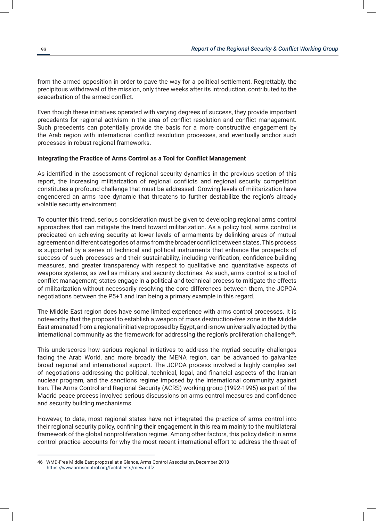from the armed opposition in order to pave the way for a political settlement. Regrettably, the precipitous withdrawal of the mission, only three weeks after its introduction, contributed to the exacerbation of the armed conflict.

Even though these initiatives operated with varying degrees of success, they provide important precedents for regional activism in the area of conflict resolution and conflict management. Such precedents can potentially provide the basis for a more constructive engagement by the Arab region with international conflict resolution processes, and eventually anchor such processes in robust regional frameworks.

#### **Integrating the Practice of Arms Control as a Tool for Conflict Management**

As identified in the assessment of regional security dynamics in the previous section of this report, the increasing militarization of regional conflicts and regional security competition constitutes a profound challenge that must be addressed. Growing levels of militarization have engendered an arms race dynamic that threatens to further destabilize the region's already volatile security environment.

To counter this trend, serious consideration must be given to developing regional arms control approaches that can mitigate the trend toward militarization. As a policy tool, arms control is predicated on achieving security at lower levels of armaments by delinking areas of mutual agreement on different categories of arms from the broader conflict between states. This process is supported by a series of technical and political instruments that enhance the prospects of success of such processes and their sustainability, including verification, confidence-building measures, and greater transparency with respect to qualitative and quantitative aspects of weapons systems, as well as military and security doctrines. As such, arms control is a tool of conflict management; states engage in a political and technical process to mitigate the effects of militarization without necessarily resolving the core differences between them, the JCPOA negotiations between the P5+1 and Iran being a primary example in this regard.

The Middle East region does have some limited experience with arms control processes. It is noteworthy that the proposal to establish a weapon of mass destruction-free zone in the Middle East emanated from a regional initiative proposed by Egypt, and is now universally adopted by the international community as the framework for addressing the region's proliferation challenge<sup>46</sup>.

This underscores how serious regional initiatives to address the myriad security challenges facing the Arab World, and more broadly the MENA region, can be advanced to galvanize broad regional and international support. The JCPOA process involved a highly complex set of negotiations addressing the political, technical, legal, and financial aspects of the Iranian nuclear program, and the sanctions regime imposed by the international community against Iran. The Arms Control and Regional Security (ACRS) working group (1992-1995) as part of the Madrid peace process involved serious discussions on arms control measures and confidence and security building mechanisms.

However, to date, most regional states have not integrated the practice of arms control into their regional security policy, confining their engagement in this realm mainly to the multilateral framework of the global nonproliferation regime. Among other factors, this policy deficit in arms control practice accounts for why the most recent international effort to address the threat of

<sup>46</sup> WMD-Free Middle East proposal at a Glance, Arms Control Association, December 2018 https://www.armscontrol.org/factsheets/mewmdfz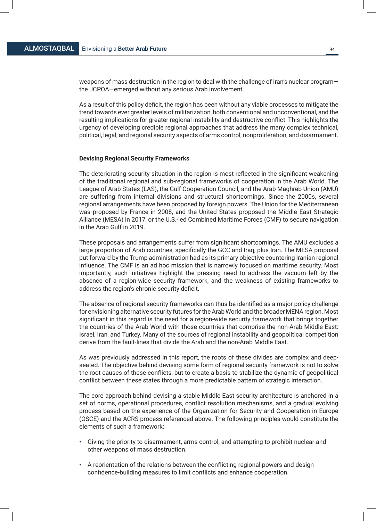weapons of mass destruction in the region to deal with the challenge of Iran's nuclear program the JCPOA—emerged without any serious Arab involvement.

As a result of this policy deficit, the region has been without any viable processes to mitigate the trend towards ever greater levels of militarization, both conventional and unconventional, and the resulting implications for greater regional instability and destructive conflict. This highlights the urgency of developing credible regional approaches that address the many complex technical, political, legal, and regional security aspects of arms control, nonproliferation, and disarmament.

#### **Devising Regional Security Frameworks**

The deteriorating security situation in the region is most reflected in the significant weakening of the traditional regional and sub-regional frameworks of cooperation in the Arab World. The League of Arab States (LAS), the Gulf Cooperation Council, and the Arab Maghreb Union (AMU) are suffering from internal divisions and structural shortcomings. Since the 2000s, several regional arrangements have been proposed by foreign powers. The Union for the Mediterranean was proposed by France in 2008, and the United States proposed the Middle East Strategic Alliance (MESA) in 2017, or the U.S.-led Combined Maritime Forces (CMF) to secure navigation in the Arab Gulf in 2019.

These proposals and arrangements suffer from significant shortcomings. The AMU excludes a large proportion of Arab countries, specifically the GCC and Iraq, plus Iran. The MESA proposal put forward by the Trump administration had as its primary objective countering Iranian regional influence. The CMF is an ad hoc mission that is narrowly focused on maritime security. Most importantly, such initiatives highlight the pressing need to address the vacuum left by the absence of a region-wide security framework, and the weakness of existing frameworks to address the region's chronic security deficit.

The absence of regional security frameworks can thus be identified as a major policy challenge for envisioning alternative security futures for the Arab World and the broader MENA region. Most significant in this regard is the need for a region-wide security framework that brings together the countries of the Arab World with those countries that comprise the non-Arab Middle East: Israel, Iran, and Turkey. Many of the sources of regional instability and geopolitical competition derive from the fault-lines that divide the Arab and the non-Arab Middle East.

As was previously addressed in this report, the roots of these divides are complex and deepseated. The objective behind devising some form of regional security framework is not to solve the root causes of these conflicts, but to create a basis to stabilize the dynamic of geopolitical conflict between these states through a more predictable pattern of strategic interaction.

The core approach behind devising a stable Middle East security architecture is anchored in a set of norms, operational procedures, conflict resolution mechanisms, and a gradual evolving process based on the experience of the Organization for Security and Cooperation in Europe (OSCE) and the ACRS process referenced above. The following principles would constitute the elements of such a framework:

- Giving the priority to disarmament, arms control, and attempting to prohibit nuclear and other weapons of mass destruction.
- A reorientation of the relations between the conflicting regional powers and design confidence-building measures to limit conflicts and enhance cooperation.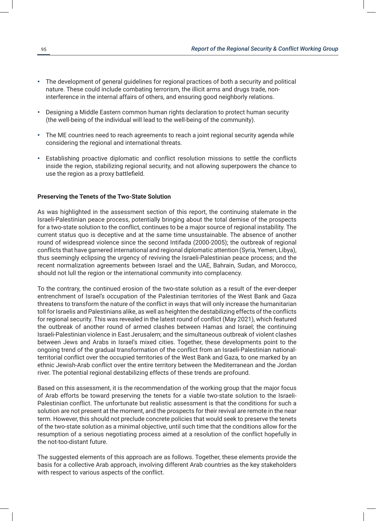- The development of general guidelines for regional practices of both a security and political nature. These could include combating terrorism, the illicit arms and drugs trade, noninterference in the internal affairs of others, and ensuring good neighborly relations.
- Designing a Middle Eastern common human rights declaration to protect human security (the well-being of the individual will lead to the well-being of the community).
- The ME countries need to reach agreements to reach a joint regional security agenda while considering the regional and international threats.
- Establishing proactive diplomatic and conflict resolution missions to settle the conflicts inside the region, stabilizing regional security, and not allowing superpowers the chance to use the region as a proxy battlefield.

#### **Preserving the Tenets of the Two-State Solution**

As was highlighted in the assessment section of this report, the continuing stalemate in the Israeli-Palestinian peace process, potentially bringing about the total demise of the prospects for a two-state solution to the conflict, continues to be a major source of regional instability. The current status quo is deceptive and at the same time unsustainable. The absence of another round of widespread violence since the second Intifada (2000-2005); the outbreak of regional conflicts that have garnered international and regional diplomatic attention (Syria, Yemen, Libya), thus seemingly eclipsing the urgency of reviving the Israeli-Palestinian peace process; and the recent normalization agreements between Israel and the UAE, Bahrain, Sudan, and Morocco, should not lull the region or the international community into complacency.

To the contrary, the continued erosion of the two-state solution as a result of the ever-deeper entrenchment of Israel's occupation of the Palestinian territories of the West Bank and Gaza threatens to transform the nature of the conflict in ways that will only increase the humanitarian toll for Israelis and Palestinians alike, as well as heighten the destabilizing effects of the conflicts for regional security. This was revealed in the latest round of conflict (May 2021), which featured the outbreak of another round of armed clashes between Hamas and Israel; the continuing Israeli-Palestinian violence in East Jerusalem; and the simultaneous outbreak of violent clashes between Jews and Arabs in Israel's mixed cities. Together, these developments point to the ongoing trend of the gradual transformation of the conflict from an Israeli-Palestinian nationalterritorial conflict over the occupied territories of the West Bank and Gaza, to one marked by an ethnic Jewish-Arab conflict over the entire territory between the Mediterranean and the Jordan river. The potential regional destabilizing effects of these trends are profound.

Based on this assessment, it is the recommendation of the working group that the major focus of Arab efforts be toward preserving the tenets for a viable two-state solution to the Israeli-Palestinian conflict. The unfortunate but realistic assessment is that the conditions for such a solution are not present at the moment, and the prospects for their revival are remote in the near term. However, this should not preclude concrete policies that would seek to preserve the tenets of the two-state solution as a minimal objective, until such time that the conditions allow for the resumption of a serious negotiating process aimed at a resolution of the conflict hopefully in the not-too-distant future.

The suggested elements of this approach are as follows. Together, these elements provide the basis for a collective Arab approach, involving different Arab countries as the key stakeholders with respect to various aspects of the conflict.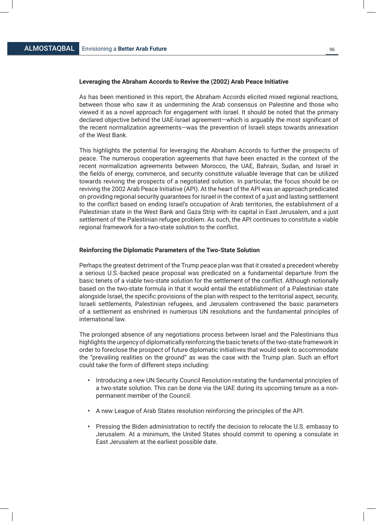#### **Leveraging the Abraham Accords to Revive the (2002) Arab Peace Initiative**

As has been mentioned in this report, the Abraham Accords elicited mixed regional reactions, between those who saw it as undermining the Arab consensus on Palestine and those who viewed it as a novel approach for engagement with Israel. It should be noted that the primary declared objective behind the UAE-Israel agreement—which is arguably the most significant of the recent normalization agreements—was the prevention of Israeli steps towards annexation of the West Bank.

This highlights the potential for leveraging the Abraham Accords to further the prospects of peace. The numerous cooperation agreements that have been enacted in the context of the recent normalization agreements between Morocco, the UAE, Bahrain, Sudan, and Israel in the fields of energy, commerce, and security constitute valuable leverage that can be utilized towards reviving the prospects of a negotiated solution. In particular, the focus should be on reviving the 2002 Arab Peace Initiative (API). At the heart of the API was an approach predicated on providing regional security guarantees for Israel in the context of a just and lasting settlement to the conflict based on ending Israel's occupation of Arab territories, the establishment of a Palestinian state in the West Bank and Gaza Strip with its capital in East Jerusalem, and a just settlement of the Palestinian refugee problem. As such, the API continues to constitute a viable regional framework for a two-state solution to the conflict.

#### **Reinforcing the Diplomatic Parameters of the Two-State Solution**

Perhaps the greatest detriment of the Trump peace plan was that it created a precedent whereby a serious U.S.-backed peace proposal was predicated on a fundamental departure from the basic tenets of a viable two-state solution for the settlement of the conflict. Although notionally based on the two-state formula in that it would entail the establishment of a Palestinian state alongside Israel, the specific provisions of the plan with respect to the territorial aspect, security, Israeli settlements, Palestinian refugees, and Jerusalem contravened the basic parameters of a settlement as enshrined in numerous UN resolutions and the fundamental principles of international law.

The prolonged absence of any negotiations process between Israel and the Palestinians thus highlights the urgency of diplomatically reinforcing the basic tenets of the two-state framework in order to foreclose the prospect of future diplomatic initiatives that would seek to accommodate the "prevailing realities on the ground" as was the case with the Trump plan. Such an effort could take the form of different steps including:

- Introducing a new UN Security Council Resolution restating the fundamental principles of a two-state solution. This can be done via the UAE during its upcoming tenure as a nonpermanent member of the Council.
- A new League of Arab States resolution reinforcing the principles of the API.
- Pressing the Biden administration to rectify the decision to relocate the U.S. embassy to Jerusalem. At a minimum, the United States should commit to opening a consulate in East Jerusalem at the earliest possible date.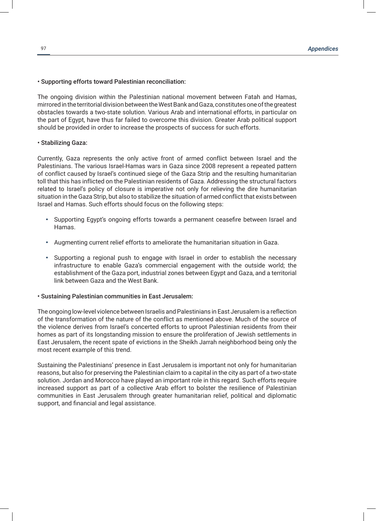### • Supporting efforts toward Palestinian reconciliation:

The ongoing division within the Palestinian national movement between Fatah and Hamas, mirrored in the territorial division between the West Bank and Gaza, constitutes one of the greatest obstacles towards a two-state solution. Various Arab and international efforts, in particular on the part of Egypt, have thus far failed to overcome this division. Greater Arab political support should be provided in order to increase the prospects of success for such efforts.

#### • Stabilizing Gaza:

Currently, Gaza represents the only active front of armed conflict between Israel and the Palestinians. The various Israel-Hamas wars in Gaza since 2008 represent a repeated pattern of conflict caused by Israel's continued siege of the Gaza Strip and the resulting humanitarian toll that this has inflicted on the Palestinian residents of Gaza. Addressing the structural factors related to Israel's policy of closure is imperative not only for relieving the dire humanitarian situation in the Gaza Strip, but also to stabilize the situation of armed conflict that exists between Israel and Hamas. Such efforts should focus on the following steps:

- Supporting Egypt's ongoing efforts towards a permanent ceasefire between Israel and Hamas.
- Augmenting current relief efforts to ameliorate the humanitarian situation in Gaza.
- Supporting a regional push to engage with Israel in order to establish the necessary infrastructure to enable Gaza's commercial engagement with the outside world; the establishment of the Gaza port, industrial zones between Egypt and Gaza, and a territorial link between Gaza and the West Bank.

#### • Sustaining Palestinian communities in East Jerusalem:

The ongoing low-level violence between Israelis and Palestinians in East Jerusalem is a reflection of the transformation of the nature of the conflict as mentioned above. Much of the source of the violence derives from Israel's concerted efforts to uproot Palestinian residents from their homes as part of its longstanding mission to ensure the proliferation of Jewish settlements in East Jerusalem, the recent spate of evictions in the Sheikh Jarrah neighborhood being only the most recent example of this trend.

Sustaining the Palestinians' presence in East Jerusalem is important not only for humanitarian reasons, but also for preserving the Palestinian claim to a capital in the city as part of a two-state solution. Jordan and Morocco have played an important role in this regard. Such efforts require increased support as part of a collective Arab effort to bolster the resilience of Palestinian communities in East Jerusalem through greater humanitarian relief, political and diplomatic support, and financial and legal assistance.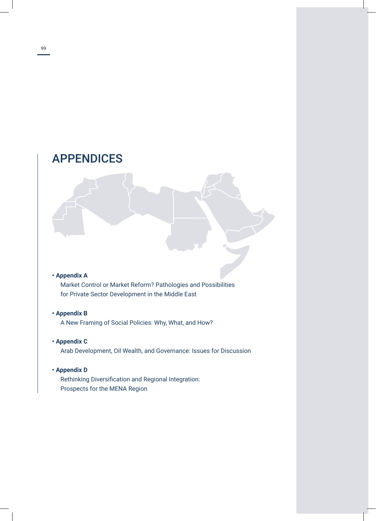# APPENDICES

# **• Appendix A**

Market Control or Market Reform? Pathologies and Possibilities for Private Sector Development in the Middle East

# **• Appendix B**

A New Framing of Social Policies: Why, What, and How?

# **• Appendix C**

Arab Development, Oil Wealth, and Governance: Issues for Discussion

# **• Appendix D**

Rethinking Diversification and Regional Integration: Prospects for the MENA Region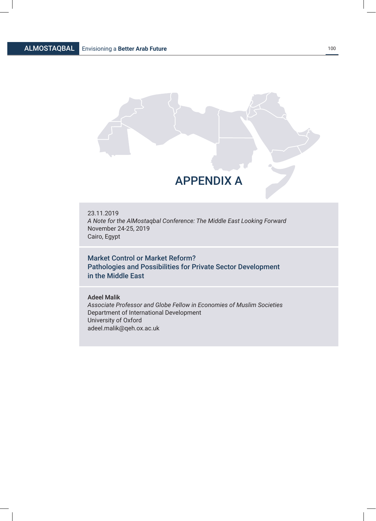

# APPENDIX A

23.11.2019 *A Note for the AlMostaqbal Conference: The Middle East Looking Forward* November 24-25, 2019 Cairo, Egypt

Market Control or Market Reform? Pathologies and Possibilities for Private Sector Development in the Middle East

## Adeel Malik

*Associate Professor and Globe Fellow in Economies of Muslim Societies* Department of International Development University of Oxford adeel.malik@qeh.ox.ac.uk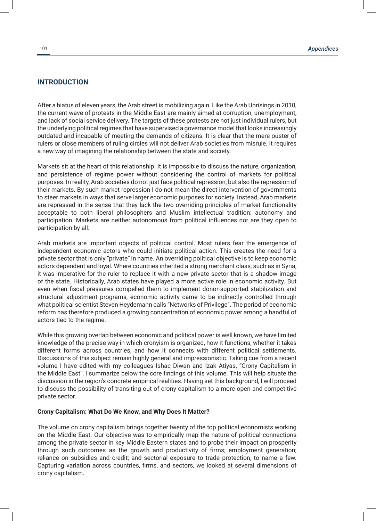# **INTRODUCTION**

After a hiatus of eleven years, the Arab street is mobilizing again. Like the Arab Uprisings in 2010, the current wave of protests in the Middle East are mainly aimed at corruption, unemployment, and lack of social service delivery. The targets of these protests are not just individual rulers, but the underlying political regimes that have supervised a governance model that looks increasingly outdated and incapable of meeting the demands of citizens. It is clear that the mere ouster of rulers or close members of ruling circles will not deliver Arab societies from misrule. It requires a new way of imagining the relationship between the state and society.

Markets sit at the heart of this relationship. It is impossible to discuss the nature, organization, and persistence of regime power without considering the control of markets for political purposes. In reality, Arab societies do not just face political repression, but also the repression of their markets. By such market repression I do not mean the direct intervention of governments to steer markets in ways that serve larger economic purposes for society. Instead, Arab markets are repressed in the sense that they lack the two overriding principles of market functionality acceptable to both liberal philosophers and Muslim intellectual tradition: autonomy and participation. Markets are neither autonomous from political influences nor are they open to participation by all.

Arab markets are important objects of political control. Most rulers fear the emergence of independent economic actors who could initiate political action. This creates the need for a private sector that is only "private" in name. An overriding political objective is to keep economic actors dependent and loyal. Where countries inherited a strong merchant class, such as in Syria, it was imperative for the ruler to replace it with a new private sector that is a shadow image of the state. Historically, Arab states have played a more active role in economic activity. But even when fiscal pressures compelled them to implement donor-supported stabilization and structural adjustment programs, economic activity came to be indirectly controlled through what political scientist Steven Heydemann calls "Networks of Privilege". The period of economic reform has therefore produced a growing concentration of economic power among a handful of actors tied to the regime.

While this growing overlap between economic and political power is well known, we have limited knowledge of the precise way in which cronyism is organized, how it functions, whether it takes different forms across countries, and how it connects with different political settlements. Discussions of this subject remain highly general and impressionistic. Taking cue from a recent volume I have edited with my colleagues Ishac Diwan and Izak Atiyas, "Crony Capitalism in the Middle East", I summarize below the core findings of this volume. This will help situate the discussion in the region's concrete empirical realities. Having set this background, I will proceed to discuss the possibility of transiting out of crony capitalism to a more open and competitive private sector.

#### **Crony Capitalism: What Do We Know, and Why Does It Matter?**

The volume on crony capitalism brings together twenty of the top political economists working on the Middle East. Our objective was to empirically map the nature of political connections among the private sector in key Middle Eastern states and to probe their impact on prosperity through such outcomes as the growth and productivity of firms; employment generation; reliance on subsidies and credit; and sectorial exposure to trade protection, to name a few. Capturing variation across countries, firms, and sectors, we looked at several dimensions of crony capitalism.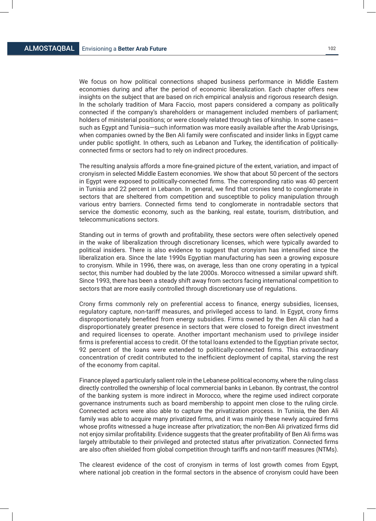We focus on how political connections shaped business performance in Middle Eastern economies during and after the period of economic liberalization. Each chapter offers new insights on the subject that are based on rich empirical analysis and rigorous research design. In the scholarly tradition of Mara Faccio, most papers considered a company as politically connected if the company's shareholders or management included members of parliament; holders of ministerial positions; or were closely related through ties of kinship. In some casessuch as Egypt and Tunisia—such information was more easily available after the Arab Uprisings, when companies owned by the Ben Ali family were confiscated and insider links in Egypt came under public spotlight. In others, such as Lebanon and Turkey, the identification of politicallyconnected firms or sectors had to rely on indirect procedures.

The resulting analysis affords a more fine-grained picture of the extent, variation, and impact of cronyism in selected Middle Eastern economies. We show that about 50 percent of the sectors in Egypt were exposed to politically-connected firms. The corresponding ratio was 40 percent in Tunisia and 22 percent in Lebanon. In general, we find that cronies tend to conglomerate in sectors that are sheltered from competition and susceptible to policy manipulation through various entry barriers. Connected firms tend to conglomerate in nontradable sectors that service the domestic economy, such as the banking, real estate, tourism, distribution, and telecommunications sectors.

Standing out in terms of growth and profitability, these sectors were often selectively opened in the wake of liberalization through discretionary licenses, which were typically awarded to political insiders. There is also evidence to suggest that cronyism has intensified since the liberalization era. Since the late 1990s Egyptian manufacturing has seen a growing exposure to cronyism. While in 1996, there was, on average, less than one crony operating in a typical sector, this number had doubled by the late 2000s. Morocco witnessed a similar upward shift. Since 1993, there has been a steady shift away from sectors facing international competition to sectors that are more easily controlled through discretionary use of regulations.

Crony firms commonly rely on preferential access to finance, energy subsidies, licenses, regulatory capture, non-tariff measures, and privileged access to land. In Egypt, crony firms disproportionately benefited from energy subsidies. Firms owned by the Ben Ali clan had a disproportionately greater presence in sectors that were closed to foreign direct investment and required licenses to operate. Another important mechanism used to privilege insider firms is preferential access to credit. Of the total loans extended to the Egyptian private sector, 92 percent of the loans were extended to politically-connected firms. This extraordinary concentration of credit contributed to the inefficient deployment of capital, starving the rest of the economy from capital.

Finance played a particularly salient role in the Lebanese political economy, where the ruling class directly controlled the ownership of local commercial banks in Lebanon. By contrast, the control of the banking system is more indirect in Morocco, where the regime used indirect corporate governance instruments such as board membership to appoint men close to the ruling circle. Connected actors were also able to capture the privatization process. In Tunisia, the Ben Ali family was able to acquire many privatized firms, and it was mainly these newly acquired firms whose profits witnessed a huge increase after privatization; the non-Ben Ali privatized firms did not enjoy similar profitability. Evidence suggests that the greater profitability of Ben Ali firms was largely attributable to their privileged and protected status after privatization. Connected firms are also often shielded from global competition through tariffs and non-tariff measures (NTMs).

The clearest evidence of the cost of cronyism in terms of lost growth comes from Egypt, where national job creation in the formal sectors in the absence of cronyism could have been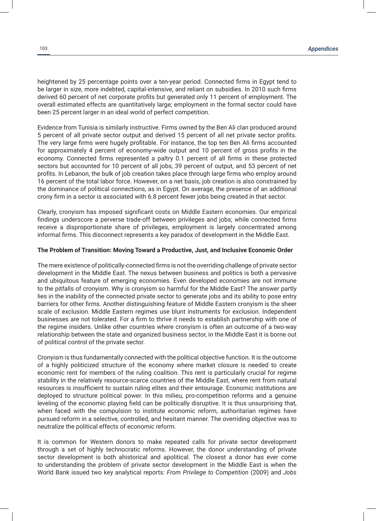heightened by 25 percentage points over a ten-year period. Connected firms in Egypt tend to be larger in size, more indebted, capital-intensive, and reliant on subsidies. In 2010 such firms derived 60 percent of net corporate profits but generated only 11 percent of employment. The overall estimated effects are quantitatively large; employment in the formal sector could have been 25 percent larger in an ideal world of perfect competition.

Evidence from Tunisia is similarly instructive. Firms owned by the Ben Ali clan produced around 5 percent of all private sector output and derived 15 percent of all net private sector profits. The very large firms were hugely profitable. For instance, the top ten Ben Ali firms accounted for approximately 4 percent of economy-wide output and 10 percent of gross profits in the economy. Connected firms represented a paltry 0.1 percent of all firms in these protected sectors but accounted for 10 percent of all jobs, 39 percent of output, and 53 percent of net profits. In Lebanon, the bulk of job creation takes place through large firms who employ around 16 percent of the total labor force. However, on a net basis, job creation is also constrained by the dominance of political connections, as in Egypt. On average, the presence of an additional crony firm in a sector is associated with 6.8 percent fewer jobs being created in that sector.

Clearly, cronyism has imposed significant costs on Middle Eastern economies. Our empirical findings underscore a perverse trade-off between privileges and jobs; while connected firms receive a disproportionate share of privileges, employment is largely concentrated among informal firms. This disconnect represents a key paradox of development in the Middle East.

#### **The Problem of Transition: Moving Toward a Productive, Just, and Inclusive Economic Order**

The mere existence of politically-connected firms is not the overriding challenge of private sector development in the Middle East. The nexus between business and politics is both a pervasive and ubiquitous feature of emerging economies. Even developed economies are not immune to the pitfalls of cronyism. Why is cronyism so harmful for the Middle East? The answer partly lies in the inability of the connected private sector to generate jobs and its ability to pose entry barriers for other firms. Another distinguishing feature of Middle Eastern cronyism is the sheer scale of exclusion. Middle Eastern regimes use blunt instruments for exclusion. Independent businesses are not tolerated. For a firm to thrive it needs to establish partnership with one of the regime insiders. Unlike other countries where cronyism is often an outcome of a two-way relationship between the state and organized business sector, in the Middle East it is borne out of political control of the private sector.

Cronyism is thus fundamentally connected with the political objective function. It is the outcome of a highly politicized structure of the economy where market closure is needed to create economic rent for members of the ruling coalition. This rent is particularly crucial for regime stability in the relatively resource-scarce countries of the Middle East, where rent from natural resources is insufficient to sustain ruling elites and their entourage. Economic institutions are deployed to structure political power. In this milieu, pro-competition reforms and a genuine leveling of the economic playing field can be politically disruptive. It is thus unsurprising that, when faced with the compulsion to institute economic reform, authoritarian regimes have pursued reform in a selective, controlled, and hesitant manner. The overriding objective was to neutralize the political effects of economic reform.

It is common for Western donors to make repeated calls for private sector development through a set of highly technocratic reforms. However, the donor understanding of private sector development is both ahistorical and apolitical. The closest a donor has ever come to understanding the problem of private sector development in the Middle East is when the World Bank issued two key analytical reports: *From Privilege to Competition* (2009) and *Jobs*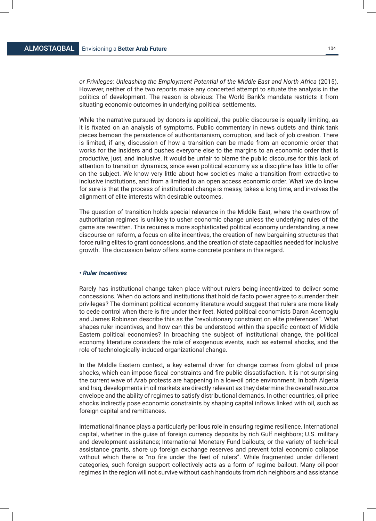*or Privileges: Unleashing the Employment Potential of the Middle East and North Africa* (2015). However, neither of the two reports make any concerted attempt to situate the analysis in the politics of development. The reason is obvious: The World Bank's mandate restricts it from situating economic outcomes in underlying political settlements.

While the narrative pursued by donors is apolitical, the public discourse is equally limiting, as it is fixated on an analysis of symptoms. Public commentary in news outlets and think tank pieces bemoan the persistence of authoritarianism, corruption, and lack of job creation. There is limited, if any, discussion of how a transition can be made from an economic order that works for the insiders and pushes everyone else to the margins to an economic order that is productive, just, and inclusive. It would be unfair to blame the public discourse for this lack of attention to transition dynamics, since even political economy as a discipline has little to offer on the subject. We know very little about how societies make a transition from extractive to inclusive institutions, and from a limited to an open access economic order. What we do know for sure is that the process of institutional change is messy, takes a long time, and involves the alignment of elite interests with desirable outcomes.

The question of transition holds special relevance in the Middle East, where the overthrow of authoritarian regimes is unlikely to usher economic change unless the underlying rules of the game are rewritten. This requires a more sophisticated political economy understanding, a new discourse on reform, a focus on elite incentives, the creation of new bargaining structures that force ruling elites to grant concessions, and the creation of state capacities needed for inclusive growth. The discussion below offers some concrete pointers in this regard.

#### *• Ruler Incentives*

Rarely has institutional change taken place without rulers being incentivized to deliver some concessions. When do actors and institutions that hold de facto power agree to surrender their privileges? The dominant political economy literature would suggest that rulers are more likely to cede control when there is fire under their feet. Noted political economists Daron Acemoglu and James Robinson describe this as the "revolutionary constraint on elite preferences". What shapes ruler incentives, and how can this be understood within the specific context of Middle Eastern political economies? In broaching the subject of institutional change, the political economy literature considers the role of exogenous events, such as external shocks, and the role of technologically-induced organizational change.

In the Middle Eastern context, a key external driver for change comes from global oil price shocks, which can impose fiscal constraints and fire public dissatisfaction. It is not surprising the current wave of Arab protests are happening in a low-oil price environment. In both Algeria and Iraq, developments in oil markets are directly relevant as they determine the overall resource envelope and the ability of regimes to satisfy distributional demands. In other countries, oil price shocks indirectly pose economic constraints by shaping capital inflows linked with oil, such as foreign capital and remittances.

International finance plays a particularly perilous role in ensuring regime resilience. International capital, whether in the guise of foreign currency deposits by rich Gulf neighbors; U.S. military and development assistance; International Monetary Fund bailouts; or the variety of technical assistance grants, shore up foreign exchange reserves and prevent total economic collapse without which there is "no fire under the feet of rulers". While fragmented under different categories, such foreign support collectively acts as a form of regime bailout. Many oil-poor regimes in the region will not survive without cash handouts from rich neighbors and assistance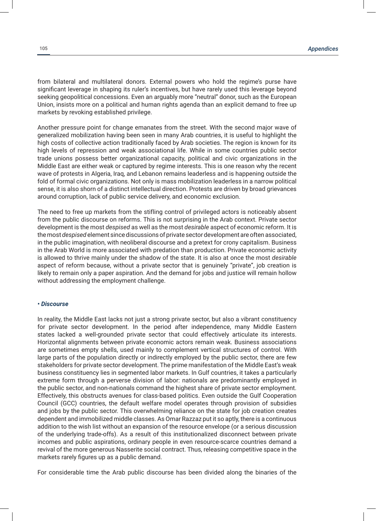from bilateral and multilateral donors. External powers who hold the regime's purse have significant leverage in shaping its ruler's incentives, but have rarely used this leverage beyond seeking geopolitical concessions. Even an arguably more "neutral" donor, such as the European Union, insists more on a political and human rights agenda than an explicit demand to free up markets by revoking established privilege.

Another pressure point for change emanates from the street. With the second major wave of generalized mobilization having been seen in many Arab countries, it is useful to highlight the high costs of collective action traditionally faced by Arab societies. The region is known for its high levels of repression and weak associational life. While in some countries public sector trade unions possess better organizational capacity, political and civic organizations in the Middle East are either weak or captured by regime interests. This is one reason why the recent wave of protests in Algeria, Iraq, and Lebanon remains leaderless and is happening outside the fold of formal civic organizations. Not only is mass mobilization leaderless in a narrow political sense, it is also shorn of a distinct intellectual direction. Protests are driven by broad grievances around corruption, lack of public service delivery, and economic exclusion.

The need to free up markets from the stifling control of privileged actors is noticeably absent from the public discourse on reforms. This is not surprising in the Arab context. Private sector development is the most *despised* as well as the most *desirable* aspect of economic reform. It is the most *despised* element since discussions of private sector development are often associated, in the public imagination, with neoliberal discourse and a pretext for crony capitalism. Business in the Arab World is more associated with predation than production. Private economic activity is allowed to thrive mainly under the shadow of the state. It is also at once the most *desirable* aspect of reform because, without a private sector that is genuinely "private", job creation is likely to remain only a paper aspiration. And the demand for jobs and justice will remain hollow without addressing the employment challenge.

#### *• Discourse*

In reality, the Middle East lacks not just a strong private sector, but also a vibrant constituency for private sector development. In the period after independence, many Middle Eastern states lacked a well-grounded private sector that could effectively articulate its interests. Horizontal alignments between private economic actors remain weak. Business associations are sometimes empty shells, used mainly to complement vertical structures of control. With large parts of the population directly or indirectly employed by the public sector, there are few stakeholders for private sector development. The prime manifestation of the Middle East's weak business constituency lies in segmented labor markets. In Gulf countries, it takes a particularly extreme form through a perverse division of labor: nationals are predominantly employed in the public sector, and non-nationals command the highest share of private sector employment. Effectively, this obstructs avenues for class-based politics. Even outside the Gulf Cooperation Council (GCC) countries, the default welfare model operates through provision of subsidies and jobs by the public sector. This overwhelming reliance on the state for job creation creates dependent and immobilized middle classes. As Omar Razzaz put it so aptly, there is a continuous addition to the wish list without an expansion of the resource envelope (or a serious discussion of the underlying trade-offs). As a result of this institutionalized disconnect between private incomes and public aspirations, ordinary people in even resource-scarce countries demand a revival of the more generous Nasserite social contract. Thus, releasing competitive space in the markets rarely figures up as a public demand.

For considerable time the Arab public discourse has been divided along the binaries of the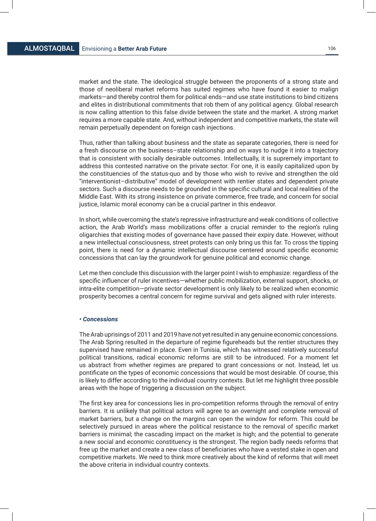market and the state. The ideological struggle between the proponents of a strong state and those of neoliberal market reforms has suited regimes who have found it easier to malign markets—and thereby control them for political ends—and use state institutions to bind citizens and elites in distributional commitments that rob them of any political agency. Global research is now calling attention to this false divide between the state and the market. A strong market requires a more capable state. And, without independent and competitive markets, the state will remain perpetually dependent on foreign cash injections.

Thus, rather than talking about business and the state as separate categories, there is need for a fresh discourse on the business–state relationship and on ways to nudge it into a trajectory that is consistent with socially desirable outcomes. Intellectually, it is supremely important to address this contested narrative on the private sector. For one, it is easily capitalized upon by the constituencies of the status-quo and by those who wish to revive and strengthen the old "interventionist–distributive" model of development with rentier states and dependent private sectors. Such a discourse needs to be grounded in the specific cultural and local realities of the Middle East. With its strong insistence on private commerce, free trade, and concern for social justice, Islamic moral economy can be a crucial partner in this endeavor.

In short, while overcoming the state's repressive infrastructure and weak conditions of collective action, the Arab World's mass mobilizations offer a crucial reminder to the region's ruling oligarchies that existing modes of governance have passed their expiry date. However, without a new intellectual consciousness, street protests can only bring us this far. To cross the tipping point, there is need for a dynamic intellectual discourse centered around specific economic concessions that can lay the groundwork for genuine political and economic change.

Let me then conclude this discussion with the larger point I wish to emphasize: regardless of the specific influencer of ruler incentives—whether public mobilization, external support, shocks, or intra-elite competition—private sector development is only likely to be realized when economic prosperity becomes a central concern for regime survival and gets aligned with ruler interests.

#### *• Concessions*

The Arab uprisings of 2011 and 2019 have not yet resulted in any genuine economic concessions. The Arab Spring resulted in the departure of regime figureheads but the rentier structures they supervised have remained in place. Even in Tunisia, which has witnessed relatively successful political transitions, radical economic reforms are still to be introduced. For a moment let us abstract from whether regimes are prepared to grant concessions or not. Instead, let us pontificate on the types of economic concessions that would be most desirable. Of course, this is likely to differ according to the individual country contexts. But let me highlight three possible areas with the hope of triggering a discussion on the subject.

The first key area for concessions lies in pro-competition reforms through the removal of entry barriers. It is unlikely that political actors will agree to an overnight and complete removal of market barriers, but a change on the margins can open the window for reform. This could be selectively pursued in areas where the political resistance to the removal of specific market barriers is minimal; the cascading impact on the market is high; and the potential to generate a new social and economic constituency is the strongest. The region badly needs reforms that free up the market and create a new class of beneficiaries who have a vested stake in open and competitive markets. We need to think more creatively about the kind of reforms that will meet the above criteria in individual country contexts.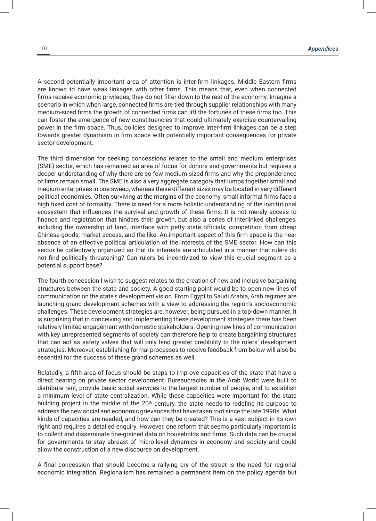A second potentially important area of attention is inter-firm linkages. Middle Eastern firms are known to have weak linkages with other firms. This means that, even when connected firms receive economic privileges, they do not filter down to the rest of the economy. Imagine a scenario in which when large, connected firms are tied through supplier relationships with many medium-sized firms the growth of connected firms can lift the fortunes of these firms too. This can foster the emergence of new constituencies that could ultimately exercise countervailing power in the firm space. Thus, policies designed to improve inter-firm linkages can be a step towards greater dynamism in firm space with potentially important consequences for private sector development.

The third dimension for seeking concessions relates to the small and medium enterprises (SME) sector, which has remained an area of focus for donors and governments but requires a deeper understanding of why there are so few medium-sized firms and why the preponderance of firms remain small. The SME is also a very aggregate category that lumps together small and medium enterprises in one sweep, whereas these different sizes may be located in very different political economies. Often surviving at the margins of the economy, small informal firms face a high fixed cost of formality. There is need for a more holistic understanding of the institutional ecosystem that influences the survival and growth of these firms. It is not merely access to finance and registration that hinders their growth, but also a series of interlinked challenges, including the ownership of land, interface with petty state officials, competition from cheap Chinese goods, market access, and the like. An important aspect of this firm space is the near absence of an effective political articulation of the interests of the SME sector. How can this sector be collectively organized so that its interests are articulated in a manner that rulers do not find politically threatening? Can rulers be incentivized to view this crucial segment as a potential support base?

The fourth concession I wish to suggest relates to the creation of new and inclusive bargaining structures between the state and society. A good starting point would be to open new lines of communication on the state's development vision. From Egypt to Saudi Arabia, Arab regimes are launching grand development schemes with a view to addressing the region's socioeconomic challenges. These development strategies are, however, being pursued in a top-down manner. It is surprising that in conceiving and implementing these development strategies there has been relatively limited engagement with domestic stakeholders. Opening new lines of communication with key unrepresented segments of society can therefore help to create bargaining structures that can act as safety valves that will only lend greater credibility to the rulers' development strategies. Moreover, establishing formal processes to receive feedback from below will also be essential for the success of these grand schemes as well.

Relatedly, a fifth area of focus should be steps to improve capacities of the state that have a direct bearing on private sector development. Bureaucracies in the Arab World were built to distribute rent, provide basic social services to the largest number of people, and to establish a minimum level of state centralization. While these capacities were important for the state building project in the middle of the 20<sup>th</sup> century, the state needs to redefine its purpose to address the new social and economic grievances that have taken root since the late 1990s. What kinds of capacities are needed, and how can they be created? This is a vast subject in its own right and requires a detailed enquiry. However, one reform that seems particularly important is to collect and disseminate fine-grained data on households and firms. Such data can be crucial for governments to stay abreast of micro-level dynamics in economy and society and could allow the construction of a new discourse on development.

A final concession that should become a rallying cry of the street is the need for regional economic integration. Regionalism has remained a permanent item on the policy agenda but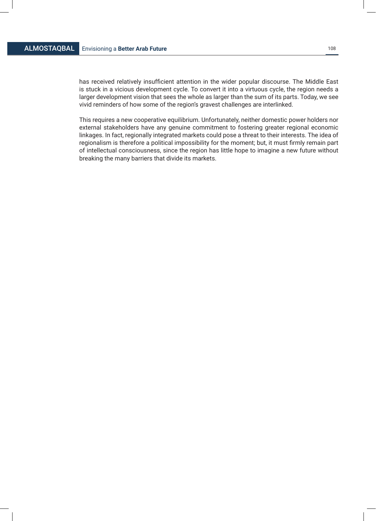has received relatively insufficient attention in the wider popular discourse. The Middle East is stuck in a vicious development cycle. To convert it into a virtuous cycle, the region needs a larger development vision that sees the whole as larger than the sum of its parts. Today, we see vivid reminders of how some of the region's gravest challenges are interlinked.

This requires a new cooperative equilibrium. Unfortunately, neither domestic power holders nor external stakeholders have any genuine commitment to fostering greater regional economic linkages. In fact, regionally integrated markets could pose a threat to their interests. The idea of regionalism is therefore a political impossibility for the moment; but, it must firmly remain part of intellectual consciousness, since the region has little hope to imagine a new future without breaking the many barriers that divide its markets.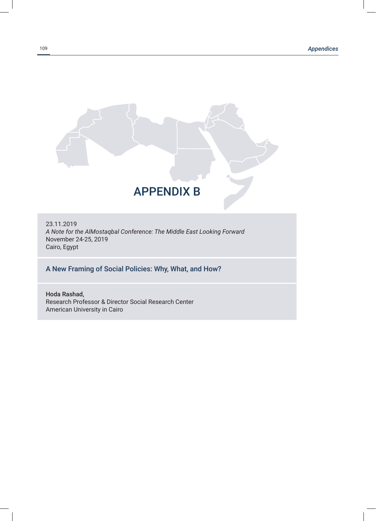

23.11.2019 *A Note for the AlMostaqbal Conference: The Middle East Looking Forward* November 24-25, 2019 Cairo, Egypt

# A New Framing of Social Policies: Why, What, and How?

Hoda Rashad, Research Professor & Director Social Research Center American University in Cairo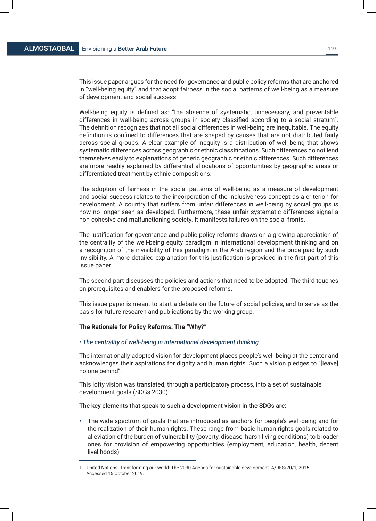This issue paper argues for the need for governance and public policy reforms that are anchored in "well-being equity" and that adopt fairness in the social patterns of well-being as a measure of development and social success.

Well-being equity is defined as: "the absence of systematic, unnecessary, and preventable differences in well-being across groups in society classified according to a social stratum". The definition recognizes that not all social differences in well-being are inequitable. The equity definition is confined to differences that are shaped by causes that are not distributed fairly across social groups. A clear example of inequity is a distribution of well-being that shows systematic differences across geographic or ethnic classifications. Such differences do not lend themselves easily to explanations of generic geographic or ethnic differences. Such differences are more readily explained by differential allocations of opportunities by geographic areas or differentiated treatment by ethnic compositions.

The adoption of fairness in the social patterns of well-being as a measure of development and social success relates to the incorporation of the inclusiveness concept as a criterion for development. A country that suffers from unfair differences in well-being by social groups is now no longer seen as developed. Furthermore, these unfair systematic differences signal a non-cohesive and malfunctioning society. It manifests failures on the social fronts.

The justification for governance and public policy reforms draws on a growing appreciation of the centrality of the well-being equity paradigm in international development thinking and on a recognition of the invisibility of this paradigm in the Arab region and the price paid by such invisibility. A more detailed explanation for this justification is provided in the first part of this issue paper.

The second part discusses the policies and actions that need to be adopted. The third touches on prerequisites and enablers for the proposed reforms.

This issue paper is meant to start a debate on the future of social policies, and to serve as the basis for future research and publications by the working group.

### **The Rationale for Policy Reforms: The "Why?"**

### *• The centrality of well-being in international development thinking*

The internationally-adopted vision for development places people's well-being at the center and acknowledges their aspirations for dignity and human rights. Such a vision pledges to "[leave] no one behind".

This lofty vision was translated, through a participatory process, into a set of sustainable development goals (SDGs 2030)1.

The key elements that speak to such a development vision in the SDGs are:

**•** The wide spectrum of goals that are introduced as anchors for people's well-being and for the realization of their human rights. These range from basic human rights goals related to alleviation of the burden of vulnerability (poverty, disease, harsh living conditions) to broader ones for provision of empowering opportunities (employment, education, health, decent livelihoods).

<sup>1</sup> United Nations. Transforming our world: The 2030 Agenda for sustainable development. A/RES/70/1; 2015. Accessed 15 October 2019.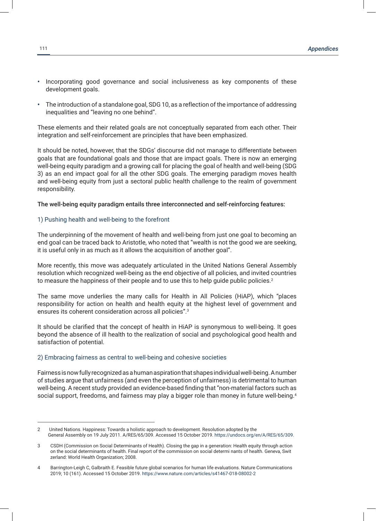- **•** Incorporating good governance and social inclusiveness as key components of these development goals.
- **•** The introduction of a standalone goal, SDG 10, as a reflection of the importance of addressing inequalities and "leaving no one behind".

These elements and their related goals are not conceptually separated from each other. Their integration and self-reinforcement are principles that have been emphasized.

It should be noted, however, that the SDGs' discourse did not manage to differentiate between goals that are foundational goals and those that are impact goals. There is now an emerging well-being equity paradigm and a growing call for placing the goal of health and well-being (SDG 3) as an end impact goal for all the other SDG goals. The emerging paradigm moves health and well-being equity from just a sectoral public health challenge to the realm of government responsibility.

## The well-being equity paradigm entails three interconnected and self-reinforcing features:

### 1) Pushing health and well-being to the forefront

The underpinning of the movement of health and well-being from just one goal to becoming an end goal can be traced back to Aristotle, who noted that "wealth is not the good we are seeking, it is useful only in as much as it allows the acquisition of another goal".

More recently, this move was adequately articulated in the United Nations General Assembly resolution which recognized well-being as the end objective of all policies, and invited countries to measure the happiness of their people and to use this to help guide public policies. $2$ 

The same move underlies the many calls for Health in All Policies (HiAP), which "places responsibility for action on health and health equity at the highest level of government and ensures its coherent consideration across all policies".3

It should be clarified that the concept of health in HiAP is synonymous to well-being. It goes beyond the absence of ill health to the realization of social and psychological good health and satisfaction of potential.

### 2) Embracing fairness as central to well-being and cohesive societies

Fairness is now fully recognized as a human aspiration that shapes individual well-being. A number of studies argue that unfairness (and even the perception of unfairness) is detrimental to human well-being. A recent study provided an evidence-based finding that "non-material factors such as social support, freedoms, and fairness may play a bigger role than money in future well-being.<sup>4</sup>

<sup>2</sup> United Nations. Happiness: Towards a holistic approach to development. Resolution adopted by the General Assembly on 19 July 2011. A/RES/65/309. Accessed 15 October 2019. https://undocs.org/en/A/RES/65/309.

<sup>3</sup> CSDH (Commission on Social Determinants of Health). Closing the gap in a generation: Health equity through action on the social determinants of health. Final report of the commission on social determi nants of health. Geneva, Swit zerland: World Health Organization; 2008.

<sup>4</sup> Barrington-Leigh C, Galbraith E. Feasible future global scenarios for human life evaluations. Nature Communications 2019; 10 (161). Accessed 15 October 2019. https://www.nature.com/articles/s41467-018-08002-2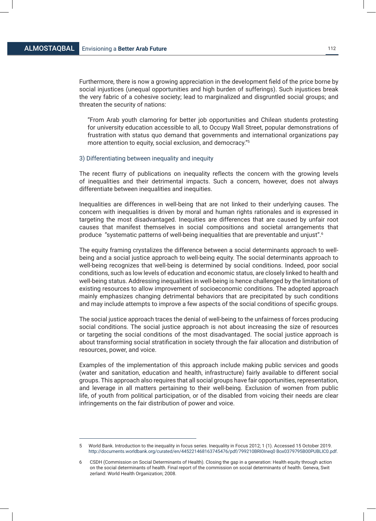Furthermore, there is now a growing appreciation in the development field of the price borne by social injustices (unequal opportunities and high burden of sufferings). Such injustices break the very fabric of a cohesive society; lead to marginalized and disgruntled social groups; and threaten the security of nations:

"From Arab youth clamoring for better job opportunities and Chilean students protesting for university education accessible to all, to Occupy Wall Street, popular demonstrations of frustration with status quo demand that governments and international organizations pay more attention to equity, social exclusion, and democracy."5

# 3) Differentiating between inequality and inequity

The recent flurry of publications on inequality reflects the concern with the growing levels of inequalities and their detrimental impacts. Such a concern, however, does not always differentiate between inequalities and inequities.

Inequalities are differences in well-being that are not linked to their underlying causes. The concern with inequalities is driven by moral and human rights rationales and is expressed in targeting the most disadvantaged. Inequities are differences that are caused by unfair root causes that manifest themselves in social compositions and societal arrangements that produce "systematic patterns of well-being inequalities that are preventable and unjust".6

The equity framing crystalizes the difference between a social determinants approach to wellbeing and a social justice approach to well-being equity. The social determinants approach to well-being recognizes that well-being is determined by social conditions. Indeed, poor social conditions, such as low levels of education and economic status, are closely linked to health and well-being status. Addressing inequalities in well-being is hence challenged by the limitations of existing resources to allow improvement of socioeconomic conditions. The adopted approach mainly emphasizes changing detrimental behaviors that are precipitated by such conditions and may include attempts to improve a few aspects of the social conditions of specific groups.

The social justice approach traces the denial of well-being to the unfairness of forces producing social conditions. The social justice approach is not about increasing the size of resources or targeting the social conditions of the most disadvantaged. The social justice approach is about transforming social stratification in society through the fair allocation and distribution of resources, power, and voice.

Examples of the implementation of this approach include making public services and goods (water and sanitation, education and health, infrastructure) fairly available to different social groups. This approach also requires that all social groups have fair opportunities, representation, and leverage in all matters pertaining to their well-being. Exclusion of women from public life, of youth from political participation, or of the disabled from voicing their needs are clear infringements on the fair distribution of power and voice.

<sup>5</sup> World Bank. Introduction to the inequality in focus series. Inequality in Focus 2012; 1 (1). Accessed 15 October 2019. http://documents.worldbank.org/curated/en/445221468163745476/pdf/799210BRI0Ineq0 Box0379795B00PUBLIC0.pdf.

<sup>6</sup> CSDH (Commission on Social Determinants of Health). Closing the gap in a generation: Health equity through action on the social determinants of health. Final report of the commission on social determinants of health. Geneva, Swit zerland: World Health Organization; 2008.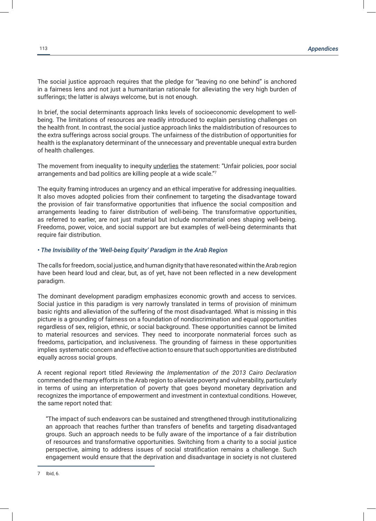The social justice approach requires that the pledge for "leaving no one behind" is anchored in a fairness lens and not just a humanitarian rationale for alleviating the very high burden of sufferings; the latter is always welcome, but is not enough.

In brief, the social determinants approach links levels of socioeconomic development to wellbeing. The limitations of resources are readily introduced to explain persisting challenges on the health front. In contrast, the social justice approach links the maldistribution of resources to the extra sufferings across social groups. The unfairness of the distribution of opportunities for health is the explanatory determinant of the unnecessary and preventable unequal extra burden of health challenges.

The movement from inequality to inequity *underlies* the statement: "Unfair policies, poor social arrangements and bad politics are killing people at a wide scale."7

The equity framing introduces an urgency and an ethical imperative for addressing inequalities. It also moves adopted policies from their confinement to targeting the disadvantage toward the provision of fair transformative opportunities that influence the social composition and arrangements leading to fairer distribution of well-being. The transformative opportunities, as referred to earlier, are not just material but include nonmaterial ones shaping well-being. Freedoms, power, voice, and social support are but examples of well-being determinants that require fair distribution.

### *• The Invisibility of the 'Well-being Equity' Paradigm in the Arab Region*

The calls for freedom, social justice, and human dignity that have resonated within the Arab region have been heard loud and clear, but, as of yet, have not been reflected in a new development paradigm.

The dominant development paradigm emphasizes economic growth and access to services. Social justice in this paradigm is very narrowly translated in terms of provision of minimum basic rights and alleviation of the suffering of the most disadvantaged. What is missing in this picture is a grounding of fairness on a foundation of nondiscrimination and equal opportunities regardless of sex, religion, ethnic, or social background. These opportunities cannot be limited to material resources and services. They need to incorporate nonmaterial forces such as freedoms, participation, and inclusiveness. The grounding of fairness in these opportunities implies systematic concern and effective action to ensure that such opportunities are distributed equally across social groups.

A recent regional report titled *Reviewing the Implementation of the 2013 Cairo Declaration* commended the many efforts in the Arab region to alleviate poverty and vulnerability, particularly in terms of using an interpretation of poverty that goes beyond monetary deprivation and recognizes the importance of empowerment and investment in contextual conditions. However, the same report noted that:

"The impact of such endeavors can be sustained and strengthened through institutionalizing an approach that reaches further than transfers of benefits and targeting disadvantaged groups. Such an approach needs to be fully aware of the importance of a fair distribution of resources and transformative opportunities. Switching from a charity to a social justice perspective, aiming to address issues of social stratification remains a challenge. Such engagement would ensure that the deprivation and disadvantage in society is not clustered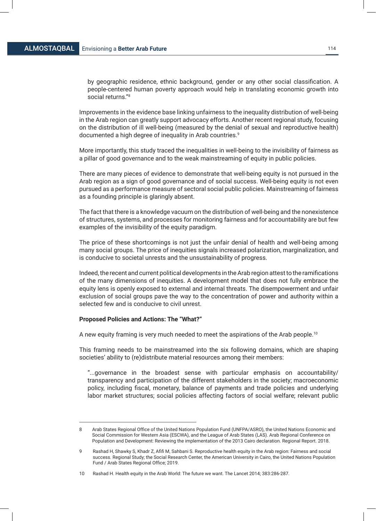by geographic residence, ethnic background, gender or any other social classification. A people-centered human poverty approach would help in translating economic growth into social returns."8

Improvements in the evidence base linking unfairness to the inequality distribution of well-being in the Arab region can greatly support advocacy efforts. Another recent regional study, focusing on the distribution of ill well-being (measured by the denial of sexual and reproductive health) documented a high degree of inequality in Arab countries.<sup>9</sup>

More importantly, this study traced the inequalities in well-being to the invisibility of fairness as a pillar of good governance and to the weak mainstreaming of equity in public policies.

There are many pieces of evidence to demonstrate that well-being equity is not pursued in the Arab region as a sign of good governance and of social success. Well-being equity is not even pursued as a performance measure of sectoral social public policies. Mainstreaming of fairness as a founding principle is glaringly absent.

The fact that there is a knowledge vacuum on the distribution of well-being and the nonexistence of structures, systems, and processes for monitoring fairness and for accountability are but few examples of the invisibility of the equity paradigm.

The price of these shortcomings is not just the unfair denial of health and well-being among many social groups. The price of inequities signals increased polarization, marginalization, and is conducive to societal unrests and the unsustainability of progress.

Indeed, the recent and current political developments in the Arab region attest to the ramifications of the many dimensions of inequities. A development model that does not fully embrace the equity lens is openly exposed to external and internal threats. The disempowerment and unfair exclusion of social groups pave the way to the concentration of power and authority within a selected few and is conducive to civil unrest.

### **Proposed Policies and Actions: The "What?"**

A new equity framing is very much needed to meet the aspirations of the Arab people.10

This framing needs to be mainstreamed into the six following domains, which are shaping societies' ability to (re)distribute material resources among their members:

"...governance in the broadest sense with particular emphasis on accountability/ transparency and participation of the different stakeholders in the society; macroeconomic policy, including fiscal, monetary, balance of payments and trade policies and underlying labor market structures; social policies affecting factors of social welfare; relevant public

<sup>8</sup> Arab States Regional Office of the United Nations Population Fund (UNFPA/ASRO), the United Nations Economic and Social Commission for Western Asia (ESCWA), and the League of Arab States (LAS). Arab Regional Conference on Population and Development: Reviewing the implementation of the 2013 Cairo declaration. Regional Report. 2018.

Rashad H, Shawky S, Khadr Z, Afifi M, Sahbani S. Reproductive health equity in the Arab region: Fairness and social success. Regional Study; the Social Research Center, the American University in Cairo, the United Nations Population Fund / Arab States Regional Office; 2019.

<sup>10</sup> Rashad H. Health equity in the Arab World: The future we want. The Lancet 2014; 383:286-287.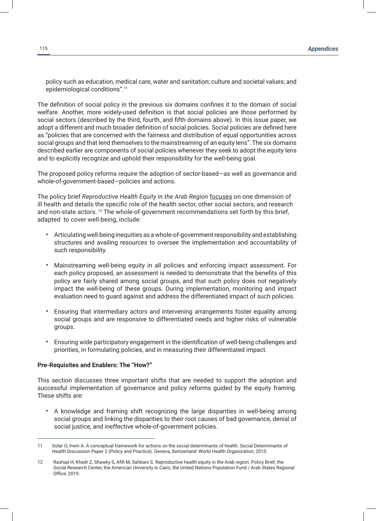policy such as education, medical care, water and sanitation; culture and societal values; and epidemiological conditions".11

The definition of social policy in the previous six domains confines it to the domain of social welfare. Another, more widely-used definition is that social policies are those performed by social sectors (described by the third, fourth, and fifth domains above). In this issue paper, we adopt a different and much broader definition of social policies. Social policies are defined here as "policies that are concerned with the fairness and distribution of equal opportunities across social groups and that lend themselves to the mainstreaming of an equity lens". The six domains described earlier are components of social policies whenever they seek to adopt the equity lens and to explicitly recognize and uphold their responsibility for the well-being goal.

The proposed policy reforms require the adoption of sector-based—as well as governance and whole-of-government-based—policies and actions.

The policy brief *Reproductive Health Equity in the Arab Region* focuses on one dimension of ill health and details the specific role of the health sector, other social sectors, and research and non-state actors.<sup>12</sup> The whole-of-government recommendations set forth by this brief, adapted to cover well-being, include:

- Articulating well-being inequities as a whole-of-government responsibility and establishing structures and availing resources to oversee the implementation and accountability of such responsibility.
- Mainstreaming well-being equity in all policies and enforcing impact assessment. For each policy proposed, an assessment is needed to demonstrate that the benefits of this policy are fairly shared among social groups, and that such policy does not negatively impact the well-being of these groups. During implementation, monitoring and impact evaluation need to guard against and address the differentiated impact of such policies.
- Ensuring that intermediary actors and intervening arrangements foster equality among social groups and are responsive to differentiated needs and higher risks of vulnerable groups.
- Ensuring wide participatory engagement in the identification of well-being challenges and priorities, in formulating policies, and in measuring their differentiated impact.

## **Pre-Requisites and Enablers: The "How?"**

This section discusses three important shifts that are needed to support the adoption and successful implementation of governance and policy reforms guided by the equity framing. These shifts are:

• A knowledge and framing shift recognizing the large disparities in well-being among social groups and linking the disparities to their root causes of bad governance, denial of social justice, and ineffective whole-of-government policies.

<sup>11</sup> Solar O, Irwin A. A conceptual framework for actions on the social determinants of health. Social Determinants of Health Discussion Paper 2 (Policy and Practice). Geneva, Switzerland: World Health Organization; 2010.

<sup>12</sup> Rashad H, Khadr Z, Shawky S, Afifi M, Sahbani S. Reproductive health equity in the Arab region. Policy Brief; the Social Research Center, the American University in Cairo, the United Nations Population Fund / Arab States Regional Office; 2019.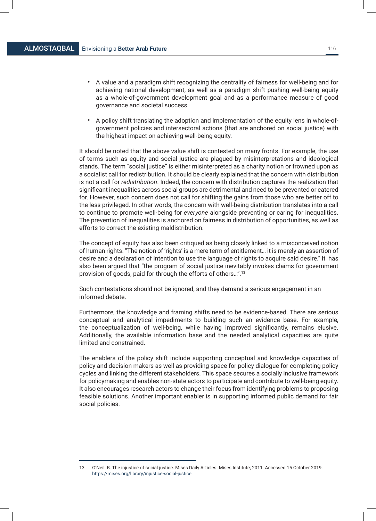- A value and a paradigm shift recognizing the centrality of fairness for well-being and for achieving national development, as well as a paradigm shift pushing well-being equity as a whole-of-government development goal and as a performance measure of good governance and societal success.
- A policy shift translating the adoption and implementation of the equity lens in whole-ofgovernment policies and intersectoral actions (that are anchored on social justice) with the highest impact on achieving well-being equity.

It should be noted that the above value shift is contested on many fronts. For example, the use of terms such as equity and social justice are plagued by misinterpretations and ideological stands. The term "social justice" is either misinterpreted as a charity notion or frowned upon as a socialist call for redistribution. It should be clearly explained that the concern with distribution is not a call for *redistribution*. Indeed, the concern with distribution captures the realization that significant inequalities across social groups are detrimental and need to be prevented or catered for. However, such concern does not call for shifting the gains from those who are better off to the less privileged. In other words, the concern with well-being distribution translates into a call to continue to promote well-being for *everyone* alongside preventing or caring for inequalities. The prevention of inequalities is anchored on fairness in distribution of opportunities, as well as efforts to correct the existing maldistribution.

The concept of equity has also been critiqued as being closely linked to a misconceived notion of human rights: "The notion of 'rights' is a mere term of entitlement… it is merely an assertion of desire and a declaration of intention to use the language of rights to acquire said desire." It has also been argued that "the program of social justice inevitably invokes claims for government provision of goods, paid for through the efforts of others…".13

Such contestations should not be ignored, and they demand a serious engagement in an informed debate.

Furthermore, the knowledge and framing shifts need to be evidence-based. There are serious conceptual and analytical impediments to building such an evidence base. For example, the conceptualization of well-being, while having improved significantly, remains elusive. Additionally, the available information base and the needed analytical capacities are quite limited and constrained.

The enablers of the policy shift include supporting conceptual and knowledge capacities of policy and decision makers as well as providing space for policy dialogue for completing policy cycles and linking the different stakeholders. This space secures a socially inclusive framework for policymaking and enables non-state actors to participate and contribute to well-being equity. It also encourages research actors to change their focus from identifying problems to proposing feasible solutions. Another important enabler is in supporting informed public demand for fair social policies.

<sup>13</sup> O'Neill B. The injustice of social justice. Mises Daily Articles. Mises Institute; 2011. Accessed 15 October 2019. https://mises.org/library/injustice-social-justice.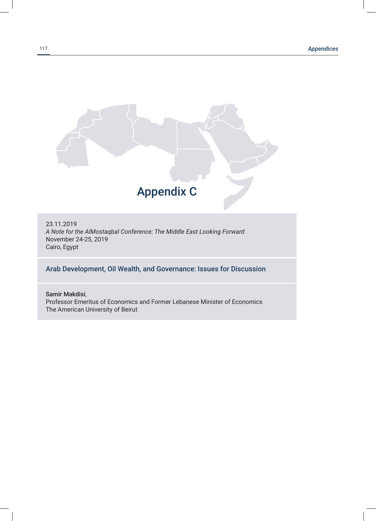

23.11.2019 *A Note for the AlMostaqbal Conference: The Middle East Looking Forward* November 24-25, 2019 Cairo, Egypt

# Arab Development, Oil Wealth, and Governance: Issues for Discussion

Samir Makdisi, Professor Emeritus of Economics and Former Lebanese Minister of Economics The American University of Beirut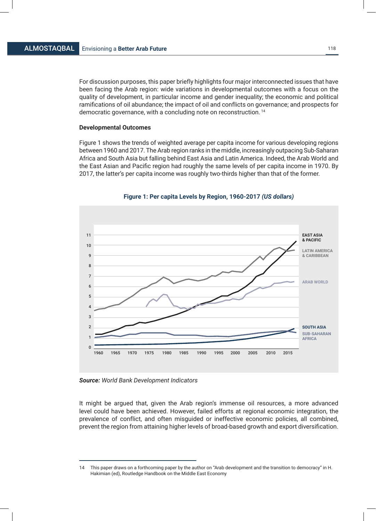For discussion purposes, this paper briefly highlights four major interconnected issues that have been facing the Arab region: wide variations in developmental outcomes with a focus on the quality of development, in particular income and gender inequality; the economic and political ramifications of oil abundance; the impact of oil and conflicts on governance; and prospects for democratic governance, with a concluding note on reconstruction. <sup>14</sup>

### **Developmental Outcomes**

Figure 1 shows the trends of weighted average per capita income for various developing regions between 1960 and 2017. The Arab region ranks in the middle, increasingly outpacing Sub-Saharan Africa and South Asia but falling behind East Asia and Latin America. Indeed, the Arab World and the East Asian and Pacific region had roughly the same levels of per capita income in 1970. By 2017, the latter's per capita income was roughly two-thirds higher than that of the former.



### **Figure 1: Per capita Levels by Region, 1960-2017** *(US dollars)*

*Source: World Bank Development Indicators*

It might be argued that, given the Arab region's immense oil resources, a more advanced level could have been achieved. However, failed efforts at regional economic integration, the prevalence of conflict, and often misguided or ineffective economic policies, all combined, prevent the region from attaining higher levels of broad-based growth and export diversification.

<sup>14</sup> This paper draws on a forthcoming paper by the author on "Arab development and the transition to democracy" in H. Hakimian (ed), Routledge Handbook on the Middle East Economy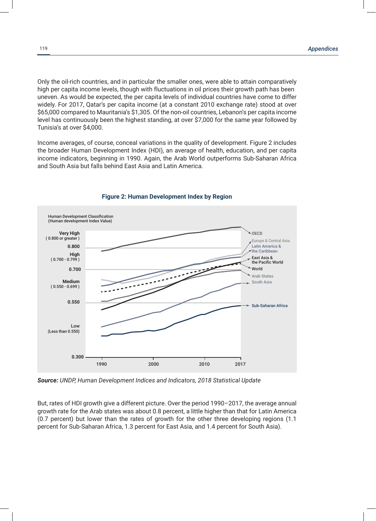Only the oil-rich countries, and in particular the smaller ones, were able to attain comparatively high per capita income levels, though with fluctuations in oil prices their growth path has been uneven. As would be expected, the per capita levels of individual countries have come to differ widely. For 2017, Qatar's per capita income (at a constant 2010 exchange rate) stood at over \$65,000 compared to Mauritania's \$1,305. Of the non-oil countries, Lebanon's per capita income level has continuously been the highest standing, at over \$7,000 for the same year followed by Tunisia's at over \$4,000.

Income averages, of course, conceal variations in the quality of development. Figure 2 includes the broader Human Development Index (HDI), an average of health, education, and per capita income indicators, beginning in 1990. Again, the Arab World outperforms Sub-Saharan Africa and South Asia but falls behind East Asia and Latin America.



### **Figure 2: Human Development Index by Region**

*Source: UNDP, Human Development Indices and Indicators, 2018 Statistical Update*

But, rates of HDI growth give a different picture. Over the period 1990–2017, the average annual growth rate for the Arab states was about 0.8 percent, a little higher than that for Latin America (0.7 percent) but lower than the rates of growth for the other three developing regions (1.1 percent for Sub-Saharan Africa, 1.3 percent for East Asia, and 1.4 percent for South Asia).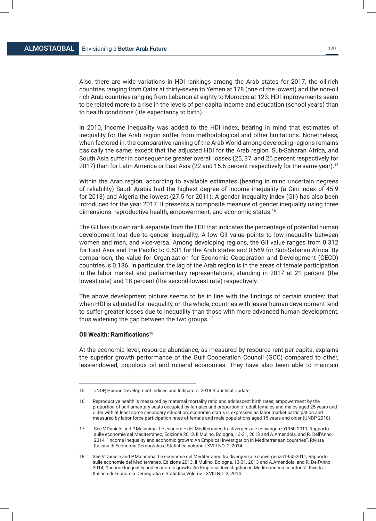Also, there are wide variations in HDI rankings among the Arab states for 2017, the oil-rich countries ranging from Qatar at thirty-seven to Yemen at 178 (one of the lowest) and the non-oil rich Arab countries ranging from Lebanon at eighty to Morocco at 123. HDI improvements seem to be related more to a rise in the levels of per capita income and education (school years) than to health conditions (life expectancy to birth).

In 2010, income inequality was added to the HDI index, bearing in mind that estimates of inequality for the Arab region suffer from methodological and other limitations. Nonetheless, when factored in, the comparative ranking of the Arab World among developing regions remains basically the same; except that the adjusted HDI for the Arab region, Sub-Saharan Africa, and South Asia suffer in consequence greater overall losses (25, 37, and 26 percent respectively for 2017) than for Latin America or East Asia (22 and 15.6 percent respectively for the same year).<sup>15</sup>

Within the Arab region, according to available estimates (bearing in mind uncertain degrees of reliability) Saudi Arabia had the highest degree of income inequality (a Gini index of 45.9 for 2013) and Algeria the lowest (27.5 for 2011). A gender inequality index (GII) has also been introduced for the year 2017. It presents a composite measure of gender inequality using three dimensions: reproductive health, empowerment, and economic status.16

The GII has its own rank separate from the HDI that indicates the percentage of potential human development lost due to gender inequality. A low GII value points to low inequality between women and men, and vice-versa. Among developing regions, the GII value ranges from 0.312 for East Asia and the Pacific to 0.531 for the Arab states and 0.569 for Sub-Saharan Africa. By comparison, the value for Organization for Economic Cooperation and Development (OECD) countries is 0.186. In particular, the lag of the Arab region is in the areas of female participation in the labor market and parliamentary representations, standing in 2017 at 21 percent (the lowest rate) and 18 percent (the second-lowest rate) respectively.

The above development picture seems to be in line with the findings of certain studies: that when HDI is adjusted for inequality, on the whole, countries with lesser human development tend to suffer greater losses due to inequality than those with more advanced human development, thus widening the gap between the two groups.17

# **Oil Wealth: Ramifications**<sup>18</sup>

At the economic level, resource abundance, as measured by resource rent per capita, explains the superior growth performance of the Gulf Cooperation Council (GCC) compared to other, less-endowed, populous oil and mineral economies. They have also been able to maintain

<sup>15</sup> UNDP, Human Development Indices and Indicators, 2018 Statistical Update

<sup>16</sup> Reproductive health is measured by maternal mortality ratio and adolescent birth rates; empowerment by the proportion of parliamentary seats occupied by females and proportion of adult females and males aged 25 years and older with at least some secondary education; economic status is expressed as labor market participation and measured by labor force participation rates of female and male populations aged 15 years and older (UNDP 2018).

<sup>17</sup> See V.Daniele and P.Malanima. Le economie del Mediterraneo fra divergenza e convergenza1950-2011, Rapporto sulle economie del Mediterraneo, Edizione 2013, Il Mulino, Bologna, 13-31, 2013 and A.Amendola, and R. Dell'Anno, 2014, "Income Inequality and economic growth: An Empirical Investigation in Mediterranean countries", Rivista Italiana di Economia Demografia e Statistica,Volume LXVIII NO. 2, 2014.

<sup>18</sup> See V.Daniele and P.Malanima. Le economie del Mediterraneo fra divergenza e convergenza1950-2011, Rapporto sulle economie del Mediterraneo, Edizione 2013, Il Mulino, Bologna, 13-31, 2013 and A.Amendola, and R. Dell'Anno, 2014, "Income Inequality and economic growth: An Empirical Investigation in Mediterranean countries", Rivista Italiana di Economia Demografia e Statistica,Volume LXVIII NO. 2, 2014.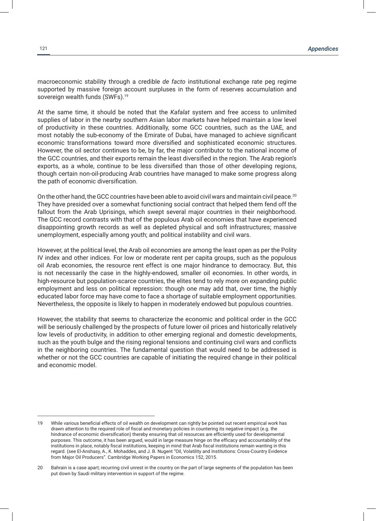macroeconomic stability through a credible *de facto* institutional exchange rate peg regime supported by massive foreign account surpluses in the form of reserves accumulation and sovereign wealth funds (SWFs).<sup>19</sup>

At the same time, it should be noted that the *Kafalat* system and free access to unlimited supplies of labor in the nearby southern Asian labor markets have helped maintain a low level of productivity in these countries. Additionally, some GCC countries, such as the UAE, and most notably the sub-economy of the Emirate of Dubai, have managed to achieve significant economic transformations toward more diversified and sophisticated economic structures. However, the oil sector continues to be, by far, the major contributor to the national income of the GCC countries, and their exports remain the least diversified in the region. The Arab region's exports, as a whole, continue to be less diversified than those of other developing regions, though certain non-oil-producing Arab countries have managed to make some progress along the path of economic diversification.

On the other hand, the GCC countries have been able to avoid civil wars and maintain civil peace.<sup>20</sup> They have presided over a somewhat functioning social contract that helped them fend off the fallout from the Arab Uprisings, which swept several major countries in their neighborhood. The GCC record contrasts with that of the populous Arab oil economies that have experienced disappointing growth records as well as depleted physical and soft infrastructures; massive unemployment, especially among youth; and political instability and civil wars.

However, at the political level, the Arab oil economies are among the least open as per the Polity IV index and other indices. For low or moderate rent per capita groups, such as the populous oil Arab economies, the resource rent effect is one major hindrance to democracy. But, this is not necessarily the case in the highly-endowed, smaller oil economies. In other words, in high-resource but population-scarce countries, the elites tend to rely more on expanding public employment and less on political repression: though one may add that, over time, the highly educated labor force may have come to face a shortage of suitable employment opportunities. Nevertheless, the opposite is likely to happen in moderately endowed but populous countries.

However, the stability that seems to characterize the economic and political order in the GCC will be seriously challenged by the prospects of future lower oil prices and historically relatively low levels of productivity, in addition to other emerging regional and domestic developments, such as the youth bulge and the rising regional tensions and continuing civil wars and conflicts in the neighboring countries. The fundamental question that would need to be addressed is whether or not the GCC countries are capable of initiating the required change in their political and economic model.

<sup>19</sup> While various beneficial effects of oil wealth on development can rightly be pointed out recent empirical work has drawn attention to the required role of fiscal and monetary policies in countering its negative impact (e.g. the hindrance of economic diversification) thereby ensuring that oil resources are efficiently used for developmental purposes. This outcome, it has been argued, would in large measure hinge on the efficacy and accountability of the institutions in place, notably fiscal institutions, keeping in mind that Arab fiscal institutions remain wanting in this regard. (see El-Anshasy, A., K. Mohaddes, and J. B. Nugent "Oil, Volatility and Institutions: Cross-Country Evidence from Major Oil Producers". Cambridge Working Papers in Economics 152, 2015.

<sup>20</sup> Bahrain is a case apart; recurring civil unrest in the country on the part of large segments of the population has been put down by Saudi military intervention in support of the regime.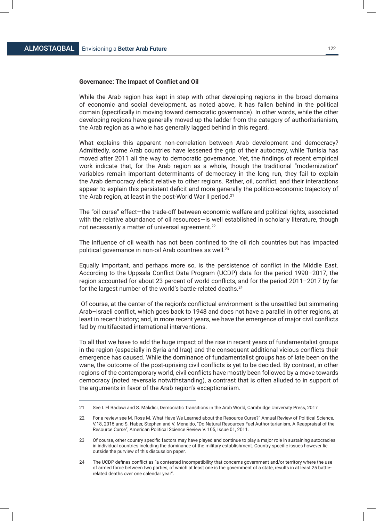### **Governance: The Impact of Conflict and Oil**

While the Arab region has kept in step with other developing regions in the broad domains of economic and social development, as noted above, it has fallen behind in the political domain (specifically in moving toward democratic governance). In other words, while the other developing regions have generally moved up the ladder from the category of authoritarianism, the Arab region as a whole has generally lagged behind in this regard.

What explains this apparent non-correlation between Arab development and democracy? Admittedly, some Arab countries have lessened the grip of their autocracy, while Tunisia has moved after 2011 all the way to democratic governance. Yet, the findings of recent empirical work indicate that, for the Arab region as a whole, though the traditional "modernization" variables remain important determinants of democracy in the long run, they fail to explain the Arab democracy deficit relative to other regions. Rather, oil, conflict, and their interactions appear to explain this persistent deficit and more generally the politico-economic trajectory of the Arab region, at least in the post-World War II period.<sup>21</sup>

The "oil curse" effect—the trade-off between economic welfare and political rights, associated with the relative abundance of oil resources-is well established in scholarly literature, though not necessarily a matter of universal agreement.22

The influence of oil wealth has not been confined to the oil rich countries but has impacted political governance in non-oil Arab countries as well.<sup>23</sup>

Equally important, and perhaps more so, is the persistence of conflict in the Middle East. According to the Uppsala Conflict Data Program (UCDP) data for the period 1990–2017, the region accounted for about 23 percent of world conflicts, and for the period 2011–2017 by far for the largest number of the world's battle-related deaths.24

 Of course, at the center of the region's conflictual environment is the unsettled but simmering Arab–Israeli conflict, which goes back to 1948 and does not have a parallel in other regions, at least in recent history; and, in more recent years, we have the emergence of major civil conflicts fed by multifaceted international interventions.

To all that we have to add the huge impact of the rise in recent years of fundamentalist groups in the region (especially in Syria and Iraq) and the consequent additional vicious conflicts their emergence has caused. While the dominance of fundamentalist groups has of late been on the wane, the outcome of the post-uprising civil conflicts is yet to be decided. By contrast, in other regions of the contemporary world, civil conflicts have mostly been followed by a move towards democracy (noted reversals notwithstanding), a contrast that is often alluded to in support of the arguments in favor of the Arab region's exceptionalism.

<sup>21</sup> See I. El Badawi and S. Makdisi, Democratic Transitions in the Arab World, Cambridge University Press, 2017

<sup>22</sup> For a review see M. Ross M. What Have We Learned about the Resource Curse?" Annual Review of Political Science, V.18, 2015 and S. Haber, Stephen and V. Menaldo, "Do Natural Resources Fuel Authoritarianism, A Reappraisal of the Resource Curse", American Political Science Review V. 105, Issue 01, 2011.

<sup>23</sup> Of course, other country specific factors may have played and continue to play a major role in sustaining autocracies in individual countries including the dominance of the military establishment. Country specific issues however lie outside the purview of this discussion paper.

<sup>24</sup> The UCDP defines conflict as "a contested incompatibility that concerns government and/or territory where the use of armed force between two parties, of which at least one is the government of a state, results in at least 25 battlerelated deaths over one calendar year".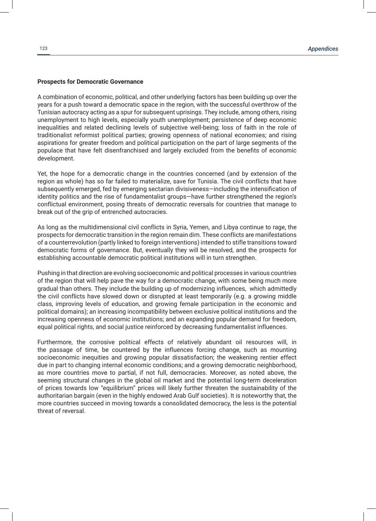### **Prospects for Democratic Governance**

A combination of economic, political, and other underlying factors has been building up over the years for a push toward a democratic space in the region, with the successful overthrow of the Tunisian autocracy acting as a spur for subsequent uprisings. They include, among others, rising unemployment to high levels, especially youth unemployment; persistence of deep economic inequalities and related declining levels of subjective well-being; loss of faith in the role of traditionalist reformist political parties; growing openness of national economies; and rising aspirations for greater freedom and political participation on the part of large segments of the populace that have felt disenfranchised and largely excluded from the benefits of economic development.

Yet, the hope for a democratic change in the countries concerned (and by extension of the region as whole) has so far failed to materialize, save for Tunisia. The civil conflicts that have subsequently emerged, fed by emerging sectarian divisiveness—including the intensification of identity politics and the rise of fundamentalist groups—have further strengthened the region's conflictual environment, posing threats of democratic reversals for countries that manage to break out of the grip of entrenched autocracies.

As long as the multidimensional civil conflicts in Syria, Yemen, and Libya continue to rage, the prospects for democratic transition in the region remain dim. These conflicts are manifestations of a counterrevolution (partly linked to foreign interventions) intended to stifle transitions toward democratic forms of governance. But, eventually they will be resolved, and the prospects for establishing accountable democratic political institutions will in turn strengthen.

Pushing in that direction are evolving socioeconomic and political processes in various countries of the region that will help pave the way for a democratic change, with some being much more gradual than others. They include the building up of modernizing influences, which admittedly the civil conflicts have slowed down or disrupted at least temporarily (e.g. a growing middle class, improving levels of education, and growing female participation in the economic and political domains); an increasing incompatibility between exclusive political institutions and the increasing openness of economic institutions; and an expanding popular demand for freedom, equal political rights, and social justice reinforced by decreasing fundamentalist influences.

Furthermore, the corrosive political effects of relatively abundant oil resources will, in the passage of time, be countered by the influences forcing change, such as mounting socioeconomic inequities and growing popular dissatisfaction; the weakening rentier effect due in part to changing internal economic conditions; and a growing democratic neighborhood, as more countries move to partial, if not full, democracies. Moreover, as noted above, the seeming structural changes in the global oil market and the potential long-term deceleration of prices towards low "equilibrium" prices will likely further threaten the sustainability of the authoritarian bargain (even in the highly endowed Arab Gulf societies). It is noteworthy that, the more countries succeed in moving towards a consolidated democracy, the less is the potential threat of reversal.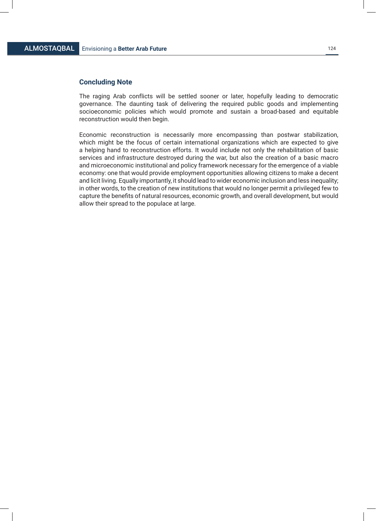# **Concluding Note**

The raging Arab conflicts will be settled sooner or later, hopefully leading to democratic governance. The daunting task of delivering the required public goods and implementing socioeconomic policies which would promote and sustain a broad-based and equitable reconstruction would then begin.

Economic reconstruction is necessarily more encompassing than postwar stabilization, which might be the focus of certain international organizations which are expected to give a helping hand to reconstruction efforts. It would include not only the rehabilitation of basic services and infrastructure destroyed during the war, but also the creation of a basic macro and microeconomic institutional and policy framework necessary for the emergence of a viable economy: one that would provide employment opportunities allowing citizens to make a decent and licit living. Equally importantly, it should lead to wider economic inclusion and less inequality; in other words, to the creation of new institutions that would no longer permit a privileged few to capture the benefits of natural resources, economic growth, and overall development, but would allow their spread to the populace at large.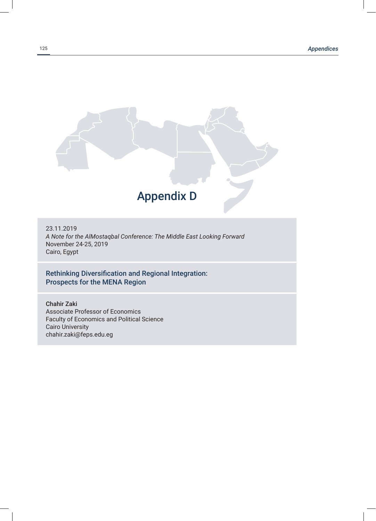

23.11.2019 *A Note for the AlMostaqbal Conference: The Middle East Looking Forward* November 24-25, 2019 Cairo, Egypt

# Rethinking Diversification and Regional Integration: Prospects for the MENA Region

Chahir Zaki Associate Professor of Economics Faculty of Economics and Political Science Cairo University chahir.zaki@feps.edu.eg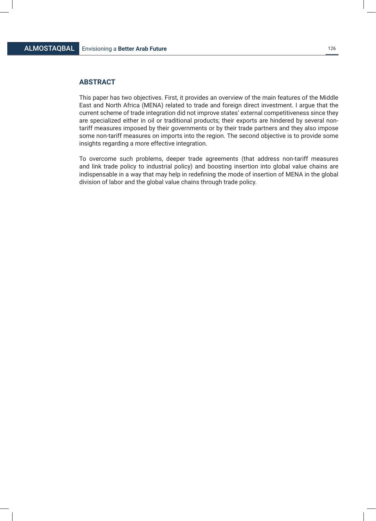# **ABSTRACT**

This paper has two objectives. First, it provides an overview of the main features of the Middle East and North Africa (MENA) related to trade and foreign direct investment. I argue that the current scheme of trade integration did not improve states' external competitiveness since they are specialized either in oil or traditional products; their exports are hindered by several nontariff measures imposed by their governments or by their trade partners and they also impose some non-tariff measures on imports into the region. The second objective is to provide some insights regarding a more effective integration.

To overcome such problems, deeper trade agreements (that address non-tariff measures and link trade policy to industrial policy) and boosting insertion into global value chains are indispensable in a way that may help in redefining the mode of insertion of MENA in the global division of labor and the global value chains through trade policy.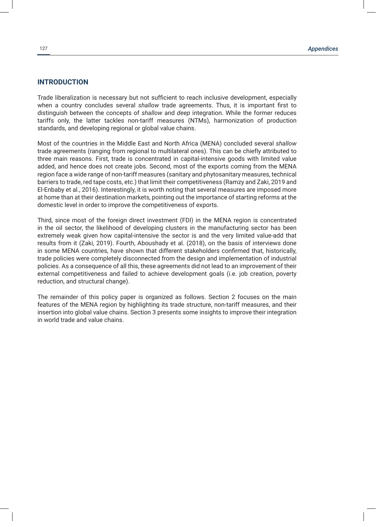# **INTRODUCTION**

Trade liberalization is necessary but not sufficient to reach inclusive development, especially when a country concludes several *shallow* trade agreements. Thus, it is important first to distinguish between the concepts of *shallow* and *deep* integration. While the former reduces tariffs only, the latter tackles non-tariff measures (NTMs), harmonization of production standards, and developing regional or global value chains.

Most of the countries in the Middle East and North Africa (MENA) concluded several *shallow*  trade agreements (ranging from regional to multilateral ones). This can be chiefly attributed to three main reasons. First, trade is concentrated in capital-intensive goods with limited value added, and hence does not create jobs. Second, most of the exports coming from the MENA region face a wide range of non-tariff measures (sanitary and phytosanitary measures, technical barriers to trade, red tape costs, etc.) that limit their competitiveness (Ramzy and Zaki, 2019 and El-Enbaby et al., 2016). Interestingly, it is worth noting that several measures are imposed more at home than at their destination markets, pointing out the importance of starting reforms at the domestic level in order to improve the competitiveness of exports.

Third, since most of the foreign direct investment (FDI) in the MENA region is concentrated in the oil sector, the likelihood of developing clusters in the manufacturing sector has been extremely weak given how capital-intensive the sector is and the very limited value-add that results from it (Zaki, 2019). Fourth, Aboushady et al. (2018), on the basis of interviews done in some MENA countries, have shown that different stakeholders confirmed that, historically, trade policies were completely disconnected from the design and implementation of industrial policies. As a consequence of all this, these agreements did not lead to an improvement of their external competitiveness and failed to achieve development goals (i.e. job creation, poverty reduction, and structural change).

The remainder of this policy paper is organized as follows. Section 2 focuses on the main features of the MENA region by highlighting its trade structure, non-tariff measures, and their insertion into global value chains. Section 3 presents some insights to improve their integration in world trade and value chains.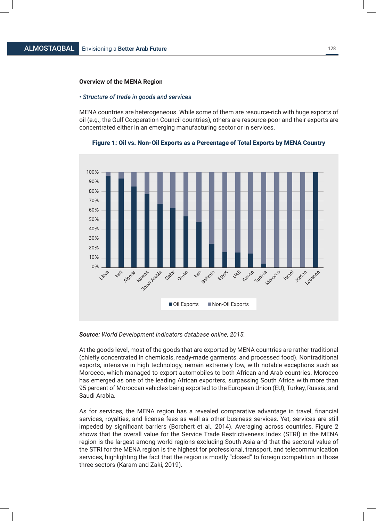### **Overview of the MENA Region**

#### *• Structure of trade in goods and services*

MENA countries are heterogeneous. While some of them are resource-rich with huge exports of oil (e.g., the Gulf Cooperation Council countries), others are resource-poor and their exports are concentrated either in an emerging manufacturing sector or in services.



Figure 1: Oil vs. Non-Oil Exports as a Percentage of Total Exports by MENA Country

*Source: World Development Indicators database online, 2015.*

At the goods level, most of the goods that are exported by MENA countries are rather traditional (chiefly concentrated in chemicals, ready-made garments, and processed food). Nontraditional exports, intensive in high technology, remain extremely low, with notable exceptions such as Morocco, which managed to export automobiles to both African and Arab countries. Morocco has emerged as one of the leading African exporters, surpassing South Africa with more than 95 percent of Moroccan vehicles being exported to the European Union (EU), Turkey, Russia, and Saudi Arabia.

As for services, the MENA region has a revealed comparative advantage in travel, financial services, royalties, and license fees as well as other business services. Yet, services are still impeded by significant barriers (Borchert et al., 2014). Averaging across countries, Figure 2 shows that the overall value for the Service Trade Restrictiveness Index (STRI) in the MENA region is the largest among world regions excluding South Asia and that the sectoral value of the STRI for the MENA region is the highest for professional, transport, and telecommunication services, highlighting the fact that the region is mostly "closed" to foreign competition in those three sectors (Karam and Zaki, 2019).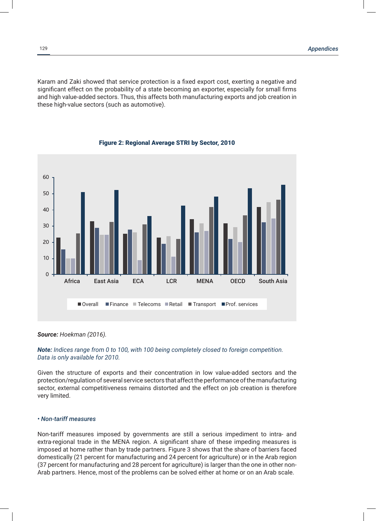Karam and Zaki showed that service protection is a fixed export cost, exerting a negative and significant effect on the probability of a state becoming an exporter, especially for small firms and high value-added sectors. Thus, this affects both manufacturing exports and job creation in these high-value sectors (such as automotive).



### Figure 2: Regional Average STRI by Sector, 2010

*Source: Hoekman (2016).*

## *Note: Indices range from 0 to 100, with 100 being completely closed to foreign competition. Data is only available for 2010.*

Given the structure of exports and their concentration in low value-added sectors and the protection/regulation of several service sectors that affect the performance of the manufacturing sector, external competitiveness remains distorted and the effect on job creation is therefore very limited.

# *• Non-tariff measures*

Non-tariff measures imposed by governments are still a serious impediment to intra- and extra-regional trade in the MENA region. A significant share of these impeding measures is imposed at home rather than by trade partners. Figure 3 shows that the share of barriers faced domestically (21 percent for manufacturing and 24 percent for agriculture) or in the Arab region (37 percent for manufacturing and 28 percent for agriculture) is larger than the one in other non-Arab partners. Hence, most of the problems can be solved either at home or on an Arab scale.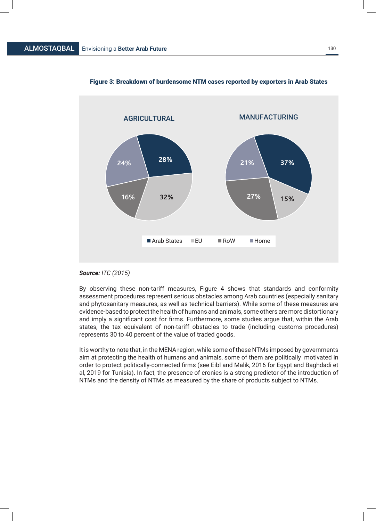

## Figure 3: Breakdown of burdensome NTM cases reported by exporters in Arab States

## *Source: ITC (2015)*

By observing these non-tariff measures, Figure 4 shows that standards and conformity assessment procedures represent serious obstacles among Arab countries (especially sanitary and phytosanitary measures, as well as technical barriers). While some of these measures are evidence-based to protect the health of humans and animals, some others are more distortionary and imply a significant cost for firms. Furthermore, some studies argue that, within the Arab states, the tax equivalent of non-tariff obstacles to trade (including customs procedures) represents 30 to 40 percent of the value of traded goods.

It is worthy to note that, in the MENA region, while some of these NTMs imposed by governments aim at protecting the health of humans and animals, some of them are politically motivated in order to protect politically-connected firms (see Eibl and Malik, 2016 for Egypt and Baghdadi et al, 2019 for Tunisia). In fact, the presence of cronies is a strong predictor of the introduction of NTMs and the density of NTMs as measured by the share of products subject to NTMs.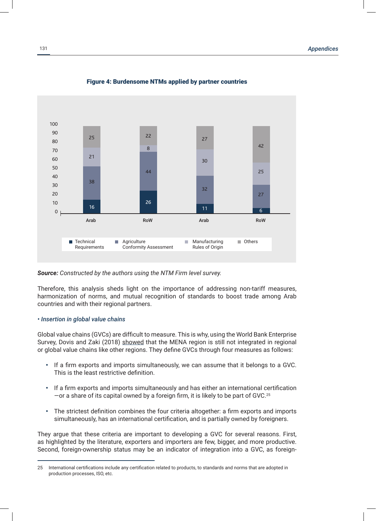

# Figure 4: Burdensome NTMs applied by partner countries

*Source: Constructed by the authors using the NTM Firm level survey.*

Therefore, this analysis sheds light on the importance of addressing non-tariff measures, harmonization of norms, and mutual recognition of standards to boost trade among Arab countries and with their regional partners.

### *• Insertion in global value chains*

Global value chains (GVCs) are difficult to measure. This is why, using the World Bank Enterprise Survey, Dovis and Zaki (2018) showed that the MENA region is still not integrated in regional or global value chains like other regions. They define GVCs through four measures as follows:

- If a firm exports and imports simultaneously, we can assume that it belongs to a GVC. This is the least restrictive definition.
- If a firm exports and imports simultaneously and has either an international certification  $-$ or a share of its capital owned by a foreign firm, it is likely to be part of GVC.<sup>25</sup>
- The strictest definition combines the four criteria altogether: a firm exports and imports simultaneously, has an international certification, and is partially owned by foreigners.

They argue that these criteria are important to developing a GVC for several reasons. First, as highlighted by the literature, exporters and importers are few, bigger, and more productive. Second, foreign-ownership status may be an indicator of integration into a GVC, as foreign-

<sup>25</sup> International certifications include any certification related to products, to standards and norms that are adopted in production processes, ISO, etc.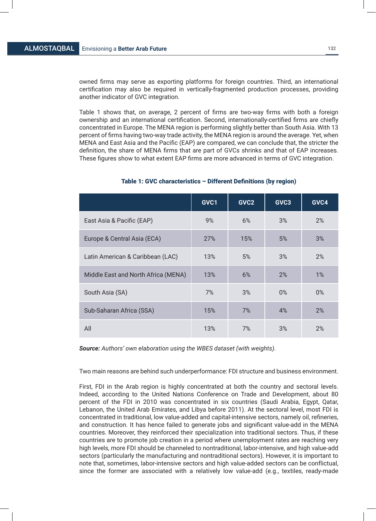owned firms may serve as exporting platforms for foreign countries. Third, an international certification may also be required in vertically-fragmented production processes, providing another indicator of GVC integration.

Table 1 shows that, on average, 2 percent of firms are two-way firms with both a foreign ownership and an international certification. Second, internationally-certified firms are chiefly concentrated in Europe. The MENA region is performing slightly better than South Asia. With 13 percent of firms having two-way trade activity, the MENA region is around the average. Yet, when MENA and East Asia and the Pacific (EAP) are compared, we can conclude that, the stricter the definition, the share of MENA firms that are part of GVCs shrinks and that of EAP increases. These figures show to what extent EAP firms are more advanced in terms of GVC integration.

|                                     | GVC1 | GVC <sub>2</sub> | GVC3  | GVC4  |
|-------------------------------------|------|------------------|-------|-------|
| East Asia & Pacific (EAP)           | 9%   | 6%               | 3%    | 2%    |
| Europe & Central Asia (ECA)         | 27%  | 15%              | 5%    | 3%    |
| Latin American & Caribbean (LAC)    | 13%  | 5%               | 3%    | 2%    |
| Middle East and North Africa (MENA) | 13%  | 6%               | 2%    | 1%    |
| South Asia (SA)                     | 7%   | 3%               | $0\%$ | $0\%$ |
| Sub-Saharan Africa (SSA)            | 15%  | 7%               | 4%    | 2%    |
| All                                 | 13%  | 7%               | 3%    | 2%    |

# Table 1: GVC characteristics – Different Definitions (by region)

*Source: Authors' own elaboration using the WBES dataset (with weights).*

Two main reasons are behind such underperformance: FDI structure and business environment.

First, FDI in the Arab region is highly concentrated at both the country and sectoral levels. Indeed, according to the United Nations Conference on Trade and Development, about 80 percent of the FDI in 2010 was concentrated in six countries (Saudi Arabia, Egypt, Qatar, Lebanon, the United Arab Emirates, and Libya before 2011). At the sectoral level, most FDI is concentrated in traditional, low value-added and capital-intensive sectors, namely oil, refineries, and construction. It has hence failed to generate jobs and significant value-add in the MENA countries. Moreover, they reinforced their specialization into traditional sectors. Thus, if these countries are to promote job creation in a period where unemployment rates are reaching very high levels, more FDI should be channeled to nontraditional, labor-intensive, and high value-add sectors (particularly the manufacturing and nontraditional sectors). However, it is important to note that, sometimes, labor-intensive sectors and high value-added sectors can be conflictual, since the former are associated with a relatively low value-add (e.g., textiles, ready-made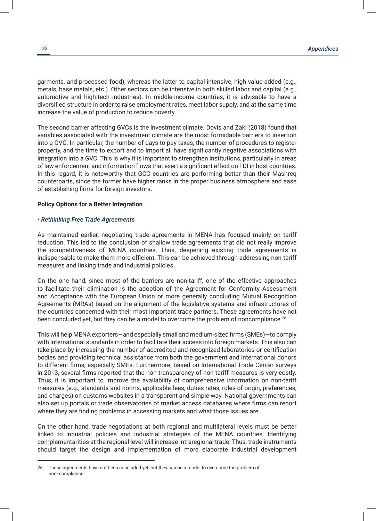garments, and processed food), whereas the latter to capital-intensive, high value-added (e.g., metals, base metals, etc.). Other sectors can be intensive in both skilled labor and capital (e.g., automotive and high-tech industries). In middle-income countries, it is advisable to have a diversified structure in order to raise employment rates, meet labor supply, and at the same time increase the value of production to reduce poverty.

The second barrier affecting GVCs is the investment climate. Dovis and Zaki (2018) found that variables associated with the investment climate are the most formidable barriers to insertion into a GVC. In particular, the number of days to pay taxes, the number of procedures to register property, and the time to export and to import all have significantly negative associations with integration into a GVC. This is why it is important to strengthen institutions, particularly in areas of law enforcement and information flows that exert a significant effect on FDI in host countries. In this regard, it is noteworthy that GCC countries are performing better than their Mashreq counterparts, since the former have higher ranks in the proper business atmosphere and ease of establishing firms for foreign investors.

### **Policy Options for a Better Integration**

#### *• Rethinking Free Trade Agreements*

As maintained earlier, negotiating trade agreements in MENA has focused mainly on tariff reduction. This led to the conclusion of shallow trade agreements that did not really improve the competitiveness of MENA countries. Thus, deepening existing trade agreements is indispensable to make them more efficient. This can be achieved through addressing non-tariff measures and linking trade and industrial policies.

On the one hand, since most of the barriers are non-tariff, one of the effective approaches to facilitate their elimination is the adoption of the Agreement for Conformity Assessment and Acceptance with the European Union or more generally concluding Mutual Recognition Agreements (MRAs) based on the alignment of the legislative systems and infrastructures of the countries concerned with their most important trade partners. These agreements have not been concluded yet, but they can be a model to overcome the problem of noncompliance.<sup>26</sup>

This will help MENA exporters—and especially small and medium-sized firms (SMEs)—to comply with international standards in order to facilitate their access into foreign markets. This also can take place by increasing the number of accredited and recognized laboratories or certification bodies and providing technical assistance from both the government and international donors to different firms, especially SMEs. Furthermore, based on International Trade Center surveys in 2013, several firms reported that the non-transparency of non-tariff measures is very costly. Thus, it is important to improve the availability of comprehensive information on non-tariff measures (e.g., standards and norms, applicable fees, duties rates, rules of origin, preferences, and charges) on customs websites in a transparent and simple way. National governments can also set up portals or trade observatories of market access databases where firms can report where they are finding problems in accessing markets and what those issues are.

On the other hand, trade negotiations at both regional and multilateral levels must be better linked to industrial policies and industrial strategies of the MENA countries. Identifying complementarities at the regional level will increase intraregional trade. Thus, trade instruments should target the design and implementation of more elaborate industrial development

<sup>26</sup> These agreements have not been concluded yet, but they can be a model to overcome the problem of non- compliance.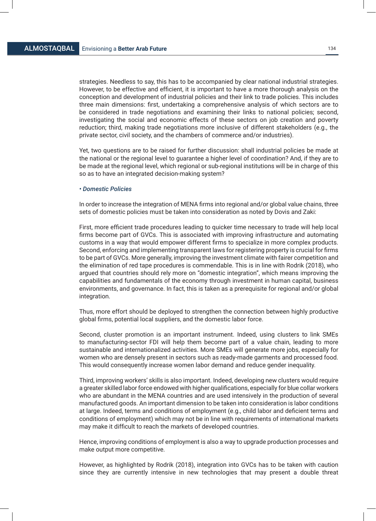strategies. Needless to say, this has to be accompanied by clear national industrial strategies. However, to be effective and efficient, it is important to have a more thorough analysis on the conception and development of industrial policies and their link to trade policies. This includes three main dimensions: first, undertaking a comprehensive analysis of which sectors are to be considered in trade negotiations and examining their links to national policies; second, investigating the social and economic effects of these sectors on job creation and poverty reduction; third, making trade negotiations more inclusive of different stakeholders (e.g., the private sector, civil society, and the chambers of commerce and/or industries).

Yet, two questions are to be raised for further discussion: shall industrial policies be made at the national or the regional level to guarantee a higher level of coordination? And, if they are to be made at the regional level, which regional or sub-regional institutions will be in charge of this so as to have an integrated decision-making system?

### *• Domestic Policies*

In order to increase the integration of MENA firms into regional and/or global value chains, three sets of domestic policies must be taken into consideration as noted by Dovis and Zaki:

First, more efficient trade procedures leading to quicker time necessary to trade will help local firms become part of GVCs. This is associated with improving infrastructure and automating customs in a way that would empower different firms to specialize in more complex products. Second, enforcing and implementing transparent laws for registering property is crucial for firms to be part of GVCs. More generally, improving the investment climate with fairer competition and the elimination of red tape procedures is commendable. This is in line with Rodrik (2018), who argued that countries should rely more on "domestic integration", which means improving the capabilities and fundamentals of the economy through investment in human capital, business environments, and governance. In fact, this is taken as a prerequisite for regional and/or global integration.

Thus, more effort should be deployed to strengthen the connection between highly productive global firms, potential local suppliers, and the domestic labor force.

Second, cluster promotion is an important instrument. Indeed, using clusters to link SMEs to manufacturing-sector FDI will help them become part of a value chain, leading to more sustainable and internationalized activities. More SMEs will generate more jobs, especially for women who are densely present in sectors such as ready-made garments and processed food. This would consequently increase women labor demand and reduce gender inequality.

Third, improving workers' skills is also important. Indeed, developing new clusters would require a greater skilled labor force endowed with higher qualifications, especially for blue collar workers who are abundant in the MENA countries and are used intensively in the production of several manufactured goods. An important dimension to be taken into consideration is labor conditions at large. Indeed, terms and conditions of employment (e.g., child labor and deficient terms and conditions of employment) which may not be in line with requirements of international markets may make it difficult to reach the markets of developed countries.

Hence, improving conditions of employment is also a way to upgrade production processes and make output more competitive.

However, as highlighted by Rodrik (2018), integration into GVCs has to be taken with caution since they are currently intensive in new technologies that may present a double threat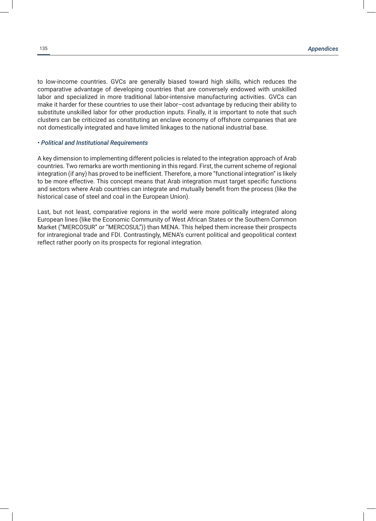to low-income countries. GVCs are generally biased toward high skills, which reduces the comparative advantage of developing countries that are conversely endowed with unskilled labor and specialized in more traditional labor-intensive manufacturing activities. GVCs can make it harder for these countries to use their labor–cost advantage by reducing their ability to substitute unskilled labor for other production inputs. Finally, it is important to note that such clusters can be criticized as constituting an enclave economy of offshore companies that are not domestically integrated and have limited linkages to the national industrial base.

# *• Political and Institutional Requirements*

A key dimension to implementing different policies is related to the integration approach of Arab countries. Two remarks are worth mentioning in this regard. First, the current scheme of regional integration (if any) has proved to be inefficient. Therefore, a more "functional integration" is likely to be more effective. This concept means that Arab integration must target specific functions and sectors where Arab countries can integrate and mutually benefit from the process (like the historical case of steel and coal in the European Union).

Last, but not least, comparative regions in the world were more politically integrated along European lines (like the Economic Community of West African States or the Southern Common Market ("MERCOSUR" or "MERCOSUL")) than MENA. This helped them increase their prospects for intraregional trade and FDI. Contrastingly, MENA's current political and geopolitical context reflect rather poorly on its prospects for regional integration.